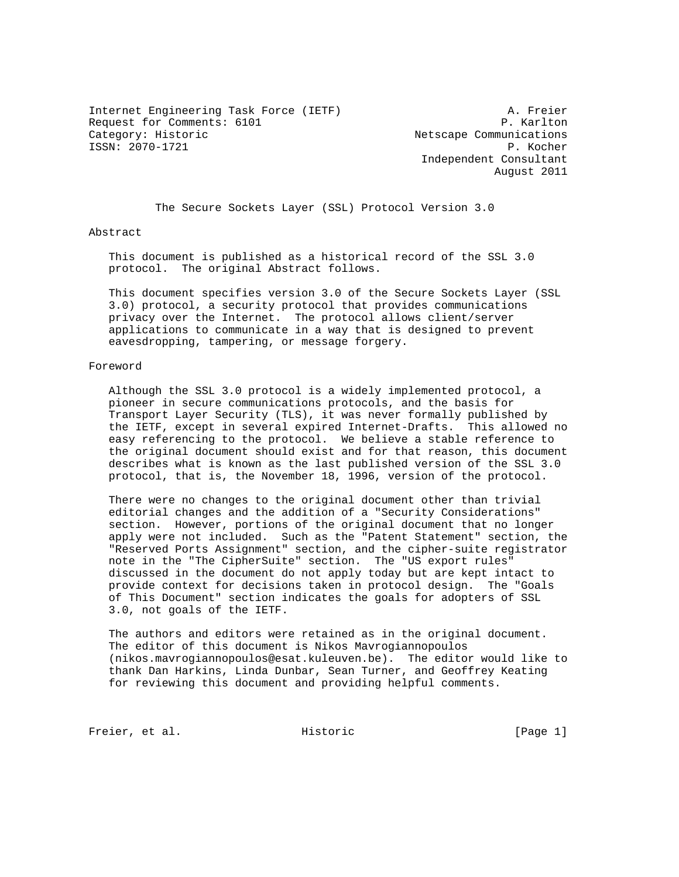Internet Engineering Task Force (IETF) A. Freier Request for Comments: 6101 P. Karlton<br>
Category: Historic Pategory: Historic ISSN: 2070-1721 P. Kocher

Netscape Communications Independent Consultant August 2011

The Secure Sockets Layer (SSL) Protocol Version 3.0

## Abstract

 This document is published as a historical record of the SSL 3.0 protocol. The original Abstract follows.

 This document specifies version 3.0 of the Secure Sockets Layer (SSL 3.0) protocol, a security protocol that provides communications privacy over the Internet. The protocol allows client/server applications to communicate in a way that is designed to prevent eavesdropping, tampering, or message forgery.

#### Foreword

 Although the SSL 3.0 protocol is a widely implemented protocol, a pioneer in secure communications protocols, and the basis for Transport Layer Security (TLS), it was never formally published by the IETF, except in several expired Internet-Drafts. This allowed no easy referencing to the protocol. We believe a stable reference to the original document should exist and for that reason, this document describes what is known as the last published version of the SSL 3.0 protocol, that is, the November 18, 1996, version of the protocol.

 There were no changes to the original document other than trivial editorial changes and the addition of a "Security Considerations" section. However, portions of the original document that no longer apply were not included. Such as the "Patent Statement" section, the "Reserved Ports Assignment" section, and the cipher-suite registrator note in the "The CipherSuite" section. The "US export rules" discussed in the document do not apply today but are kept intact to provide context for decisions taken in protocol design. The "Goals of This Document" section indicates the goals for adopters of SSL 3.0, not goals of the IETF.

 The authors and editors were retained as in the original document. The editor of this document is Nikos Mavrogiannopoulos (nikos.mavrogiannopoulos@esat.kuleuven.be). The editor would like to thank Dan Harkins, Linda Dunbar, Sean Turner, and Geoffrey Keating for reviewing this document and providing helpful comments.

Freier, et al. Historic [Page 1]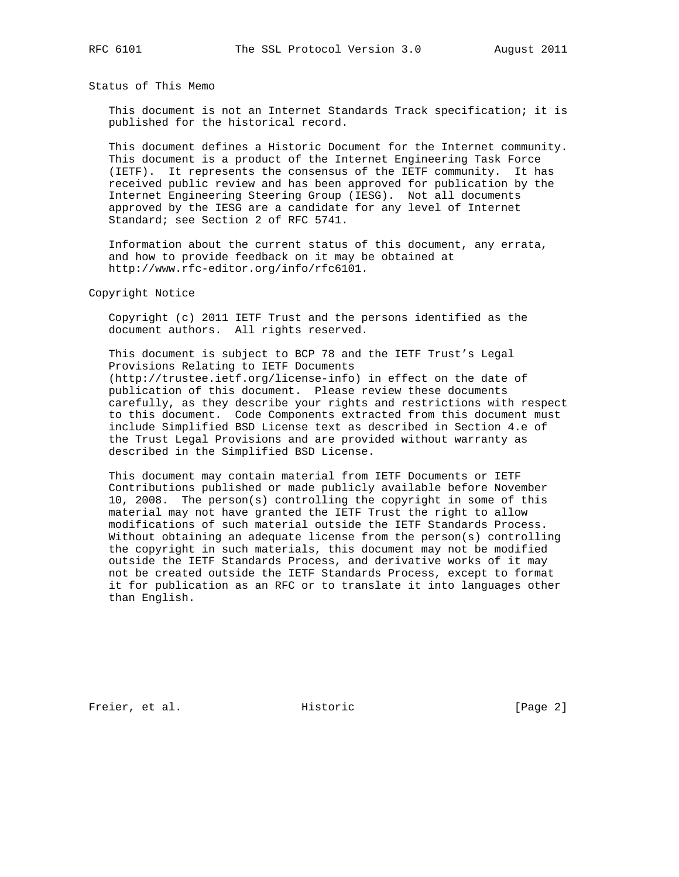Status of This Memo

 This document is not an Internet Standards Track specification; it is published for the historical record.

 This document defines a Historic Document for the Internet community. This document is a product of the Internet Engineering Task Force (IETF). It represents the consensus of the IETF community. It has received public review and has been approved for publication by the Internet Engineering Steering Group (IESG). Not all documents approved by the IESG are a candidate for any level of Internet Standard; see Section 2 of RFC 5741.

 Information about the current status of this document, any errata, and how to provide feedback on it may be obtained at http://www.rfc-editor.org/info/rfc6101.

Copyright Notice

 Copyright (c) 2011 IETF Trust and the persons identified as the document authors. All rights reserved.

 This document is subject to BCP 78 and the IETF Trust's Legal Provisions Relating to IETF Documents (http://trustee.ietf.org/license-info) in effect on the date of publication of this document. Please review these documents carefully, as they describe your rights and restrictions with respect to this document. Code Components extracted from this document must include Simplified BSD License text as described in Section 4.e of the Trust Legal Provisions and are provided without warranty as described in the Simplified BSD License.

 This document may contain material from IETF Documents or IETF Contributions published or made publicly available before November 10, 2008. The person(s) controlling the copyright in some of this material may not have granted the IETF Trust the right to allow modifications of such material outside the IETF Standards Process. Without obtaining an adequate license from the person(s) controlling the copyright in such materials, this document may not be modified outside the IETF Standards Process, and derivative works of it may not be created outside the IETF Standards Process, except to format it for publication as an RFC or to translate it into languages other than English.

Freier, et al. Historic [Page 2]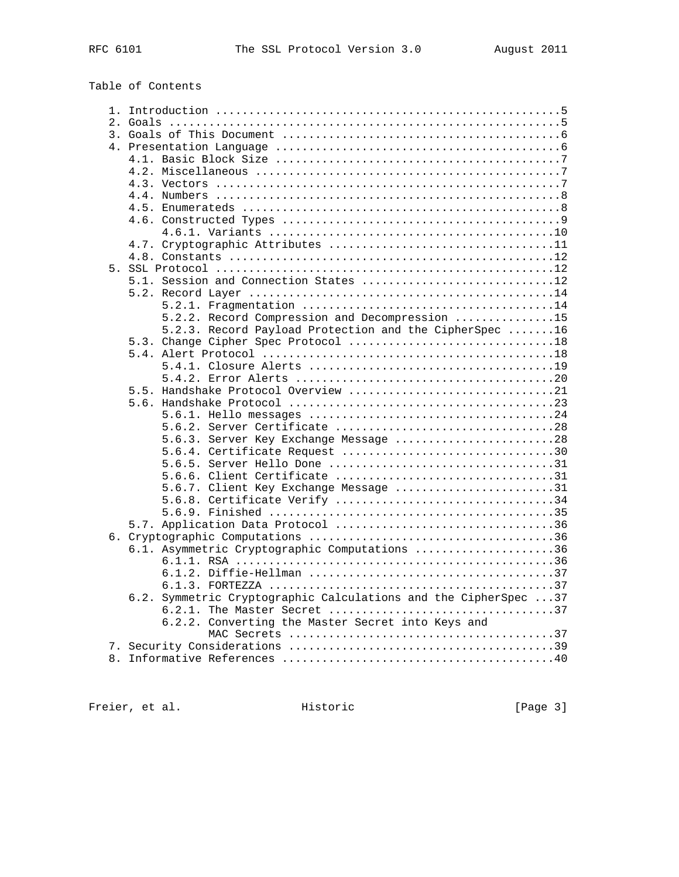# Table of Contents

|  | 5.1. Session and Connection States 12                           |  |
|--|-----------------------------------------------------------------|--|
|  |                                                                 |  |
|  |                                                                 |  |
|  | 5.2.2. Record Compression and Decompression 15                  |  |
|  | 5.2.3. Record Payload Protection and the CipherSpec 16          |  |
|  |                                                                 |  |
|  |                                                                 |  |
|  |                                                                 |  |
|  |                                                                 |  |
|  | 5.5. Handshake Protocol Overview 21                             |  |
|  |                                                                 |  |
|  |                                                                 |  |
|  |                                                                 |  |
|  | 5.6.3. Server Key Exchange Message 28                           |  |
|  | 5.6.4. Certificate Request 30                                   |  |
|  | 5.6.5. Server Hello Done 31                                     |  |
|  | 5.6.6. Client Certificate 31                                    |  |
|  | 5.6.7. Client Key Exchange Message 31                           |  |
|  |                                                                 |  |
|  |                                                                 |  |
|  |                                                                 |  |
|  |                                                                 |  |
|  |                                                                 |  |
|  | 6.1. Asymmetric Cryptographic Computations 36                   |  |
|  |                                                                 |  |
|  |                                                                 |  |
|  |                                                                 |  |
|  | 6.2. Symmetric Cryptographic Calculations and the CipherSpec 37 |  |
|  |                                                                 |  |
|  | 6.2.2. Converting the Master Secret into Keys and               |  |
|  |                                                                 |  |
|  |                                                                 |  |
|  |                                                                 |  |
|  |                                                                 |  |

Freier, et al. Historic [Page 3]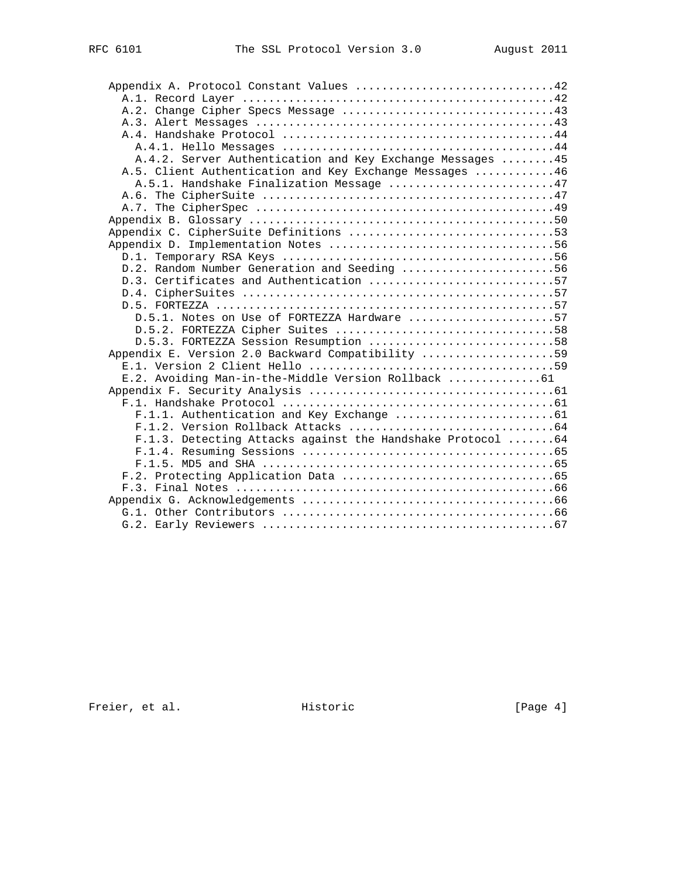| Appendix A. Protocol Constant Values 42                     |  |
|-------------------------------------------------------------|--|
|                                                             |  |
|                                                             |  |
|                                                             |  |
|                                                             |  |
|                                                             |  |
| A.4.2. Server Authentication and Key Exchange Messages 45   |  |
| A.5. Client Authentication and Key Exchange Messages 46     |  |
| A.5.1. Handshake Finalization Message 47                    |  |
|                                                             |  |
|                                                             |  |
|                                                             |  |
|                                                             |  |
|                                                             |  |
|                                                             |  |
| D.2. Random Number Generation and Seeding 56                |  |
| D.3. Certificates and Authentication 57                     |  |
|                                                             |  |
|                                                             |  |
| D.5.1. Notes on Use of FORTEZZA Hardware 57                 |  |
|                                                             |  |
| D.5.3. FORTEZZA Session Resumption 58                       |  |
| Appendix E. Version 2.0 Backward Compatibility 59           |  |
|                                                             |  |
| E.2. Avoiding Man-in-the-Middle Version Rollback 61         |  |
|                                                             |  |
|                                                             |  |
|                                                             |  |
| F.1.3. Detecting Attacks against the Handshake Protocol  64 |  |
|                                                             |  |
|                                                             |  |
|                                                             |  |
|                                                             |  |
|                                                             |  |
|                                                             |  |
|                                                             |  |
|                                                             |  |

Freier, et al. Historic [Page 4]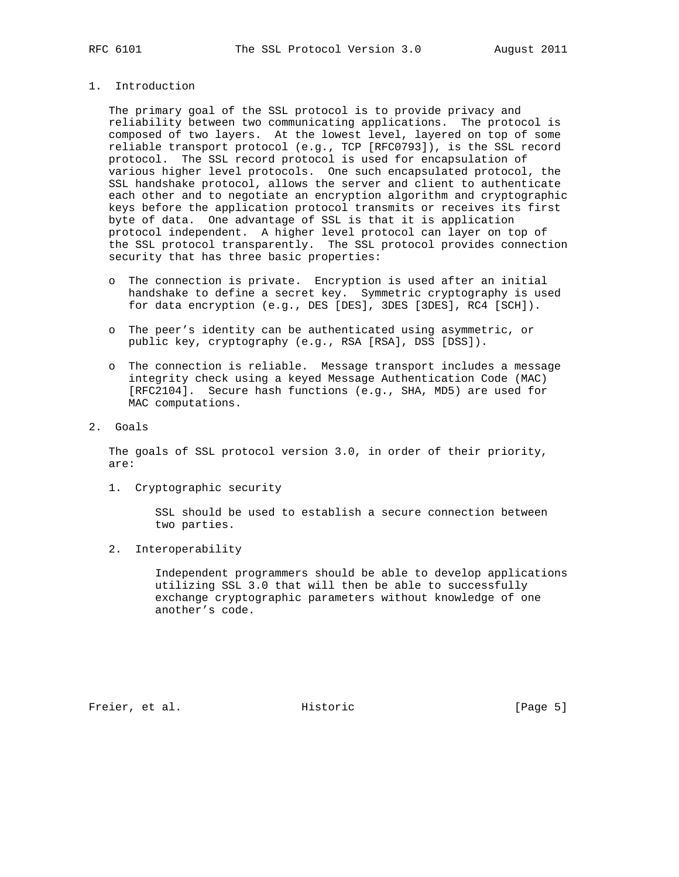## 1. Introduction

 The primary goal of the SSL protocol is to provide privacy and reliability between two communicating applications. The protocol is composed of two layers. At the lowest level, layered on top of some reliable transport protocol (e.g., TCP [RFC0793]), is the SSL record protocol. The SSL record protocol is used for encapsulation of various higher level protocols. One such encapsulated protocol, the SSL handshake protocol, allows the server and client to authenticate each other and to negotiate an encryption algorithm and cryptographic keys before the application protocol transmits or receives its first byte of data. One advantage of SSL is that it is application protocol independent. A higher level protocol can layer on top of the SSL protocol transparently. The SSL protocol provides connection security that has three basic properties:

- o The connection is private. Encryption is used after an initial handshake to define a secret key. Symmetric cryptography is used for data encryption (e.g., DES [DES], 3DES [3DES], RC4 [SCH]).
- o The peer's identity can be authenticated using asymmetric, or public key, cryptography (e.g., RSA [RSA], DSS [DSS]).
- o The connection is reliable. Message transport includes a message integrity check using a keyed Message Authentication Code (MAC) [RFC2104]. Secure hash functions (e.g., SHA, MD5) are used for MAC computations.
- 2. Goals

 The goals of SSL protocol version 3.0, in order of their priority, are:

1. Cryptographic security

 SSL should be used to establish a secure connection between two parties.

2. Interoperability

 Independent programmers should be able to develop applications utilizing SSL 3.0 that will then be able to successfully exchange cryptographic parameters without knowledge of one another's code.

Freier, et al. Historic [Page 5]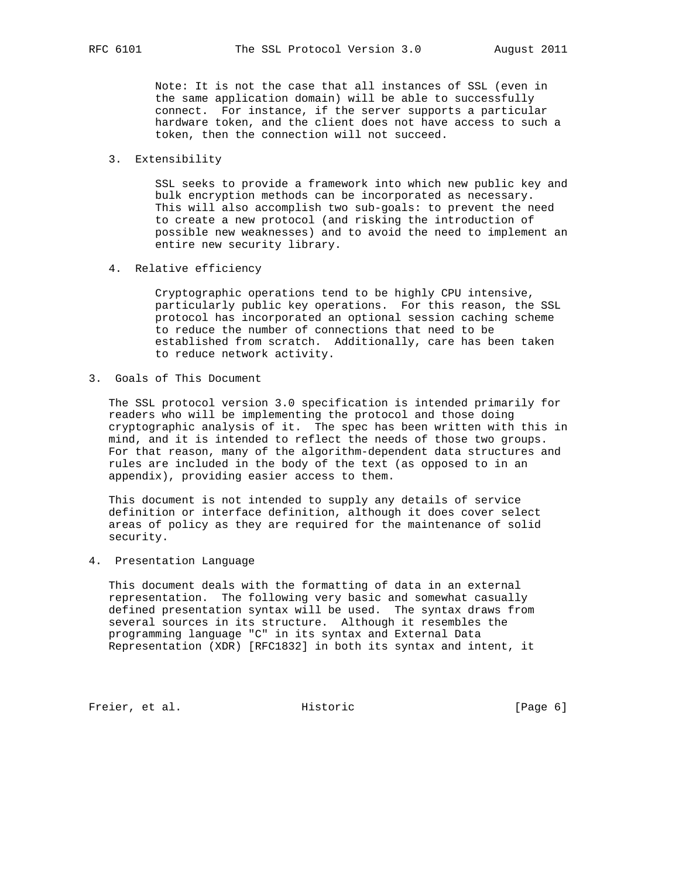Note: It is not the case that all instances of SSL (even in the same application domain) will be able to successfully connect. For instance, if the server supports a particular hardware token, and the client does not have access to such a token, then the connection will not succeed.

#### 3. Extensibility

 SSL seeks to provide a framework into which new public key and bulk encryption methods can be incorporated as necessary. This will also accomplish two sub-goals: to prevent the need to create a new protocol (and risking the introduction of possible new weaknesses) and to avoid the need to implement an entire new security library.

4. Relative efficiency

 Cryptographic operations tend to be highly CPU intensive, particularly public key operations. For this reason, the SSL protocol has incorporated an optional session caching scheme to reduce the number of connections that need to be established from scratch. Additionally, care has been taken to reduce network activity.

3. Goals of This Document

 The SSL protocol version 3.0 specification is intended primarily for readers who will be implementing the protocol and those doing cryptographic analysis of it. The spec has been written with this in mind, and it is intended to reflect the needs of those two groups. For that reason, many of the algorithm-dependent data structures and rules are included in the body of the text (as opposed to in an appendix), providing easier access to them.

 This document is not intended to supply any details of service definition or interface definition, although it does cover select areas of policy as they are required for the maintenance of solid security.

4. Presentation Language

 This document deals with the formatting of data in an external representation. The following very basic and somewhat casually defined presentation syntax will be used. The syntax draws from several sources in its structure. Although it resembles the programming language "C" in its syntax and External Data Representation (XDR) [RFC1832] in both its syntax and intent, it

Freier, et al. Historic [Page 6]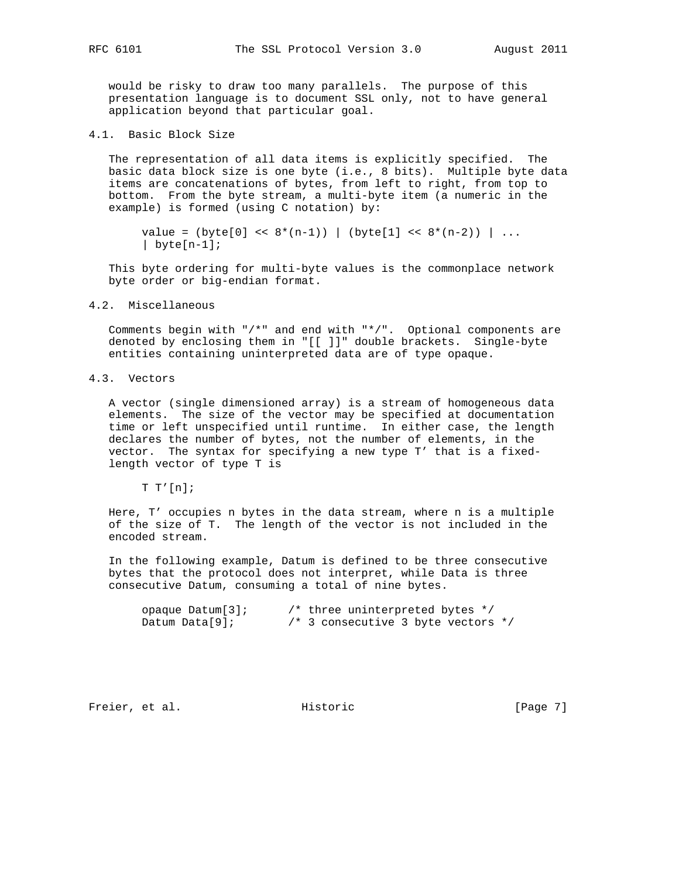would be risky to draw too many parallels. The purpose of this presentation language is to document SSL only, not to have general application beyond that particular goal.

4.1. Basic Block Size

 The representation of all data items is explicitly specified. The basic data block size is one byte (i.e., 8 bits). Multiple byte data items are concatenations of bytes, from left to right, from top to bottom. From the byte stream, a multi-byte item (a numeric in the example) is formed (using C notation) by:

value =  $(byte[0] << 8*(n-1))$  | (byte[1] <<  $8*(n-2))$  | ... | byte $[n-1]$ ;

 This byte ordering for multi-byte values is the commonplace network byte order or big-endian format.

#### 4.2. Miscellaneous

 Comments begin with "/\*" and end with "\*/". Optional components are denoted by enclosing them in "[[ ]]" double brackets. Single-byte entities containing uninterpreted data are of type opaque.

4.3. Vectors

 A vector (single dimensioned array) is a stream of homogeneous data elements. The size of the vector may be specified at documentation time or left unspecified until runtime. In either case, the length declares the number of bytes, not the number of elements, in the vector. The syntax for specifying a new type T' that is a fixed length vector of type T is

 $T T'[n];$ 

 Here, T' occupies n bytes in the data stream, where n is a multiple of the size of T. The length of the vector is not included in the encoded stream.

 In the following example, Datum is defined to be three consecutive bytes that the protocol does not interpret, while Data is three consecutive Datum, consuming a total of nine bytes.

| opaque $Datum[3]$ ; | $/*$ three uninterpreted bytes $*/$    |
|---------------------|----------------------------------------|
| Datum Data $[9]$ ;  | $/*$ 3 consecutive 3 byte vectors $*/$ |

Freier, et al. Historic [Page 7]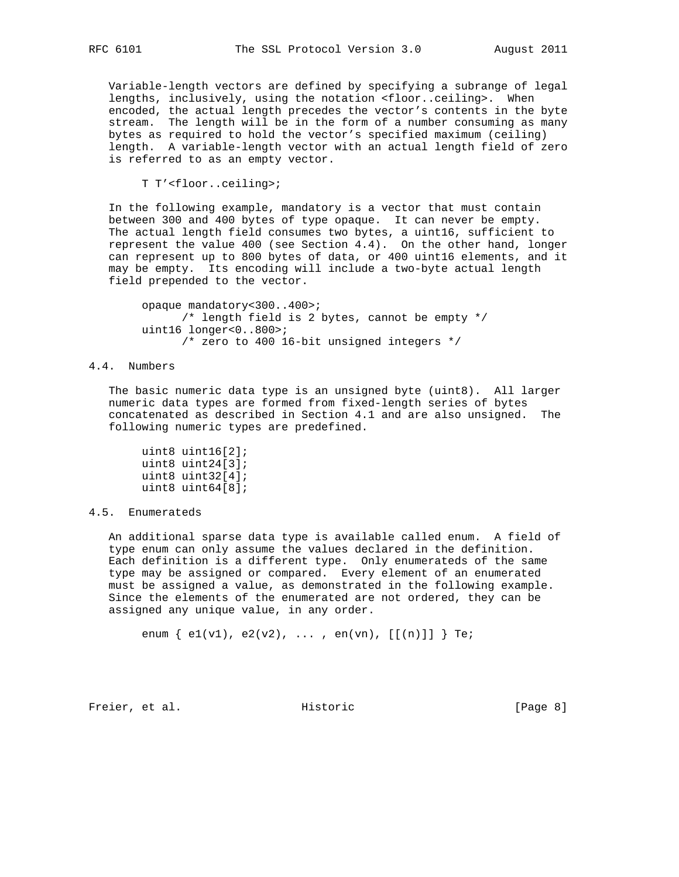Variable-length vectors are defined by specifying a subrange of legal lengths, inclusively, using the notation <floor..ceiling>. When encoded, the actual length precedes the vector's contents in the byte stream. The length will be in the form of a number consuming as many bytes as required to hold the vector's specified maximum (ceiling) length. A variable-length vector with an actual length field of zero is referred to as an empty vector.

T T'<floor..ceiling>;

 In the following example, mandatory is a vector that must contain between 300 and 400 bytes of type opaque. It can never be empty. The actual length field consumes two bytes, a uint16, sufficient to represent the value 400 (see Section 4.4). On the other hand, longer can represent up to 800 bytes of data, or 400 uint16 elements, and it may be empty. Its encoding will include a two-byte actual length field prepended to the vector.

 opaque mandatory<300..400>; /\* length field is 2 bytes, cannot be empty \*/ uint16 longer<0..800>; /\* zero to 400 16-bit unsigned integers \*/

#### 4.4. Numbers

 The basic numeric data type is an unsigned byte (uint8). All larger numeric data types are formed from fixed-length series of bytes concatenated as described in Section 4.1 and are also unsigned. The following numeric types are predefined.

 uint8 uint16[2]; uint8 uint24[3]; uint8 uint32[4]; uint8 uint64[8];

#### 4.5. Enumerateds

 An additional sparse data type is available called enum. A field of type enum can only assume the values declared in the definition. Each definition is a different type. Only enumerateds of the same type may be assigned or compared. Every element of an enumerated must be assigned a value, as demonstrated in the following example. Since the elements of the enumerated are not ordered, they can be assigned any unique value, in any order.

enum  $\{ e1(v1), e2(v2), ... , en(vn), [[(n)]] \}$  Te;

Freier, et al. Historic [Page 8]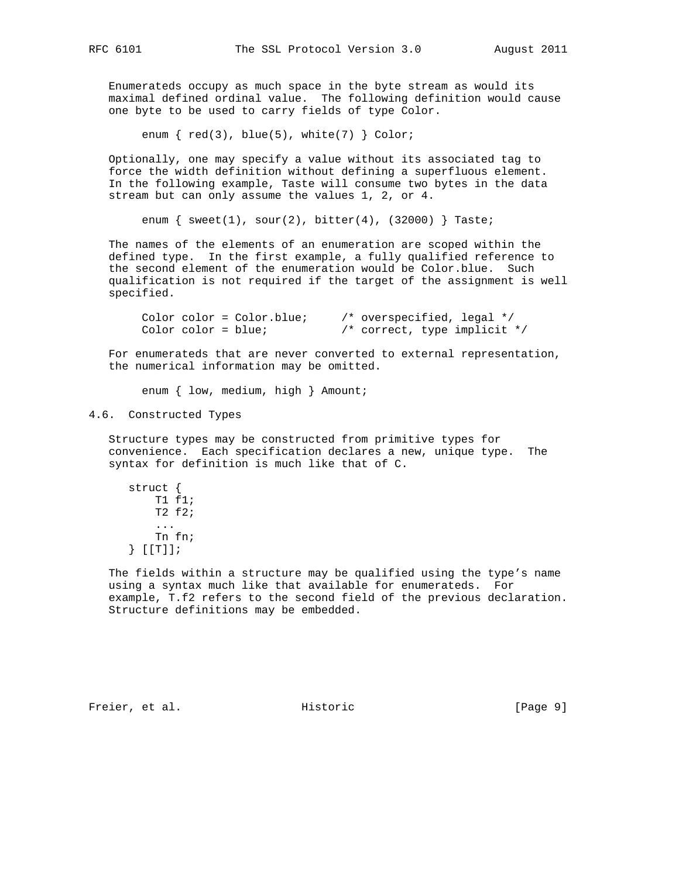Enumerateds occupy as much space in the byte stream as would its maximal defined ordinal value. The following definition would cause one byte to be used to carry fields of type Color.

enum  $\{red(3), blue(5), white(7) \} Color;$ 

 Optionally, one may specify a value without its associated tag to force the width definition without defining a superfluous element. In the following example, Taste will consume two bytes in the data stream but can only assume the values 1, 2, or 4.

enum  $\{$  sweet(1), sour(2), bitter(4), (32000)  $\}$  Taste;

 The names of the elements of an enumeration are scoped within the defined type. In the first example, a fully qualified reference to the second element of the enumeration would be Color.blue. Such qualification is not required if the target of the assignment is well specified.

 Color color = Color.blue; /\* overspecified, legal \*/ Color color = blue; /\* correct, type implicit \*/

 For enumerateds that are never converted to external representation, the numerical information may be omitted.

enum { low, medium, high } Amount;

#### 4.6. Constructed Types

 Structure types may be constructed from primitive types for convenience. Each specification declares a new, unique type. The syntax for definition is much like that of C.

 struct { T1 f1; T2 f2; ... Tn fn; } [[T]];

 The fields within a structure may be qualified using the type's name using a syntax much like that available for enumerateds. For example, T.f2 refers to the second field of the previous declaration. Structure definitions may be embedded.

Freier, et al. Historic [Page 9]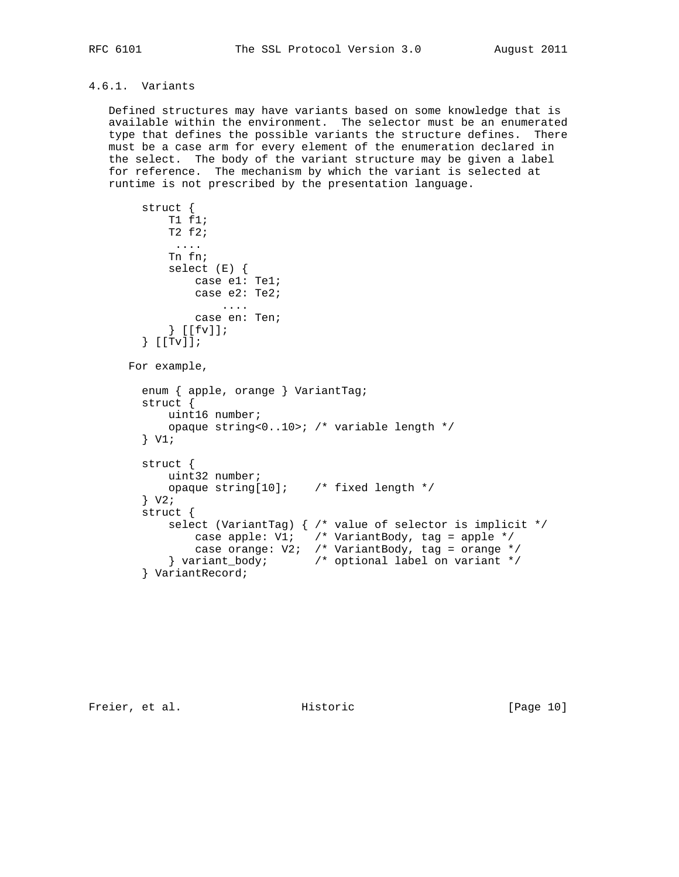## 4.6.1. Variants

 Defined structures may have variants based on some knowledge that is available within the environment. The selector must be an enumerated type that defines the possible variants the structure defines. There must be a case arm for every element of the enumeration declared in the select. The body of the variant structure may be given a label for reference. The mechanism by which the variant is selected at runtime is not prescribed by the presentation language.

```
 struct {
           T1 f1;
            T2 f2;
             ....
            Tn fn;
            select (E) {
               case e1: Te1;
               case e2: Te2;
                   ....
               case en: Ten;
            } [[fv]];
        } [[Tv]];
      For example,
       enum { apple, orange } VariantTag;
        struct {
            uint16 number;
            opaque string<0..10>; /* variable length */
        } V1;
        struct {
           uint32 number;
           opaque string[10]; /* fixed length */
       } \ \ \ \text{v2};
        struct {
           select (VariantTag) { /* value of selector is implicit */
 case apple: V1; /* VariantBody, tag = apple */
 case orange: V2; /* VariantBody, tag = orange */
 } variant_body; /* optional label on variant */
        } VariantRecord;
```
Freier, et al. Historic [Page 10]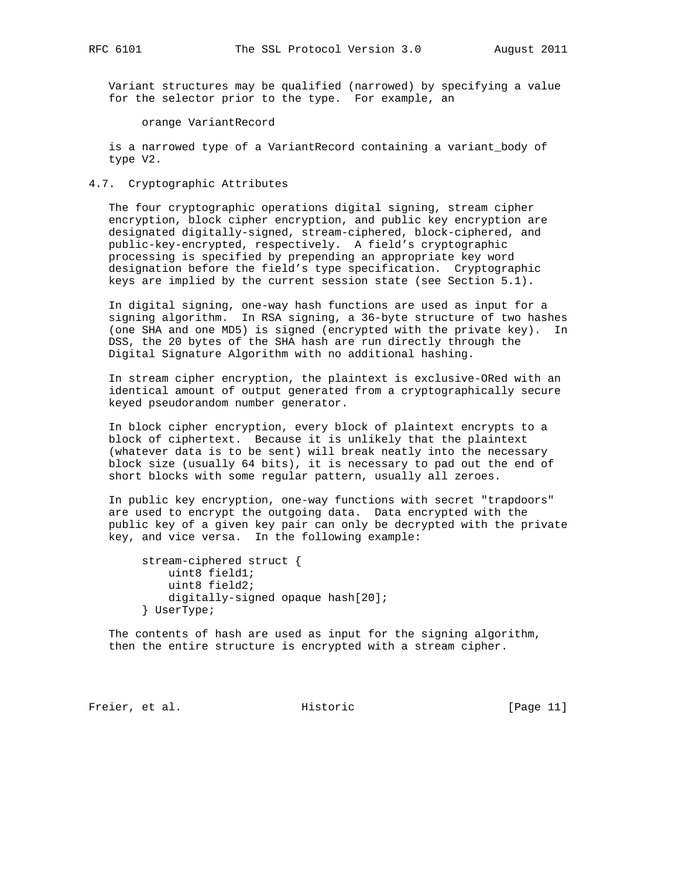Variant structures may be qualified (narrowed) by specifying a value for the selector prior to the type. For example, an

orange VariantRecord

 is a narrowed type of a VariantRecord containing a variant\_body of type V2.

4.7. Cryptographic Attributes

 The four cryptographic operations digital signing, stream cipher encryption, block cipher encryption, and public key encryption are designated digitally-signed, stream-ciphered, block-ciphered, and public-key-encrypted, respectively. A field's cryptographic processing is specified by prepending an appropriate key word designation before the field's type specification. Cryptographic keys are implied by the current session state (see Section 5.1).

 In digital signing, one-way hash functions are used as input for a signing algorithm. In RSA signing, a 36-byte structure of two hashes (one SHA and one MD5) is signed (encrypted with the private key). In DSS, the 20 bytes of the SHA hash are run directly through the Digital Signature Algorithm with no additional hashing.

 In stream cipher encryption, the plaintext is exclusive-ORed with an identical amount of output generated from a cryptographically secure keyed pseudorandom number generator.

 In block cipher encryption, every block of plaintext encrypts to a block of ciphertext. Because it is unlikely that the plaintext (whatever data is to be sent) will break neatly into the necessary block size (usually 64 bits), it is necessary to pad out the end of short blocks with some regular pattern, usually all zeroes.

 In public key encryption, one-way functions with secret "trapdoors" are used to encrypt the outgoing data. Data encrypted with the public key of a given key pair can only be decrypted with the private key, and vice versa. In the following example:

```
 stream-ciphered struct {
     uint8 field1;
     uint8 field2;
     digitally-signed opaque hash[20];
 } UserType;
```
 The contents of hash are used as input for the signing algorithm, then the entire structure is encrypted with a stream cipher.

Freier, et al. Historic [Page 11]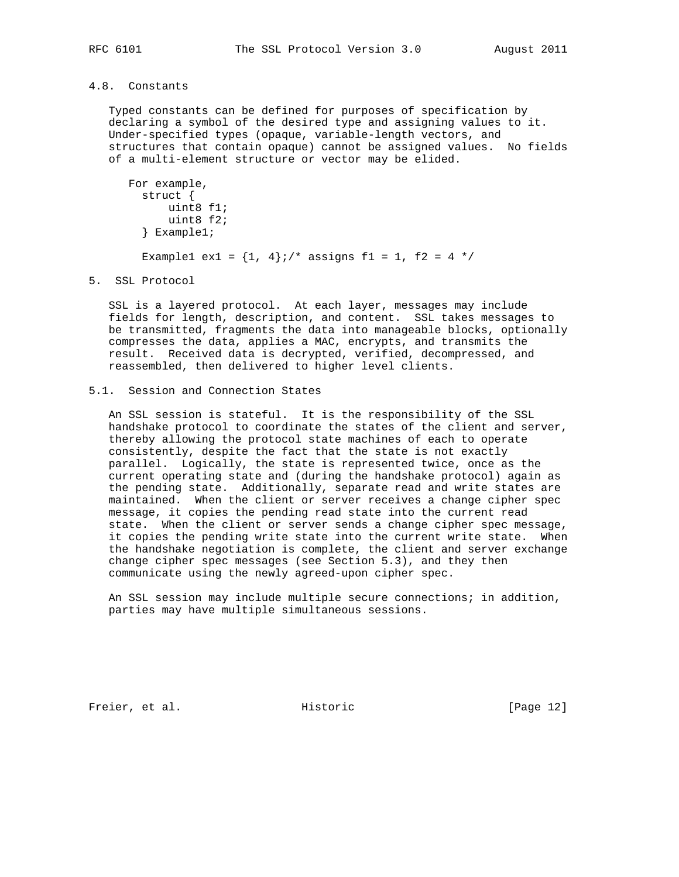## 4.8. Constants

 Typed constants can be defined for purposes of specification by declaring a symbol of the desired type and assigning values to it. Under-specified types (opaque, variable-length vectors, and structures that contain opaque) cannot be assigned values. No fields of a multi-element structure or vector may be elided.

```
 For example,
  struct {
       uint8 f1;
       uint8 f2;
   } Example1;
  Example1 ex1 = \{1, 4\};/* assigns f1 = 1, f2 = 4 */
```
5. SSL Protocol

 SSL is a layered protocol. At each layer, messages may include fields for length, description, and content. SSL takes messages to be transmitted, fragments the data into manageable blocks, optionally compresses the data, applies a MAC, encrypts, and transmits the result. Received data is decrypted, verified, decompressed, and reassembled, then delivered to higher level clients.

#### 5.1. Session and Connection States

 An SSL session is stateful. It is the responsibility of the SSL handshake protocol to coordinate the states of the client and server, thereby allowing the protocol state machines of each to operate consistently, despite the fact that the state is not exactly parallel. Logically, the state is represented twice, once as the current operating state and (during the handshake protocol) again as the pending state. Additionally, separate read and write states are maintained. When the client or server receives a change cipher spec message, it copies the pending read state into the current read state. When the client or server sends a change cipher spec message, it copies the pending write state into the current write state. When the handshake negotiation is complete, the client and server exchange change cipher spec messages (see Section 5.3), and they then communicate using the newly agreed-upon cipher spec.

 An SSL session may include multiple secure connections; in addition, parties may have multiple simultaneous sessions.

Freier, et al. Historic [Page 12]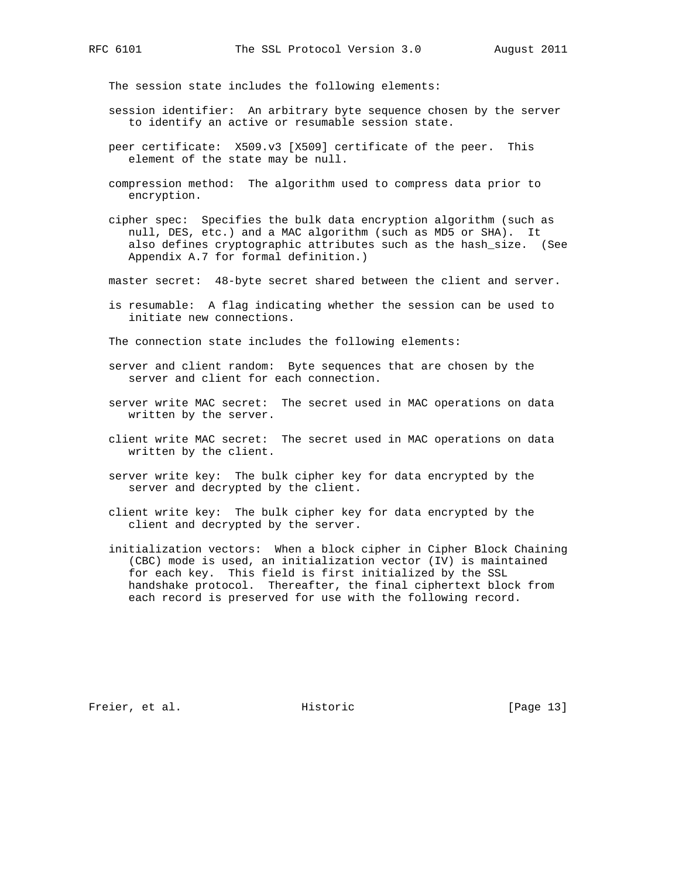The session state includes the following elements:

- session identifier: An arbitrary byte sequence chosen by the server to identify an active or resumable session state.
- peer certificate: X509.v3 [X509] certificate of the peer. This element of the state may be null.
- compression method: The algorithm used to compress data prior to encryption.
- cipher spec: Specifies the bulk data encryption algorithm (such as null, DES, etc.) and a MAC algorithm (such as MD5 or SHA). It also defines cryptographic attributes such as the hash\_size. (See Appendix A.7 for formal definition.)
- master secret: 48-byte secret shared between the client and server.
- is resumable: A flag indicating whether the session can be used to initiate new connections.

The connection state includes the following elements:

- server and client random: Byte sequences that are chosen by the server and client for each connection.
- server write MAC secret: The secret used in MAC operations on data written by the server.
- client write MAC secret: The secret used in MAC operations on data written by the client.
- server write key: The bulk cipher key for data encrypted by the server and decrypted by the client.
- client write key: The bulk cipher key for data encrypted by the client and decrypted by the server.
- initialization vectors: When a block cipher in Cipher Block Chaining (CBC) mode is used, an initialization vector (IV) is maintained for each key. This field is first initialized by the SSL handshake protocol. Thereafter, the final ciphertext block from each record is preserved for use with the following record.

Freier, et al. Historic [Page 13]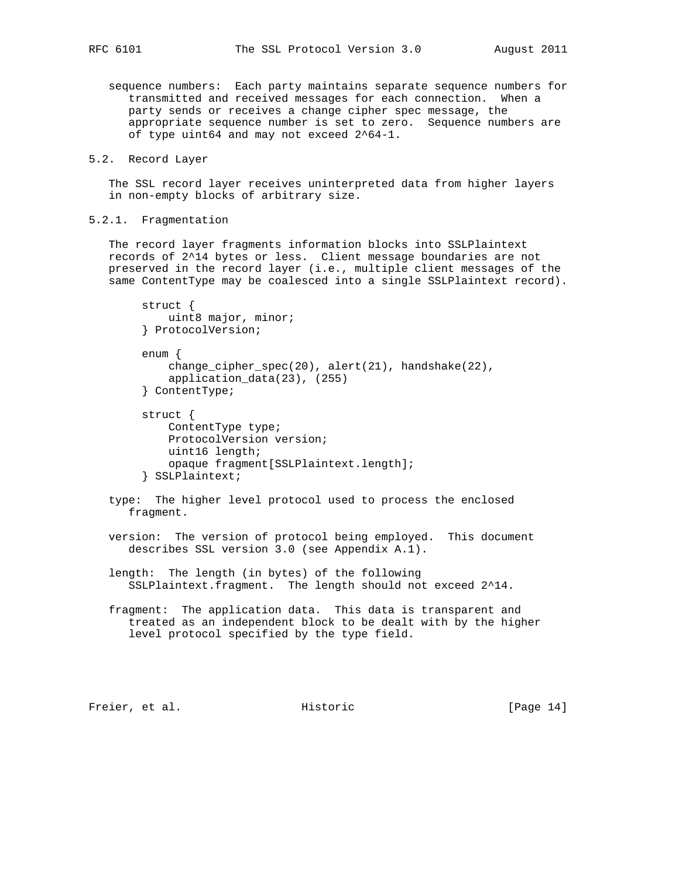sequence numbers: Each party maintains separate sequence numbers for transmitted and received messages for each connection. When a party sends or receives a change cipher spec message, the appropriate sequence number is set to zero. Sequence numbers are of type uint64 and may not exceed 2^64-1.

## 5.2. Record Layer

 The SSL record layer receives uninterpreted data from higher layers in non-empty blocks of arbitrary size.

## 5.2.1. Fragmentation

 The record layer fragments information blocks into SSLPlaintext records of 2^14 bytes or less. Client message boundaries are not preserved in the record layer (i.e., multiple client messages of the same ContentType may be coalesced into a single SSLPlaintext record).

```
 struct {
    uint8 major, minor;
 } ProtocolVersion;
 enum {
    change_cipher_spec(20), alert(21), handshake(22),
     application_data(23), (255)
 } ContentType;
 struct {
     ContentType type;
     ProtocolVersion version;
    uint16 length;
```

```
 opaque fragment[SSLPlaintext.length];
```

```
 } SSLPlaintext;
```
 type: The higher level protocol used to process the enclosed fragment.

 version: The version of protocol being employed. This document describes SSL version 3.0 (see Appendix A.1).

 length: The length (in bytes) of the following SSLPlaintext.fragment. The length should not exceed 2^14.

 fragment: The application data. This data is transparent and treated as an independent block to be dealt with by the higher level protocol specified by the type field.

Freier, et al. Historic [Page 14]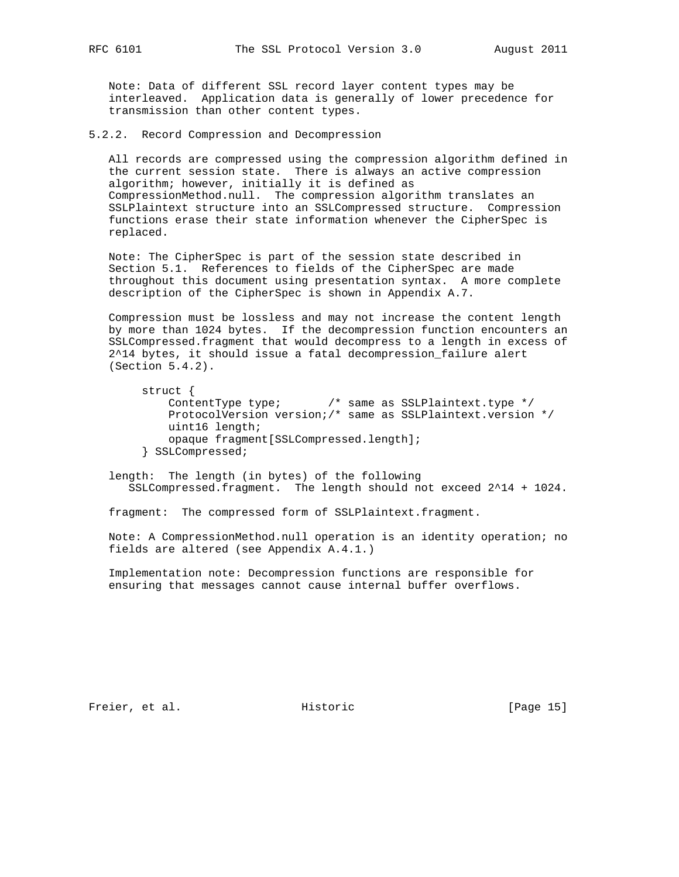Note: Data of different SSL record layer content types may be interleaved. Application data is generally of lower precedence for transmission than other content types.

5.2.2. Record Compression and Decompression

 All records are compressed using the compression algorithm defined in the current session state. There is always an active compression algorithm; however, initially it is defined as CompressionMethod.null. The compression algorithm translates an SSLPlaintext structure into an SSLCompressed structure. Compression functions erase their state information whenever the CipherSpec is replaced.

 Note: The CipherSpec is part of the session state described in Section 5.1. References to fields of the CipherSpec are made throughout this document using presentation syntax. A more complete description of the CipherSpec is shown in Appendix A.7.

 Compression must be lossless and may not increase the content length by more than 1024 bytes. If the decompression function encounters an SSLCompressed.fragment that would decompress to a length in excess of 2^14 bytes, it should issue a fatal decompression\_failure alert (Section 5.4.2).

```
 struct {
     ContentType type; /* same as SSLPlaintext.type */
     ProtocolVersion version;/* same as SSLPlaintext.version */
    uint16 length;
    opaque fragment[SSLCompressed.length];
 } SSLCompressed;
```
 length: The length (in bytes) of the following SSLCompressed.fragment. The length should not exceed 2^14 + 1024.

fragment: The compressed form of SSLPlaintext.fragment.

 Note: A CompressionMethod.null operation is an identity operation; no fields are altered (see Appendix A.4.1.)

 Implementation note: Decompression functions are responsible for ensuring that messages cannot cause internal buffer overflows.

Freier, et al. Historic [Page 15]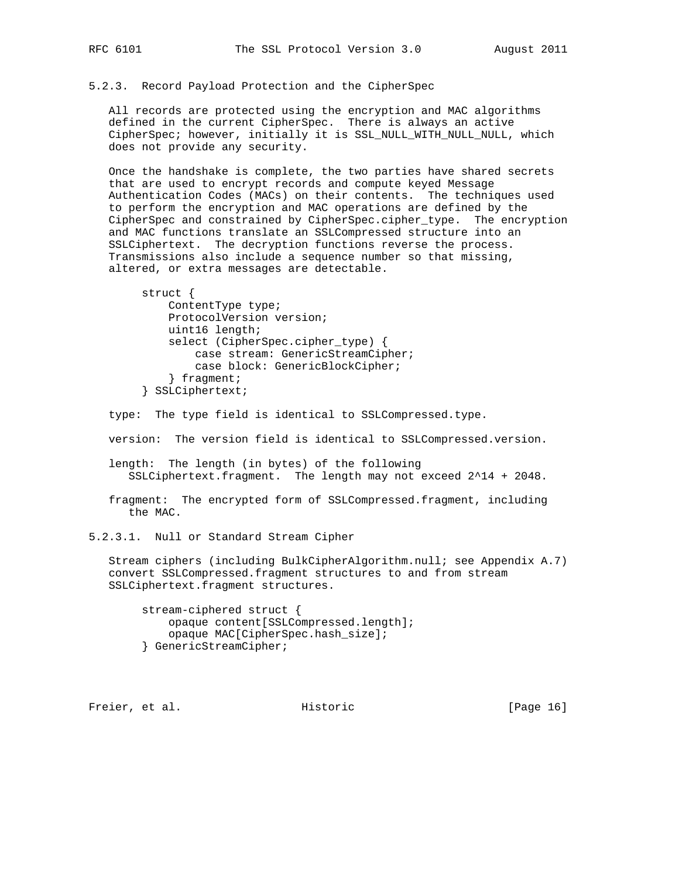5.2.3. Record Payload Protection and the CipherSpec

 All records are protected using the encryption and MAC algorithms defined in the current CipherSpec. There is always an active CipherSpec; however, initially it is SSL\_NULL\_WITH\_NULL\_NULL, which does not provide any security.

 Once the handshake is complete, the two parties have shared secrets that are used to encrypt records and compute keyed Message Authentication Codes (MACs) on their contents. The techniques used to perform the encryption and MAC operations are defined by the CipherSpec and constrained by CipherSpec.cipher\_type. The encryption and MAC functions translate an SSLCompressed structure into an SSLCiphertext. The decryption functions reverse the process. Transmissions also include a sequence number so that missing, altered, or extra messages are detectable.

```
 struct {
     ContentType type;
     ProtocolVersion version;
    uint16 length;
     select (CipherSpec.cipher_type) {
         case stream: GenericStreamCipher;
         case block: GenericBlockCipher;
     } fragment;
 } SSLCiphertext;
```
type: The type field is identical to SSLCompressed.type.

version: The version field is identical to SSLCompressed.version.

 length: The length (in bytes) of the following SSLCiphertext.fragment. The length may not exceed 2^14 + 2048.

 fragment: The encrypted form of SSLCompressed.fragment, including the MAC.

5.2.3.1. Null or Standard Stream Cipher

 Stream ciphers (including BulkCipherAlgorithm.null; see Appendix A.7) convert SSLCompressed.fragment structures to and from stream SSLCiphertext.fragment structures.

 stream-ciphered struct { opaque content[SSLCompressed.length]; opaque MAC[CipherSpec.hash\_size]; } GenericStreamCipher;

Freier, et al. Historic [Page 16]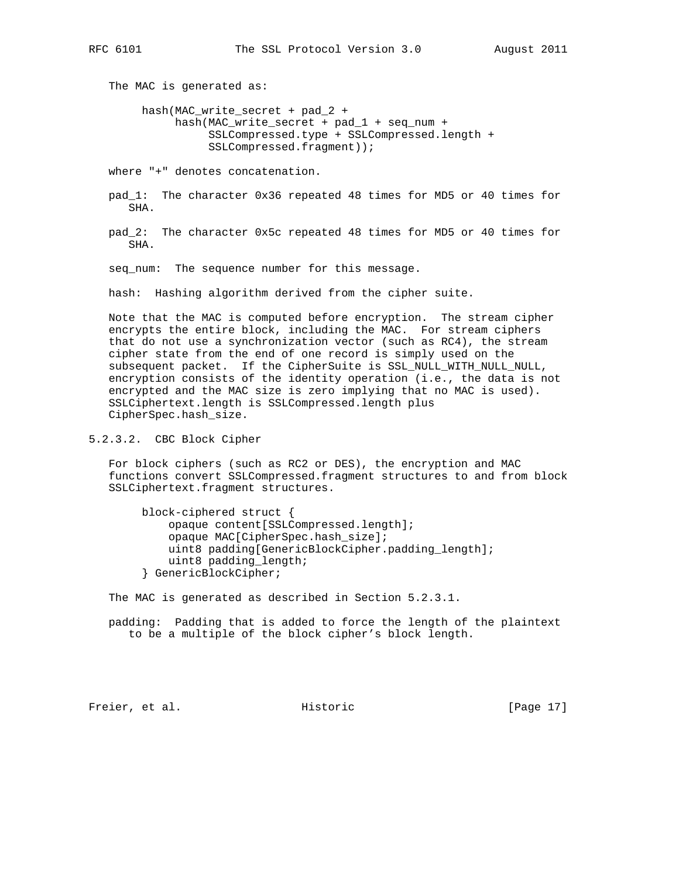The MAC is generated as:

 hash(MAC\_write\_secret + pad\_2 + hash(MAC\_write\_secret + pad\_1 + seq\_num + SSLCompressed.type + SSLCompressed.length + SSLCompressed.fragment));

where "+" denotes concatenation.

- pad\_1: The character 0x36 repeated 48 times for MD5 or 40 times for SHA.
- pad\_2: The character 0x5c repeated 48 times for MD5 or 40 times for SHA.

seq num: The sequence number for this message.

hash: Hashing algorithm derived from the cipher suite.

 Note that the MAC is computed before encryption. The stream cipher encrypts the entire block, including the MAC. For stream ciphers that do not use a synchronization vector (such as RC4), the stream cipher state from the end of one record is simply used on the subsequent packet. If the CipherSuite is SSL\_NULL\_WITH\_NULL\_NULL, encryption consists of the identity operation (i.e., the data is not encrypted and the MAC size is zero implying that no MAC is used). SSLCiphertext.length is SSLCompressed.length plus CipherSpec.hash\_size.

5.2.3.2. CBC Block Cipher

 For block ciphers (such as RC2 or DES), the encryption and MAC functions convert SSLCompressed.fragment structures to and from block SSLCiphertext.fragment structures.

 block-ciphered struct { opaque content[SSLCompressed.length]; opaque MAC[CipherSpec.hash\_size]; uint8 padding[GenericBlockCipher.padding\_length]; uint8 padding\_length; } GenericBlockCipher;

The MAC is generated as described in Section 5.2.3.1.

 padding: Padding that is added to force the length of the plaintext to be a multiple of the block cipher's block length.

Freier, et al. Historic [Page 17]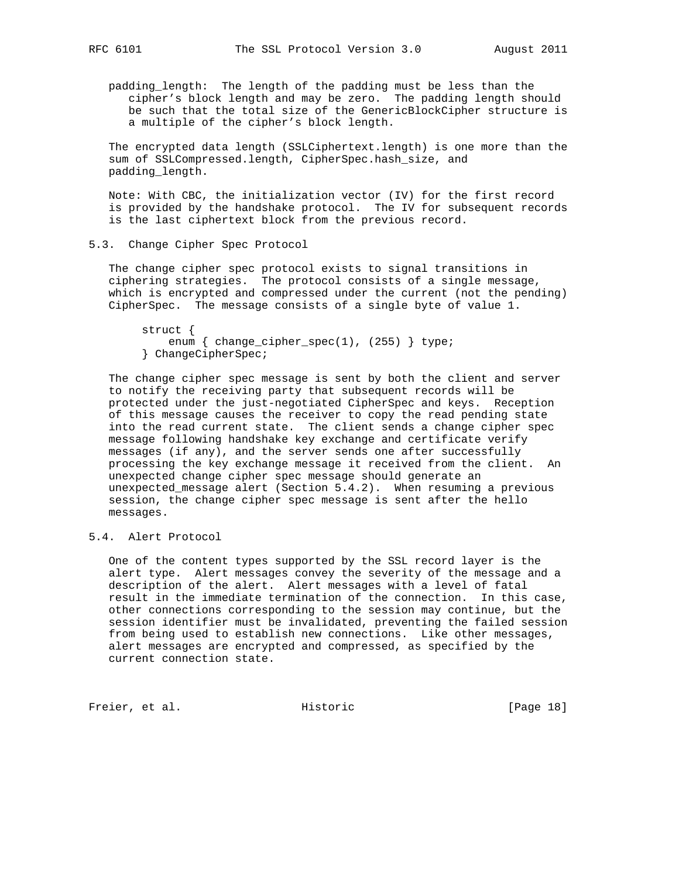padding\_length: The length of the padding must be less than the cipher's block length and may be zero. The padding length should be such that the total size of the GenericBlockCipher structure is a multiple of the cipher's block length.

 The encrypted data length (SSLCiphertext.length) is one more than the sum of SSLCompressed.length, CipherSpec.hash\_size, and padding\_length.

 Note: With CBC, the initialization vector (IV) for the first record is provided by the handshake protocol. The IV for subsequent records is the last ciphertext block from the previous record.

#### 5.3. Change Cipher Spec Protocol

 The change cipher spec protocol exists to signal transitions in ciphering strategies. The protocol consists of a single message, which is encrypted and compressed under the current (not the pending) CipherSpec. The message consists of a single byte of value 1.

 struct { enum { change\_cipher\_spec(1), (255) } type; } ChangeCipherSpec;

 The change cipher spec message is sent by both the client and server to notify the receiving party that subsequent records will be protected under the just-negotiated CipherSpec and keys. Reception of this message causes the receiver to copy the read pending state into the read current state. The client sends a change cipher spec message following handshake key exchange and certificate verify messages (if any), and the server sends one after successfully processing the key exchange message it received from the client. An unexpected change cipher spec message should generate an unexpected\_message alert (Section 5.4.2). When resuming a previous session, the change cipher spec message is sent after the hello messages.

## 5.4. Alert Protocol

 One of the content types supported by the SSL record layer is the alert type. Alert messages convey the severity of the message and a description of the alert. Alert messages with a level of fatal result in the immediate termination of the connection. In this case, other connections corresponding to the session may continue, but the session identifier must be invalidated, preventing the failed session from being used to establish new connections. Like other messages, alert messages are encrypted and compressed, as specified by the current connection state.

Freier, et al. Historic [Page 18]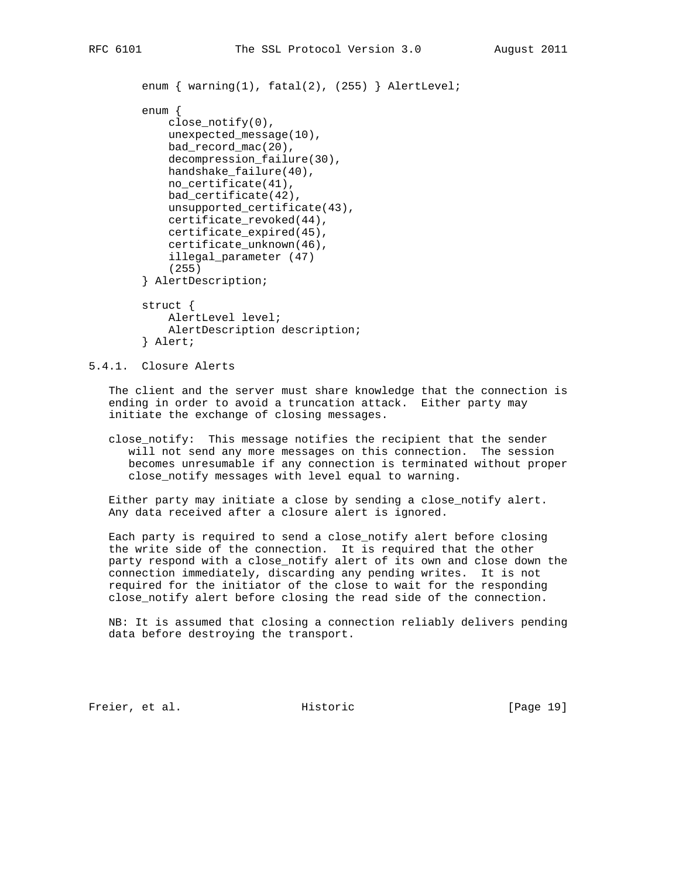```
enum { warning(1), fatal(2), (255) } AlertLevel;
 enum {
    close_notify(0),
    unexpected_message(10),
     bad_record_mac(20),
     decompression_failure(30),
     handshake_failure(40),
     no_certificate(41),
     bad_certificate(42),
     unsupported_certificate(43),
     certificate_revoked(44),
     certificate_expired(45),
     certificate_unknown(46),
     illegal_parameter (47)
     (255)
 } AlertDescription;
 struct {
    AlertLevel level;
     AlertDescription description;
```
} Alert;

### 5.4.1. Closure Alerts

 The client and the server must share knowledge that the connection is ending in order to avoid a truncation attack. Either party may initiate the exchange of closing messages.

 close\_notify: This message notifies the recipient that the sender will not send any more messages on this connection. The session becomes unresumable if any connection is terminated without proper close\_notify messages with level equal to warning.

 Either party may initiate a close by sending a close\_notify alert. Any data received after a closure alert is ignored.

 Each party is required to send a close\_notify alert before closing the write side of the connection. It is required that the other party respond with a close\_notify alert of its own and close down the connection immediately, discarding any pending writes. It is not required for the initiator of the close to wait for the responding close\_notify alert before closing the read side of the connection.

 NB: It is assumed that closing a connection reliably delivers pending data before destroying the transport.

Freier, et al. Historic [Page 19]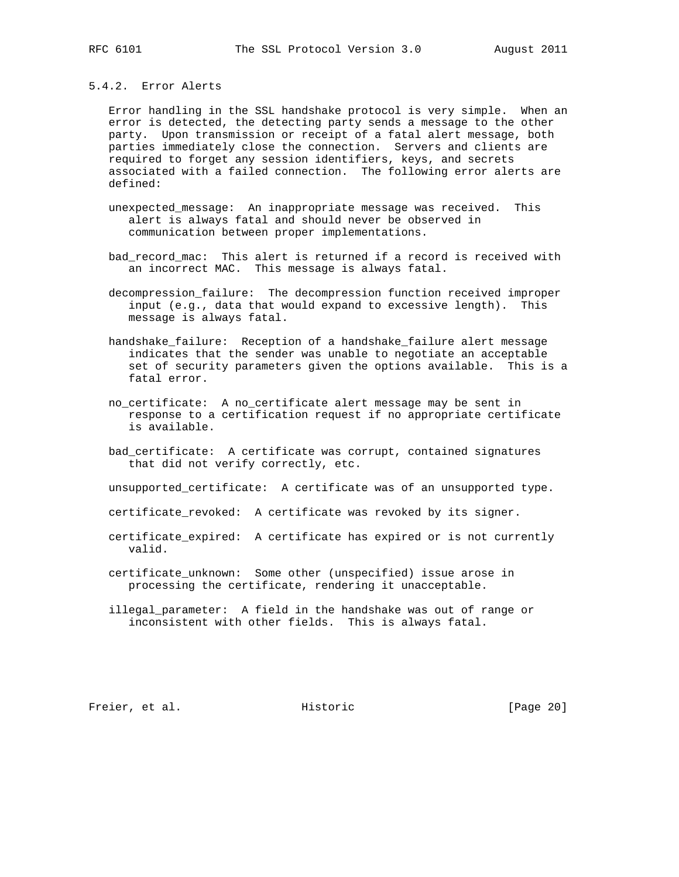#### 5.4.2. Error Alerts

 Error handling in the SSL handshake protocol is very simple. When an error is detected, the detecting party sends a message to the other party. Upon transmission or receipt of a fatal alert message, both parties immediately close the connection. Servers and clients are required to forget any session identifiers, keys, and secrets associated with a failed connection. The following error alerts are defined:

- unexpected\_message: An inappropriate message was received. This alert is always fatal and should never be observed in communication between proper implementations.
- bad\_record\_mac: This alert is returned if a record is received with an incorrect MAC. This message is always fatal.
- decompression\_failure: The decompression function received improper input (e.g., data that would expand to excessive length). This message is always fatal.
- handshake\_failure: Reception of a handshake\_failure alert message indicates that the sender was unable to negotiate an acceptable set of security parameters given the options available. This is a fatal error.
- no\_certificate: A no\_certificate alert message may be sent in response to a certification request if no appropriate certificate is available.
- bad\_certificate: A certificate was corrupt, contained signatures that did not verify correctly, etc.
- unsupported\_certificate: A certificate was of an unsupported type.
- certificate\_revoked: A certificate was revoked by its signer.
- certificate\_expired: A certificate has expired or is not currently valid.
- certificate\_unknown: Some other (unspecified) issue arose in processing the certificate, rendering it unacceptable.
- illegal\_parameter: A field in the handshake was out of range or inconsistent with other fields. This is always fatal.

Freier, et al. Historic [Page 20]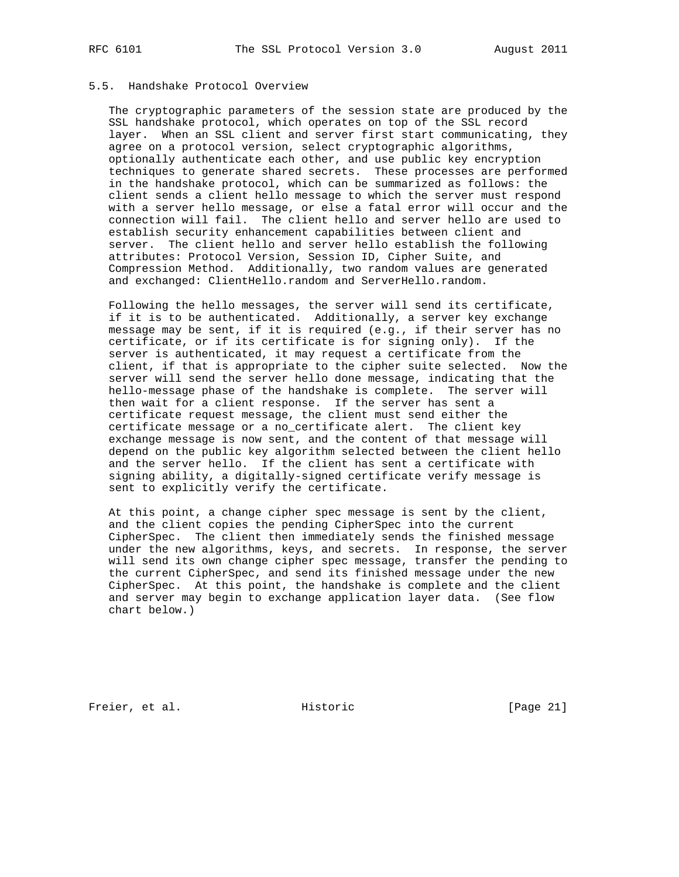#### 5.5. Handshake Protocol Overview

 The cryptographic parameters of the session state are produced by the SSL handshake protocol, which operates on top of the SSL record layer. When an SSL client and server first start communicating, they agree on a protocol version, select cryptographic algorithms, optionally authenticate each other, and use public key encryption techniques to generate shared secrets. These processes are performed in the handshake protocol, which can be summarized as follows: the client sends a client hello message to which the server must respond with a server hello message, or else a fatal error will occur and the connection will fail. The client hello and server hello are used to establish security enhancement capabilities between client and server. The client hello and server hello establish the following attributes: Protocol Version, Session ID, Cipher Suite, and Compression Method. Additionally, two random values are generated and exchanged: ClientHello.random and ServerHello.random.

 Following the hello messages, the server will send its certificate, if it is to be authenticated. Additionally, a server key exchange message may be sent, if it is required (e.g., if their server has no certificate, or if its certificate is for signing only). If the server is authenticated, it may request a certificate from the client, if that is appropriate to the cipher suite selected. Now the server will send the server hello done message, indicating that the hello-message phase of the handshake is complete. The server will then wait for a client response. If the server has sent a certificate request message, the client must send either the certificate message or a no\_certificate alert. The client key exchange message is now sent, and the content of that message will depend on the public key algorithm selected between the client hello and the server hello. If the client has sent a certificate with signing ability, a digitally-signed certificate verify message is sent to explicitly verify the certificate.

 At this point, a change cipher spec message is sent by the client, and the client copies the pending CipherSpec into the current CipherSpec. The client then immediately sends the finished message under the new algorithms, keys, and secrets. In response, the server will send its own change cipher spec message, transfer the pending to the current CipherSpec, and send its finished message under the new CipherSpec. At this point, the handshake is complete and the client and server may begin to exchange application layer data. (See flow chart below.)

Freier, et al. Historic [Page 21]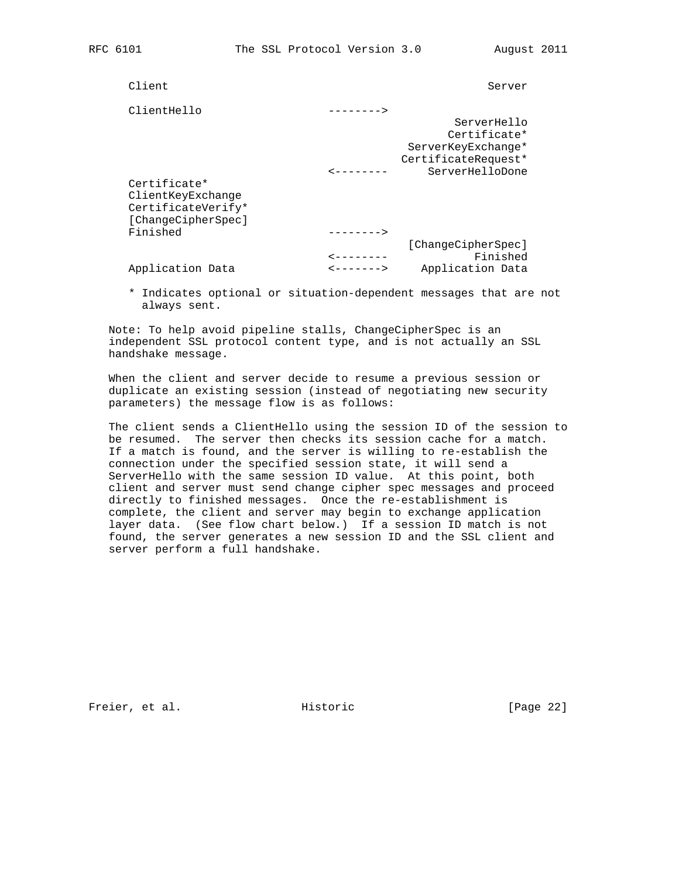| Client             |                        | Server              |
|--------------------|------------------------|---------------------|
| ClientHello        | -------->              |                     |
|                    |                        | ServerHello         |
|                    |                        | Certificate*        |
|                    |                        | ServerKeyExchange*  |
|                    |                        | CertificateRequest* |
|                    |                        | ServerHelloDone     |
| Certificate*       |                        |                     |
| ClientKeyExchange  |                        |                     |
| CertificateVerify* |                        |                     |
| [ChangeCipherSpec] |                        |                     |
| Finished           |                        |                     |
|                    |                        | [ChangeCipherSpec]  |
|                    | ---------              | Finished            |
| Application Data   | <b>&lt;-------&gt;</b> | Application Data    |
|                    |                        |                     |

 \* Indicates optional or situation-dependent messages that are not always sent.

Note: To help avoid pipeline stalls, ChangeCipherSpec is an independent SSL protocol content type, and is not actually an SSL handshake message.

 When the client and server decide to resume a previous session or duplicate an existing session (instead of negotiating new security parameters) the message flow is as follows:

 The client sends a ClientHello using the session ID of the session to be resumed. The server then checks its session cache for a match. If a match is found, and the server is willing to re-establish the connection under the specified session state, it will send a ServerHello with the same session ID value. At this point, both client and server must send change cipher spec messages and proceed directly to finished messages. Once the re-establishment is complete, the client and server may begin to exchange application layer data. (See flow chart below.) If a session ID match is not found, the server generates a new session ID and the SSL client and server perform a full handshake.

Freier, et al. Historic [Page 22]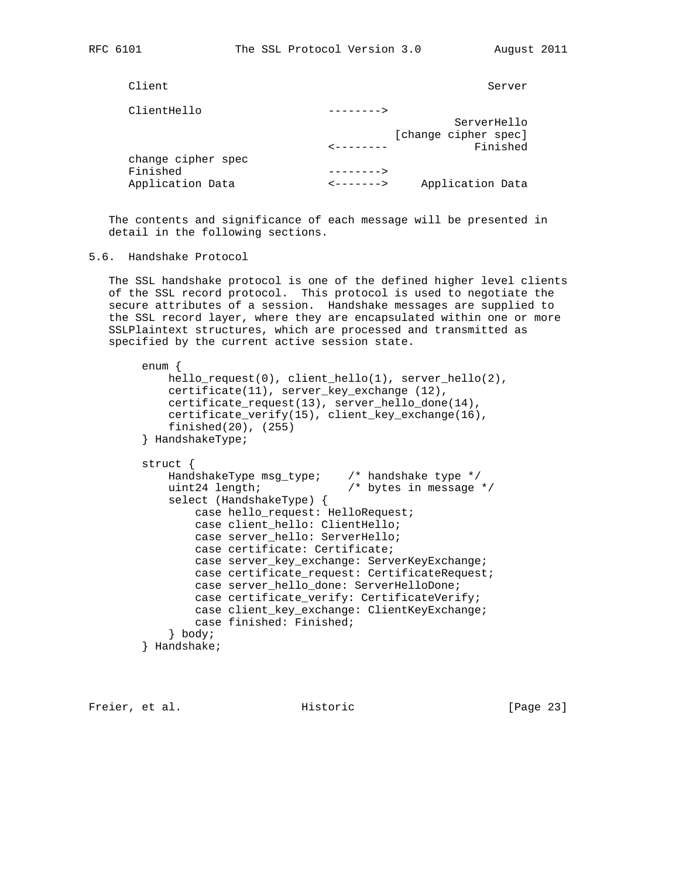Client Server Server Server Server Server Server Server Server Server Server Server Server Server Server Server

| ClientHello        | -------->              |                      |
|--------------------|------------------------|----------------------|
|                    |                        | ServerHello          |
|                    |                        | [change cipher spec] |
|                    | ---------              | Finished             |
| change cipher spec |                        |                      |
| Finished           | $-------->$            |                      |
| Application Data   | <u>&lt;-------&gt;</u> | Application Data     |

 The contents and significance of each message will be presented in detail in the following sections.

5.6. Handshake Protocol

 The SSL handshake protocol is one of the defined higher level clients of the SSL record protocol. This protocol is used to negotiate the secure attributes of a session. Handshake messages are supplied to the SSL record layer, where they are encapsulated within one or more SSLPlaintext structures, which are processed and transmitted as specified by the current active session state.

```
 enum {
    hello_request(0), client_hello(1), server_hello(2),
    certificate(11), server_key_exchange (12),
    certificate_request(13), server_hello_done(14),
    certificate_verify(15), client_key_exchange(16),
     finished(20), (255)
 } HandshakeType;
 struct {
    HandshakeType msg_type; /* handshake type */
    uint24 length; /* bytes in message */
     select (HandshakeType) {
         case hello_request: HelloRequest;
         case client_hello: ClientHello;
         case server_hello: ServerHello;
         case certificate: Certificate;
         case server_key_exchange: ServerKeyExchange;
         case certificate_request: CertificateRequest;
         case server_hello_done: ServerHelloDone;
        case certificate_verify: CertificateVerify;
         case client_key_exchange: ClientKeyExchange;
         case finished: Finished;
     } body;
 } Handshake;
```
Freier, et al. Historic [Page 23]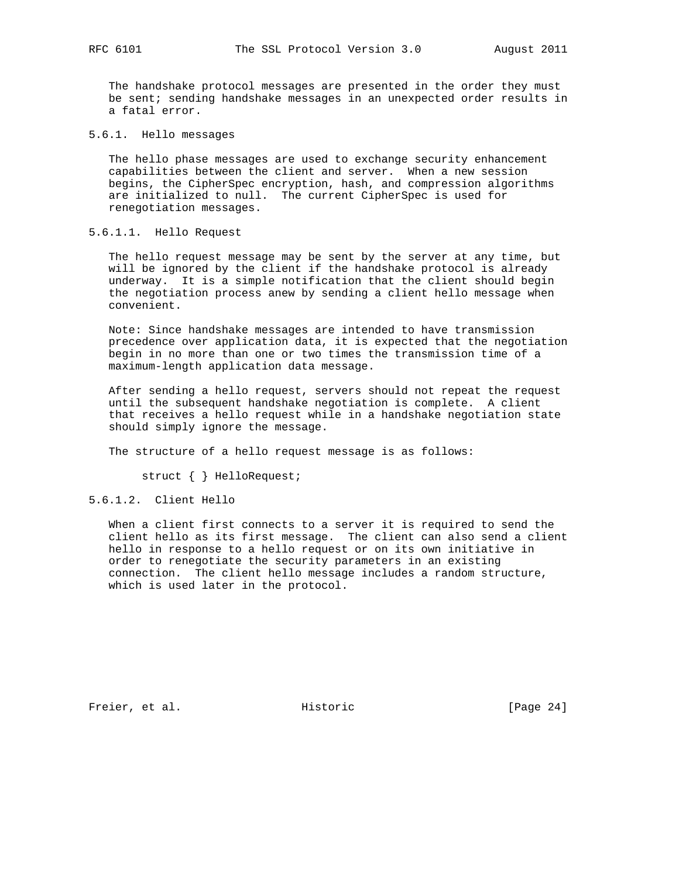The handshake protocol messages are presented in the order they must be sent; sending handshake messages in an unexpected order results in a fatal error.

5.6.1. Hello messages

 The hello phase messages are used to exchange security enhancement capabilities between the client and server. When a new session begins, the CipherSpec encryption, hash, and compression algorithms are initialized to null. The current CipherSpec is used for renegotiation messages.

#### 5.6.1.1. Hello Request

 The hello request message may be sent by the server at any time, but will be ignored by the client if the handshake protocol is already underway. It is a simple notification that the client should begin the negotiation process anew by sending a client hello message when convenient.

 Note: Since handshake messages are intended to have transmission precedence over application data, it is expected that the negotiation begin in no more than one or two times the transmission time of a maximum-length application data message.

 After sending a hello request, servers should not repeat the request until the subsequent handshake negotiation is complete. A client that receives a hello request while in a handshake negotiation state should simply ignore the message.

The structure of a hello request message is as follows:

struct { } HelloRequest;

#### 5.6.1.2. Client Hello

 When a client first connects to a server it is required to send the client hello as its first message. The client can also send a client hello in response to a hello request or on its own initiative in order to renegotiate the security parameters in an existing connection. The client hello message includes a random structure, which is used later in the protocol.

Freier, et al. Historic [Page 24]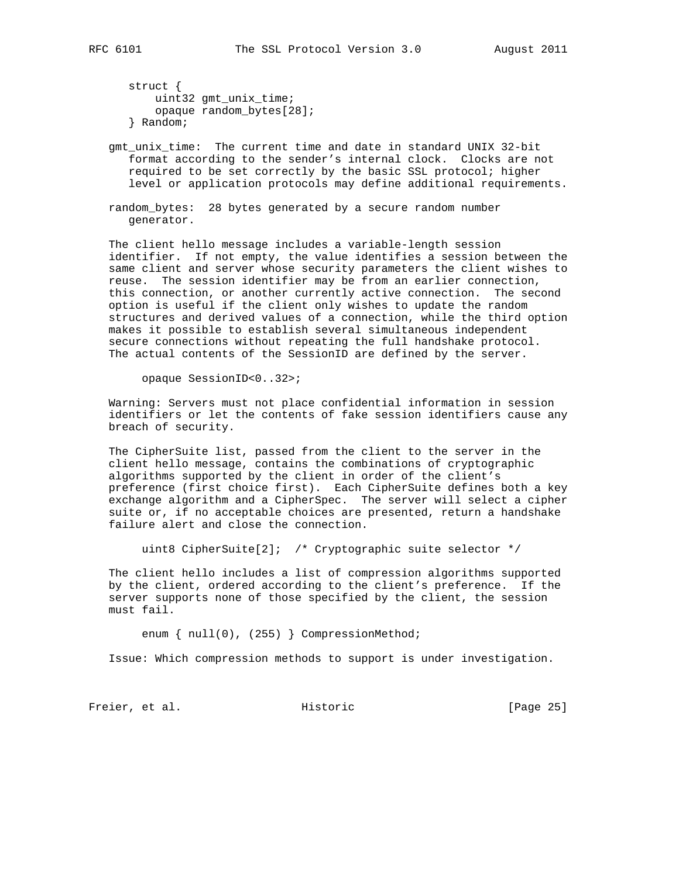struct { uint32 gmt\_unix\_time; opaque random\_bytes[28]; } Random;

 gmt\_unix\_time: The current time and date in standard UNIX 32-bit format according to the sender's internal clock. Clocks are not required to be set correctly by the basic SSL protocol; higher level or application protocols may define additional requirements.

 random\_bytes: 28 bytes generated by a secure random number generator.

 The client hello message includes a variable-length session identifier. If not empty, the value identifies a session between the same client and server whose security parameters the client wishes to reuse. The session identifier may be from an earlier connection, this connection, or another currently active connection. The second option is useful if the client only wishes to update the random structures and derived values of a connection, while the third option makes it possible to establish several simultaneous independent secure connections without repeating the full handshake protocol. The actual contents of the SessionID are defined by the server.

opaque SessionID<0..32>;

 Warning: Servers must not place confidential information in session identifiers or let the contents of fake session identifiers cause any breach of security.

 The CipherSuite list, passed from the client to the server in the client hello message, contains the combinations of cryptographic algorithms supported by the client in order of the client's preference (first choice first). Each CipherSuite defines both a key exchange algorithm and a CipherSpec. The server will select a cipher suite or, if no acceptable choices are presented, return a handshake failure alert and close the connection.

uint8 CipherSuite[2]; /\* Cryptographic suite selector \*/

 The client hello includes a list of compression algorithms supported by the client, ordered according to the client's preference. If the server supports none of those specified by the client, the session must fail.

enum { null(0), (255) } CompressionMethod;

Issue: Which compression methods to support is under investigation.

Freier, et al. Historic [Page 25]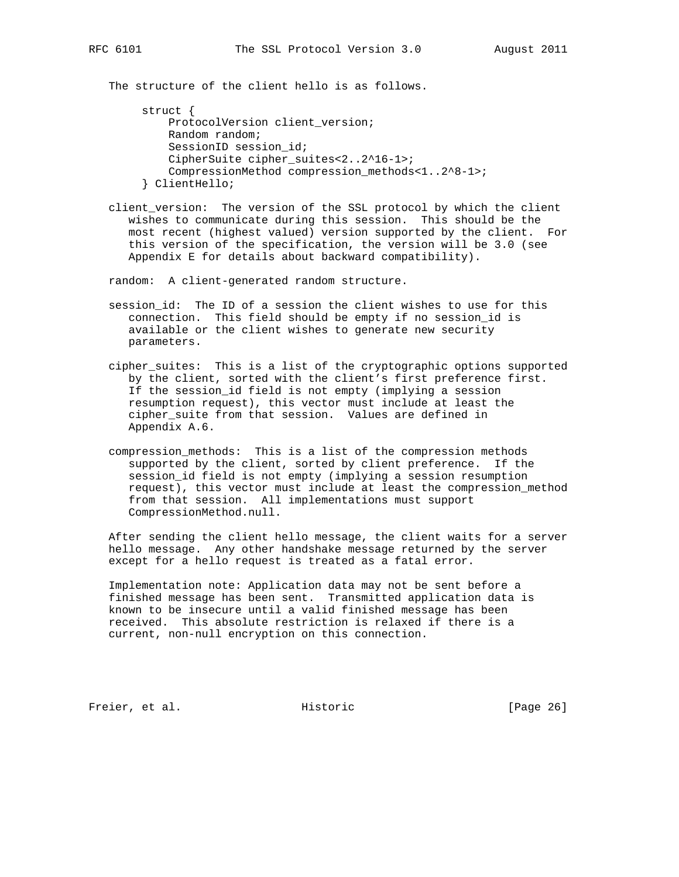The structure of the client hello is as follows.

```
 struct {
     ProtocolVersion client_version;
    Random random;
    SessionID session id;
     CipherSuite cipher_suites<2..2^16-1>;
     CompressionMethod compression_methods<1..2^8-1>;
 } ClientHello;
```
 client\_version: The version of the SSL protocol by which the client wishes to communicate during this session. This should be the most recent (highest valued) version supported by the client. For this version of the specification, the version will be 3.0 (see Appendix E for details about backward compatibility).

random: A client-generated random structure.

- session\_id: The ID of a session the client wishes to use for this connection. This field should be empty if no session\_id is available or the client wishes to generate new security parameters.
- cipher\_suites: This is a list of the cryptographic options supported by the client, sorted with the client's first preference first. If the session\_id field is not empty (implying a session resumption request), this vector must include at least the cipher\_suite from that session. Values are defined in Appendix A.6.
- compression\_methods: This is a list of the compression methods supported by the client, sorted by client preference. If the session\_id field is not empty (implying a session resumption request), this vector must include at least the compression\_method from that session. All implementations must support CompressionMethod.null.

 After sending the client hello message, the client waits for a server hello message. Any other handshake message returned by the server except for a hello request is treated as a fatal error.

 Implementation note: Application data may not be sent before a finished message has been sent. Transmitted application data is known to be insecure until a valid finished message has been received. This absolute restriction is relaxed if there is a current, non-null encryption on this connection.

Freier, et al. Historic [Page 26]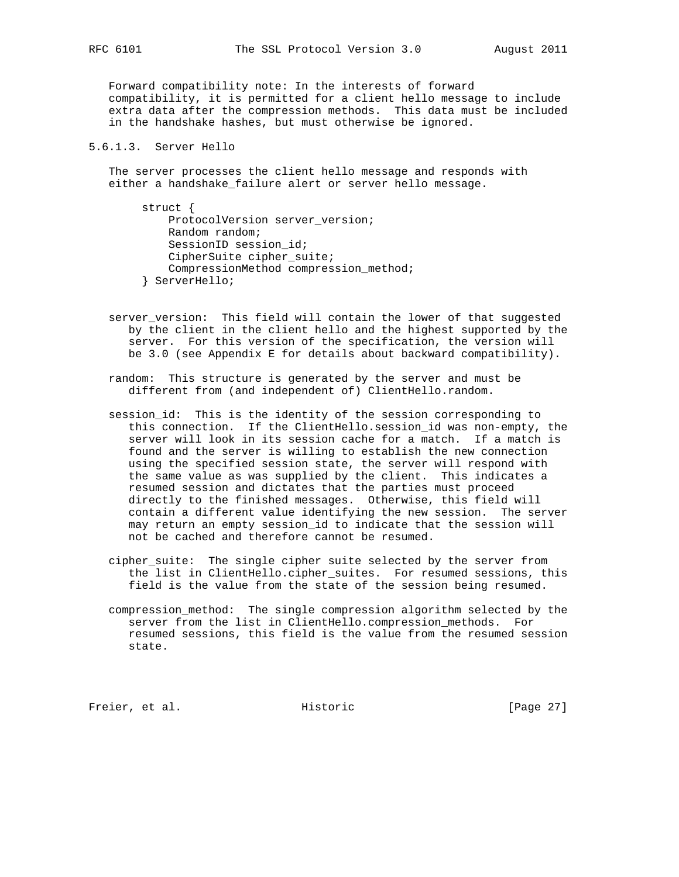Forward compatibility note: In the interests of forward compatibility, it is permitted for a client hello message to include extra data after the compression methods. This data must be included in the handshake hashes, but must otherwise be ignored.

## 5.6.1.3. Server Hello

 The server processes the client hello message and responds with either a handshake\_failure alert or server hello message.

 struct { ProtocolVersion server\_version; Random random; SessionID session\_id; CipherSuite cipher\_suite; CompressionMethod compression\_method; } ServerHello;

- server\_version: This field will contain the lower of that suggested by the client in the client hello and the highest supported by the server. For this version of the specification, the version will be 3.0 (see Appendix E for details about backward compatibility).
- random: This structure is generated by the server and must be different from (and independent of) ClientHello.random.
- session\_id: This is the identity of the session corresponding to this connection. If the ClientHello.session\_id was non-empty, the server will look in its session cache for a match. If a match is found and the server is willing to establish the new connection using the specified session state, the server will respond with the same value as was supplied by the client. This indicates a resumed session and dictates that the parties must proceed directly to the finished messages. Otherwise, this field will contain a different value identifying the new session. The server may return an empty session\_id to indicate that the session will not be cached and therefore cannot be resumed.
- cipher\_suite: The single cipher suite selected by the server from the list in ClientHello.cipher\_suites. For resumed sessions, this field is the value from the state of the session being resumed.
- compression\_method: The single compression algorithm selected by the server from the list in ClientHello.compression\_methods. For resumed sessions, this field is the value from the resumed session state.

Freier, et al. Historic [Page 27]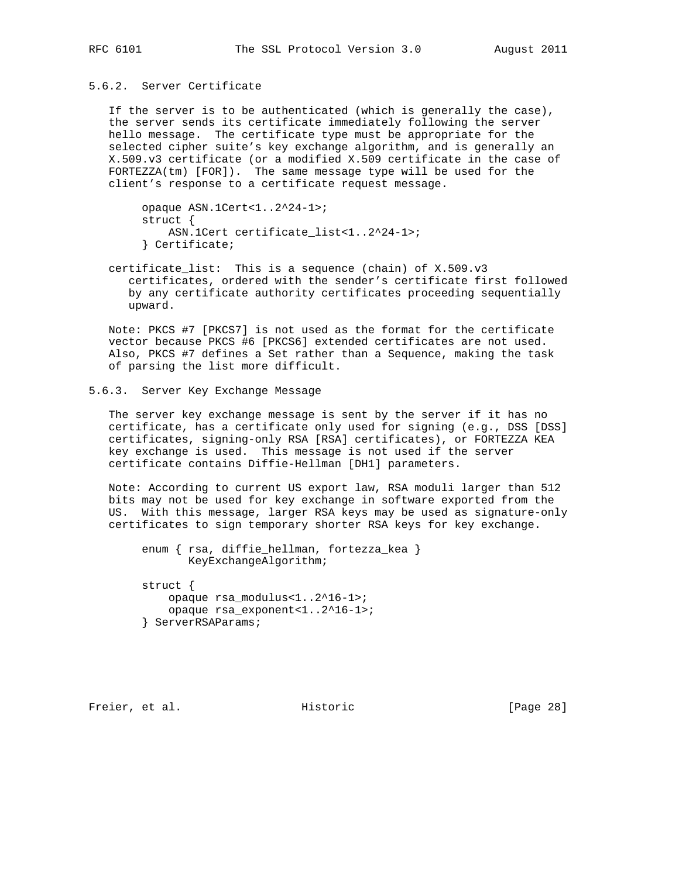## 5.6.2. Server Certificate

 If the server is to be authenticated (which is generally the case), the server sends its certificate immediately following the server hello message. The certificate type must be appropriate for the selected cipher suite's key exchange algorithm, and is generally an X.509.v3 certificate (or a modified X.509 certificate in the case of FORTEZZA(tm) [FOR]). The same message type will be used for the client's response to a certificate request message.

 opaque ASN.1Cert<1..2^24-1>; struct { ASN.1Cert certificate\_list<1..2^24-1>; } Certificate;

 certificate\_list: This is a sequence (chain) of X.509.v3 certificates, ordered with the sender's certificate first followed by any certificate authority certificates proceeding sequentially upward.

 Note: PKCS #7 [PKCS7] is not used as the format for the certificate vector because PKCS #6 [PKCS6] extended certificates are not used. Also, PKCS #7 defines a Set rather than a Sequence, making the task of parsing the list more difficult.

#### 5.6.3. Server Key Exchange Message

 The server key exchange message is sent by the server if it has no certificate, has a certificate only used for signing (e.g., DSS [DSS] certificates, signing-only RSA [RSA] certificates), or FORTEZZA KEA key exchange is used. This message is not used if the server certificate contains Diffie-Hellman [DH1] parameters.

 Note: According to current US export law, RSA moduli larger than 512 bits may not be used for key exchange in software exported from the US. With this message, larger RSA keys may be used as signature-only certificates to sign temporary shorter RSA keys for key exchange.

```
 enum { rsa, diffie_hellman, fortezza_kea }
        KeyExchangeAlgorithm;
 struct {
    opaque rsa_modulus<1..2^16-1>;
     opaque rsa_exponent<1..2^16-1>;
 } ServerRSAParams;
```
Freier, et al. Historic [Page 28]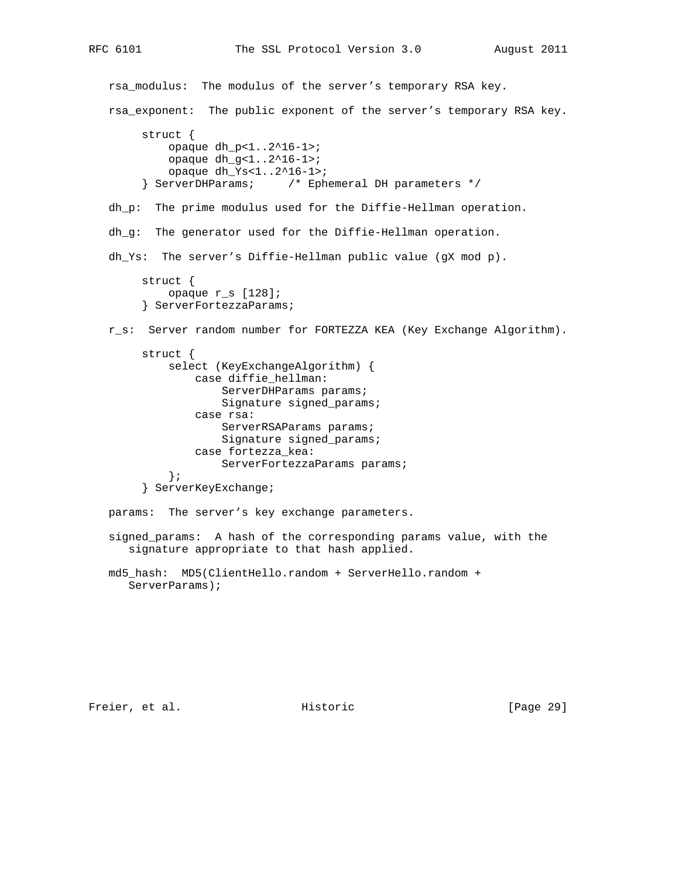rsa\_modulus: The modulus of the server's temporary RSA key. rsa\_exponent: The public exponent of the server's temporary RSA key. struct { opaque dh\_p<1..2^16-1>; opaque dh\_g<1..2^16-1>; opaque dh\_Ys<1..2^16-1>; } ServerDHParams; /\* Ephemeral DH parameters \*/ dh\_p: The prime modulus used for the Diffie-Hellman operation. dh\_g: The generator used for the Diffie-Hellman operation. dh\_Ys: The server's Diffie-Hellman public value (gX mod p). struct { opaque r\_s [128]; } ServerFortezzaParams; r\_s: Server random number for FORTEZZA KEA (Key Exchange Algorithm). struct { select (KeyExchangeAlgorithm) { case diffie\_hellman: ServerDHParams params; Signature signed\_params; case rsa: ServerRSAParams params; Signature signed\_params; case fortezza\_kea: ServerFortezzaParams params; }; } ServerKeyExchange; params: The server's key exchange parameters. signed\_params: A hash of the corresponding params value, with the signature appropriate to that hash applied.

 md5\_hash: MD5(ClientHello.random + ServerHello.random + ServerParams);

Freier, et al. Historic [Page 29]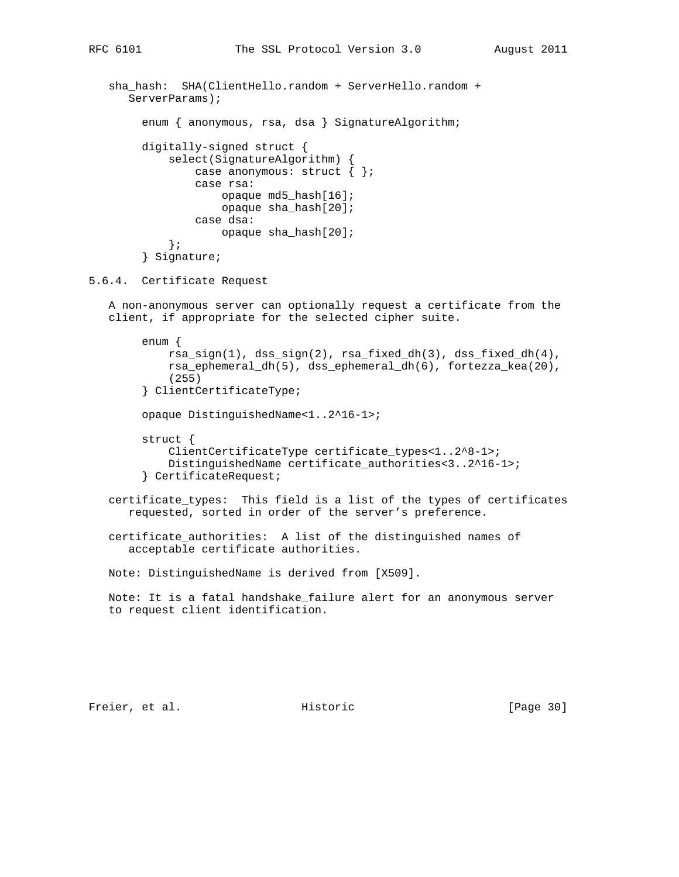```
sha_hash: SHA(ClientHello.random + ServerHello.random +
       ServerParams);
        enum { anonymous, rsa, dsa } SignatureAlgorithm;
         digitally-signed struct {
             select(SignatureAlgorithm) {
                 case anonymous: struct { };
                 case rsa:
                     opaque md5_hash[16];
                    opaque sha_hash[20];
                 case dsa:
                     opaque sha_hash[20];
             };
         } Signature;
5.6.4. Certificate Request
   A non-anonymous server can optionally request a certificate from the
    client, if appropriate for the selected cipher suite.
         enum {
             rsa_sign(1), dss_sign(2), rsa_fixed_dh(3), dss_fixed_dh(4),
             rsa_ephemeral_dh(5), dss_ephemeral_dh(6), fortezza_kea(20),
             (255)
         } ClientCertificateType;
         opaque DistinguishedName<1..2^16-1>;
         struct {
             ClientCertificateType certificate_types<1..2^8-1>;
             DistinguishedName certificate_authorities<3..2^16-1>;
         } CertificateRequest;
   certificate_types: This field is a list of the types of certificates
       requested, sorted in order of the server's preference.
    certificate_authorities: A list of the distinguished names of
       acceptable certificate authorities.
   Note: DistinguishedName is derived from [X509].
   Note: It is a fatal handshake_failure alert for an anonymous server
    to request client identification.
```
Freier, et al. Historic [Page 30]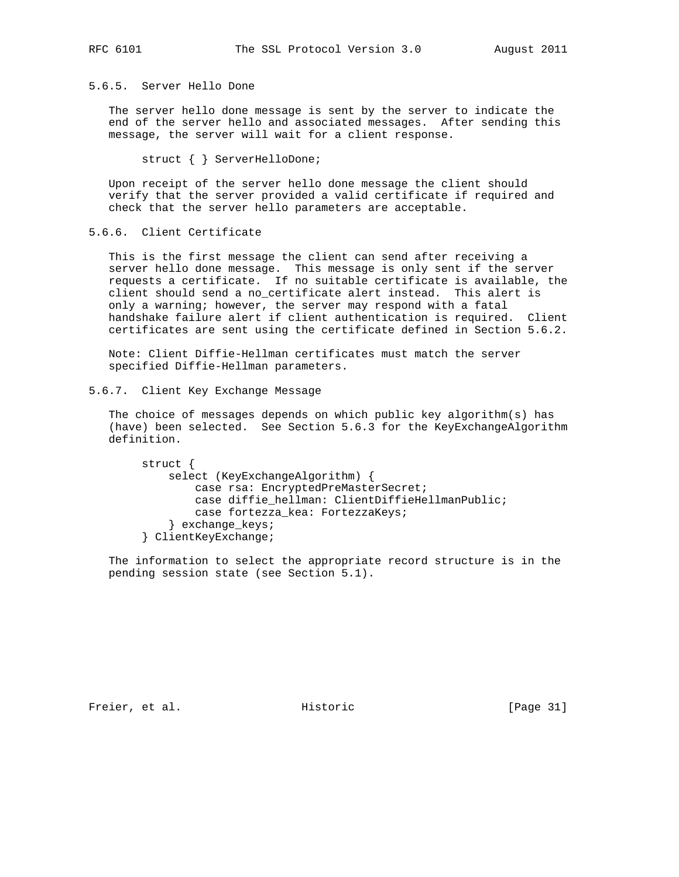## 5.6.5. Server Hello Done

 The server hello done message is sent by the server to indicate the end of the server hello and associated messages. After sending this message, the server will wait for a client response.

struct { } ServerHelloDone;

 Upon receipt of the server hello done message the client should verify that the server provided a valid certificate if required and check that the server hello parameters are acceptable.

5.6.6. Client Certificate

 This is the first message the client can send after receiving a server hello done message. This message is only sent if the server requests a certificate. If no suitable certificate is available, the client should send a no\_certificate alert instead. This alert is only a warning; however, the server may respond with a fatal handshake failure alert if client authentication is required. Client certificates are sent using the certificate defined in Section 5.6.2.

 Note: Client Diffie-Hellman certificates must match the server specified Diffie-Hellman parameters.

5.6.7. Client Key Exchange Message

 The choice of messages depends on which public key algorithm(s) has (have) been selected. See Section 5.6.3 for the KeyExchangeAlgorithm definition.

```
 struct {
     select (KeyExchangeAlgorithm) {
         case rsa: EncryptedPreMasterSecret;
         case diffie_hellman: ClientDiffieHellmanPublic;
        case fortezza_kea: FortezzaKeys;
     } exchange_keys;
 } ClientKeyExchange;
```
 The information to select the appropriate record structure is in the pending session state (see Section 5.1).

Freier, et al. Historic [Page 31]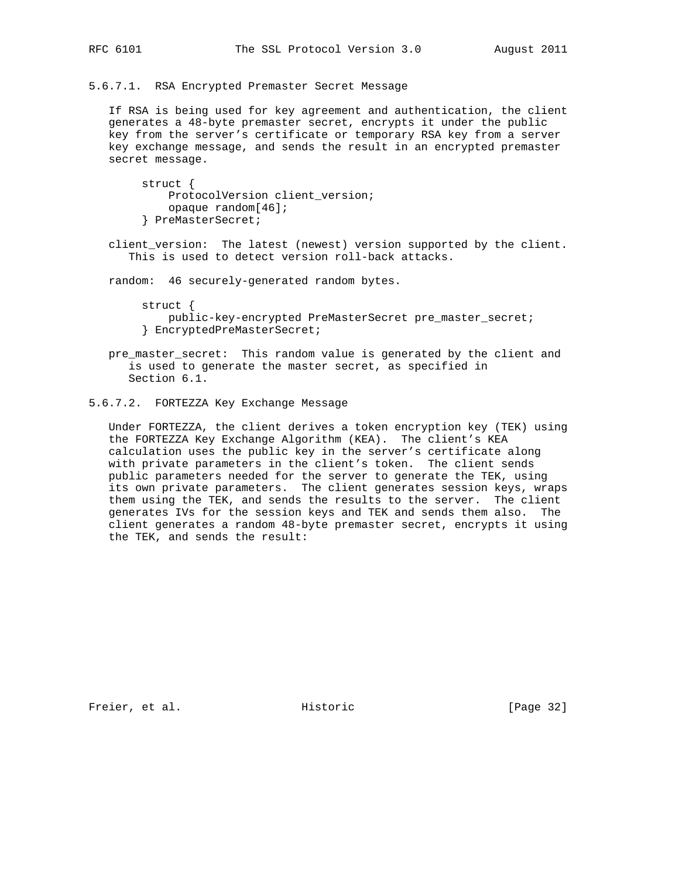### 5.6.7.1. RSA Encrypted Premaster Secret Message

 If RSA is being used for key agreement and authentication, the client generates a 48-byte premaster secret, encrypts it under the public key from the server's certificate or temporary RSA key from a server key exchange message, and sends the result in an encrypted premaster secret message.

 struct { ProtocolVersion client\_version; opaque random[46]; } PreMasterSecret;

 client\_version: The latest (newest) version supported by the client. This is used to detect version roll-back attacks.

random: 46 securely-generated random bytes.

 struct { public-key-encrypted PreMasterSecret pre\_master\_secret; } EncryptedPreMasterSecret;

 pre\_master\_secret: This random value is generated by the client and is used to generate the master secret, as specified in Section 6.1.

## 5.6.7.2. FORTEZZA Key Exchange Message

 Under FORTEZZA, the client derives a token encryption key (TEK) using the FORTEZZA Key Exchange Algorithm (KEA). The client's KEA calculation uses the public key in the server's certificate along with private parameters in the client's token. The client sends public parameters needed for the server to generate the TEK, using its own private parameters. The client generates session keys, wraps them using the TEK, and sends the results to the server. The client generates IVs for the session keys and TEK and sends them also. The client generates a random 48-byte premaster secret, encrypts it using the TEK, and sends the result:

Freier, et al. Historic [Page 32]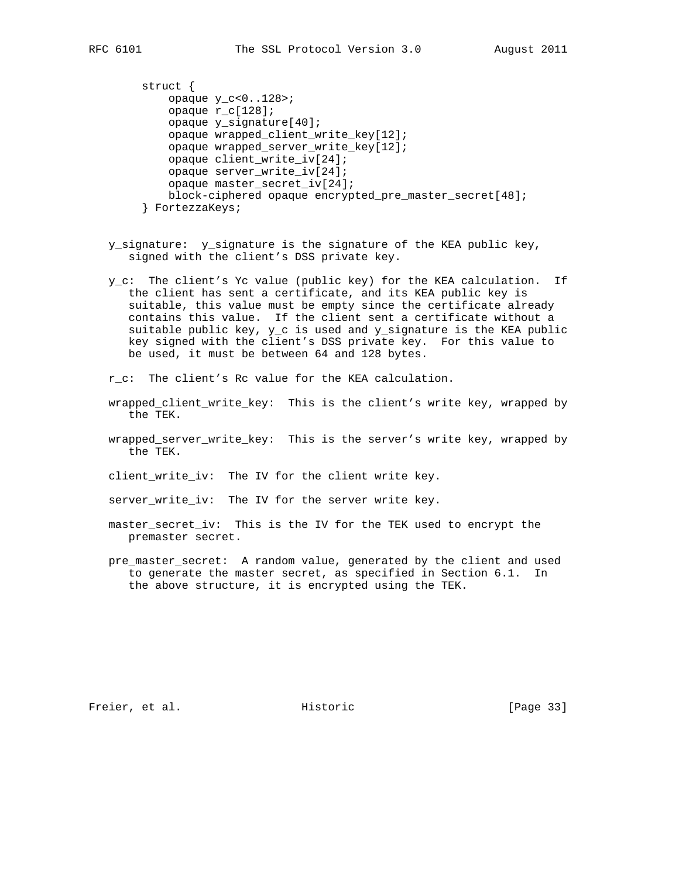```
 struct {
    opaque y_c<0..128>;
    opaque r_c[128];
    opaque y_signature[40];
    opaque wrapped_client_write_key[12];
     opaque wrapped_server_write_key[12];
    opaque client_write_iv[24];
    opaque server_write_iv[24];
    opaque master_secret_iv[24];
    block-ciphered opaque encrypted_pre_master_secret[48];
 } FortezzaKeys;
```
- y\_signature: y\_signature is the signature of the KEA public key, signed with the client's DSS private key.
- y\_c: The client's Yc value (public key) for the KEA calculation. If the client has sent a certificate, and its KEA public key is suitable, this value must be empty since the certificate already contains this value. If the client sent a certificate without a suitable public key, y\_c is used and y\_signature is the KEA public key signed with the client's DSS private key. For this value to be used, it must be between 64 and 128 bytes.
- r\_c: The client's Rc value for the KEA calculation.
- wrapped\_client\_write\_key: This is the client's write key, wrapped by the TEK.
- wrapped\_server\_write\_key: This is the server's write key, wrapped by the TEK.
- client\_write\_iv: The IV for the client write key.
- server\_write\_iv: The IV for the server write key.
- master\_secret\_iv: This is the IV for the TEK used to encrypt the premaster secret.
- pre\_master\_secret: A random value, generated by the client and used to generate the master secret, as specified in Section 6.1. In the above structure, it is encrypted using the TEK.

Freier, et al. Historic [Page 33]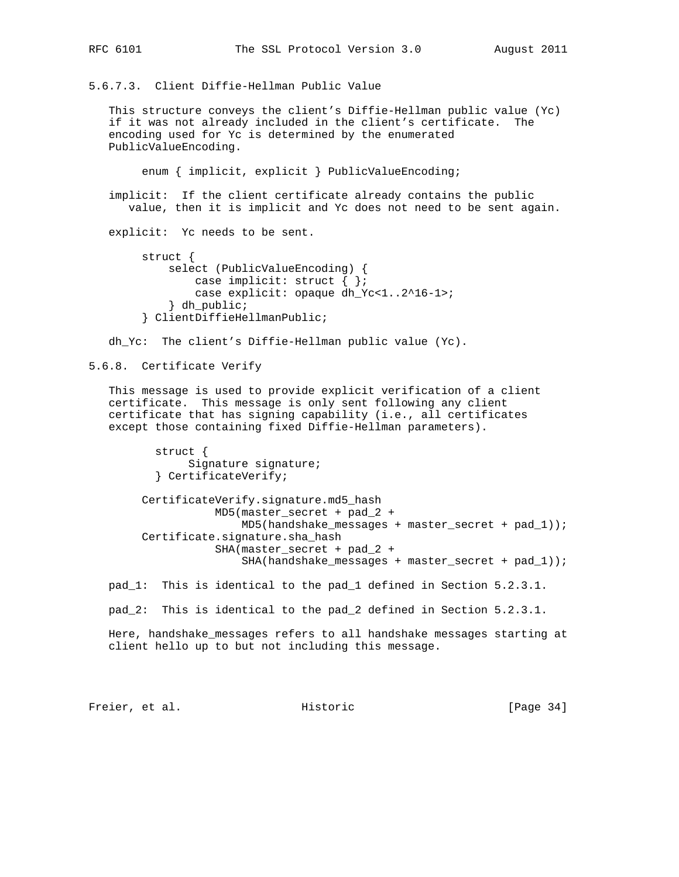5.6.7.3. Client Diffie-Hellman Public Value

 This structure conveys the client's Diffie-Hellman public value (Yc) if it was not already included in the client's certificate. The encoding used for Yc is determined by the enumerated PublicValueEncoding.

enum { implicit, explicit } PublicValueEncoding;

 implicit: If the client certificate already contains the public value, then it is implicit and Yc does not need to be sent again.

explicit: Yc needs to be sent.

```
 struct {
     select (PublicValueEncoding) {
         case implicit: struct { };
         case explicit: opaque dh_Yc<1..2^16-1>;
     } dh_public;
 } ClientDiffieHellmanPublic;
```
dh\_Yc: The client's Diffie-Hellman public value (Yc).

#### 5.6.8. Certificate Verify

 This message is used to provide explicit verification of a client certificate. This message is only sent following any client certificate that has signing capability (i.e., all certificates except those containing fixed Diffie-Hellman parameters).

```
 struct {
      Signature signature;
 } CertificateVerify;
```
 CertificateVerify.signature.md5\_hash MD5(master\_secret + pad\_2 + MD5(handshake\_messages + master\_secret + pad\_1)); Certificate.signature.sha\_hash SHA(master\_secret + pad\_2 + SHA(handshake\_messages + master\_secret + pad\_1));

pad\_1: This is identical to the pad\_1 defined in Section 5.2.3.1.

pad\_2: This is identical to the pad\_2 defined in Section 5.2.3.1.

 Here, handshake\_messages refers to all handshake messages starting at client hello up to but not including this message.

Freier, et al. Historic [Page 34]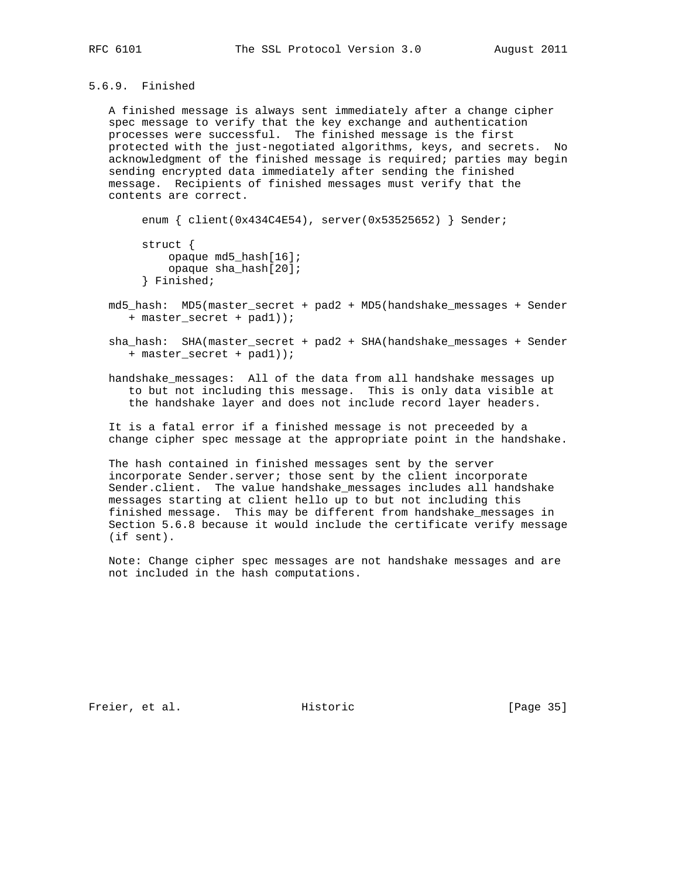## 5.6.9. Finished

 A finished message is always sent immediately after a change cipher spec message to verify that the key exchange and authentication processes were successful. The finished message is the first protected with the just-negotiated algorithms, keys, and secrets. No acknowledgment of the finished message is required; parties may begin sending encrypted data immediately after sending the finished message. Recipients of finished messages must verify that the contents are correct.

enum { client(0x434C4E54), server(0x53525652) } Sender;

```
 struct {
     opaque md5_hash[16];
     opaque sha_hash[20];
 } Finished;
```
- md5\_hash: MD5(master\_secret + pad2 + MD5(handshake\_messages + Sender + master\_secret + pad1));
- sha\_hash: SHA(master\_secret + pad2 + SHA(handshake\_messages + Sender + master\_secret + pad1));
- handshake\_messages: All of the data from all handshake messages up to but not including this message. This is only data visible at the handshake layer and does not include record layer headers.

 It is a fatal error if a finished message is not preceeded by a change cipher spec message at the appropriate point in the handshake.

 The hash contained in finished messages sent by the server incorporate Sender.server; those sent by the client incorporate Sender.client. The value handshake\_messages includes all handshake messages starting at client hello up to but not including this finished message. This may be different from handshake\_messages in Section 5.6.8 because it would include the certificate verify message (if sent).

 Note: Change cipher spec messages are not handshake messages and are not included in the hash computations.

Freier, et al. Historic [Page 35]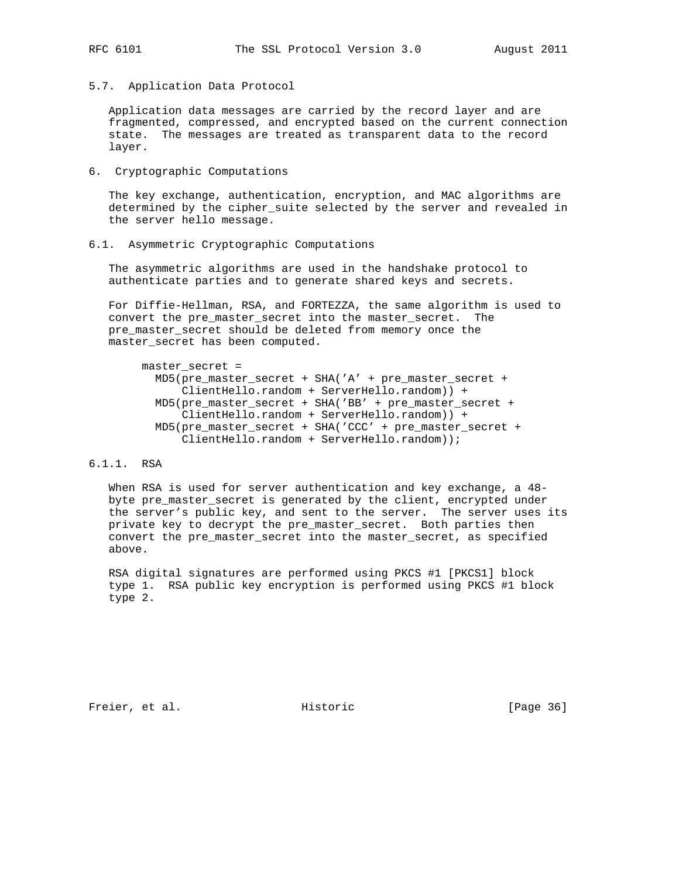5.7. Application Data Protocol

 Application data messages are carried by the record layer and are fragmented, compressed, and encrypted based on the current connection state. The messages are treated as transparent data to the record layer.

6. Cryptographic Computations

 The key exchange, authentication, encryption, and MAC algorithms are determined by the cipher\_suite selected by the server and revealed in the server hello message.

#### 6.1. Asymmetric Cryptographic Computations

 The asymmetric algorithms are used in the handshake protocol to authenticate parties and to generate shared keys and secrets.

 For Diffie-Hellman, RSA, and FORTEZZA, the same algorithm is used to convert the pre\_master\_secret into the master\_secret. The pre\_master\_secret should be deleted from memory once the master\_secret has been computed.

## master\_secret =

```
 MD5(pre_master_secret + SHA('A' + pre_master_secret +
     ClientHello.random + ServerHello.random)) +
 MD5(pre_master_secret + SHA('BB' + pre_master_secret +
    ClientHello.random + ServerHello.random)) +
 MD5(pre_master_secret + SHA('CCC' + pre_master_secret +
    ClientHello.random + ServerHello.random));
```
## 6.1.1. RSA

 When RSA is used for server authentication and key exchange, a 48 byte pre\_master\_secret is generated by the client, encrypted under the server's public key, and sent to the server. The server uses its private key to decrypt the pre\_master\_secret. Both parties then convert the pre\_master\_secret into the master\_secret, as specified above.

 RSA digital signatures are performed using PKCS #1 [PKCS1] block type 1. RSA public key encryption is performed using PKCS #1 block type 2.

Freier, et al. Historic [Page 36]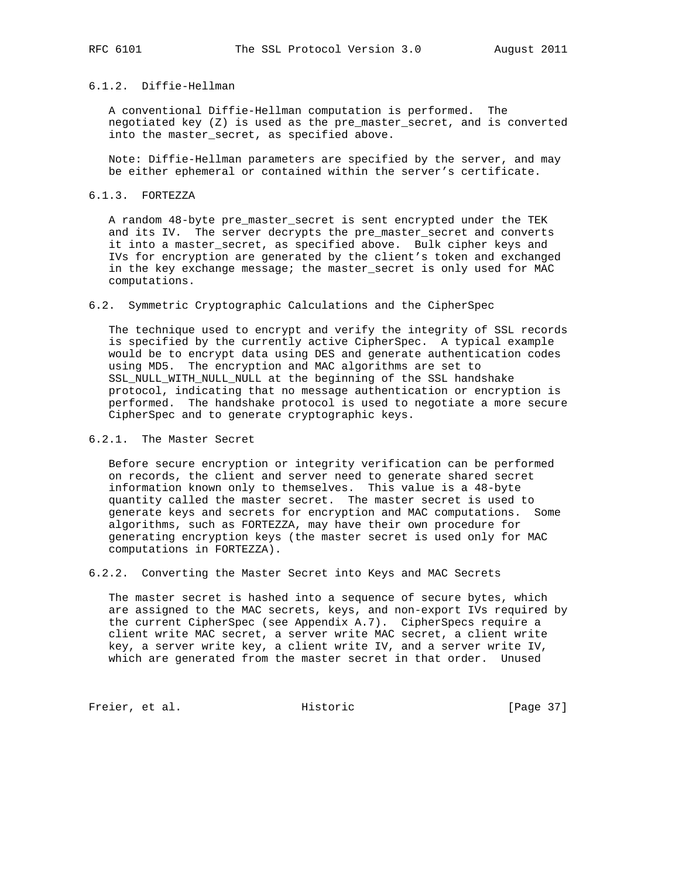#### 6.1.2. Diffie-Hellman

 A conventional Diffie-Hellman computation is performed. The negotiated key (Z) is used as the pre\_master\_secret, and is converted into the master\_secret, as specified above.

 Note: Diffie-Hellman parameters are specified by the server, and may be either ephemeral or contained within the server's certificate.

#### 6.1.3. FORTEZZA

 A random 48-byte pre\_master\_secret is sent encrypted under the TEK and its IV. The server decrypts the pre\_master\_secret and converts it into a master\_secret, as specified above. Bulk cipher keys and IVs for encryption are generated by the client's token and exchanged in the key exchange message; the master\_secret is only used for MAC computations.

#### 6.2. Symmetric Cryptographic Calculations and the CipherSpec

 The technique used to encrypt and verify the integrity of SSL records is specified by the currently active CipherSpec. A typical example would be to encrypt data using DES and generate authentication codes using MD5. The encryption and MAC algorithms are set to SSL\_NULL\_WITH\_NULL\_NULL at the beginning of the SSL handshake protocol, indicating that no message authentication or encryption is performed. The handshake protocol is used to negotiate a more secure CipherSpec and to generate cryptographic keys.

#### 6.2.1. The Master Secret

 Before secure encryption or integrity verification can be performed on records, the client and server need to generate shared secret information known only to themselves. This value is a 48-byte quantity called the master secret. The master secret is used to generate keys and secrets for encryption and MAC computations. Some algorithms, such as FORTEZZA, may have their own procedure for generating encryption keys (the master secret is used only for MAC computations in FORTEZZA).

6.2.2. Converting the Master Secret into Keys and MAC Secrets

 The master secret is hashed into a sequence of secure bytes, which are assigned to the MAC secrets, keys, and non-export IVs required by the current CipherSpec (see Appendix A.7). CipherSpecs require a client write MAC secret, a server write MAC secret, a client write key, a server write key, a client write IV, and a server write IV, which are generated from the master secret in that order. Unused

Freier, et al. Historic [Page 37]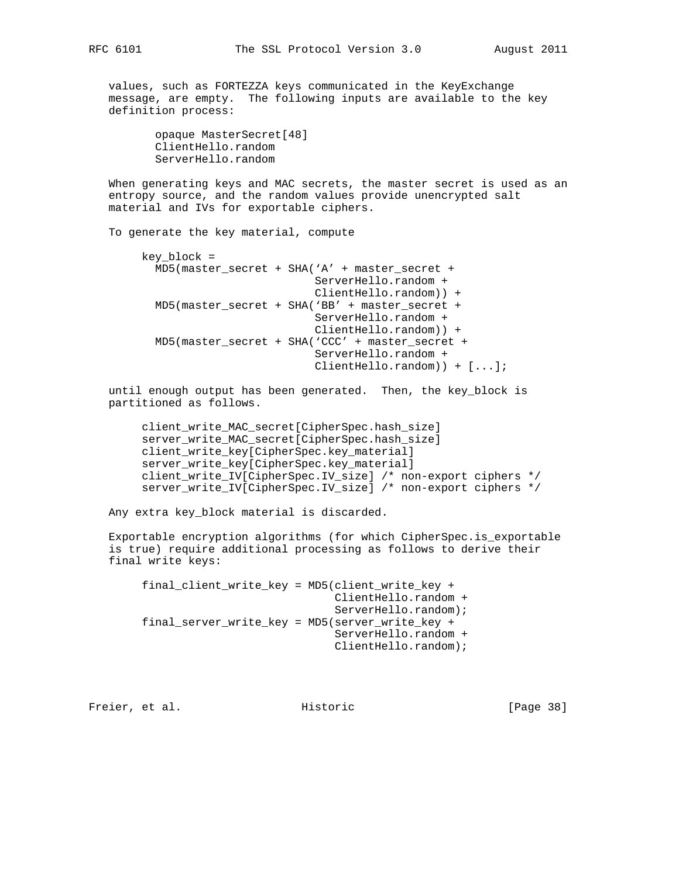values, such as FORTEZZA keys communicated in the KeyExchange message, are empty. The following inputs are available to the key definition process:

> opaque MasterSecret[48] ClientHello.random ServerHello.random

 When generating keys and MAC secrets, the master secret is used as an entropy source, and the random values provide unencrypted salt material and IVs for exportable ciphers.

To generate the key material, compute

```
 key_block =
   MD5(master_secret + SHA('A' + master_secret +
                            ServerHello.random +
                            ClientHello.random)) +
   MD5(master_secret + SHA('BB' + master_secret +
                           ServerHello.random +
                           ClientHello.random)) +
   MD5(master_secret + SHA('CCC' + master_secret +
                           ServerHello.random +
                           ClientHello.random)) + [...];
```
 until enough output has been generated. Then, the key\_block is partitioned as follows.

 client\_write\_MAC\_secret[CipherSpec.hash\_size] server\_write\_MAC\_secret[CipherSpec.hash\_size] client\_write\_key[CipherSpec.key\_material] server\_write\_key[CipherSpec.key\_material] client\_write\_IV[CipherSpec.IV\_size] /\* non-export ciphers \*/ server\_write\_IV[CipherSpec.IV\_size] /\* non-export ciphers \*/

Any extra key\_block material is discarded.

 Exportable encryption algorithms (for which CipherSpec.is\_exportable is true) require additional processing as follows to derive their final write keys:

```
 final_client_write_key = MD5(client_write_key +
                               ClientHello.random +
                               ServerHello.random);
 final_server_write_key = MD5(server_write_key +
                              ServerHello.random +
                               ClientHello.random);
```
Freier, et al. Historic [Page 38]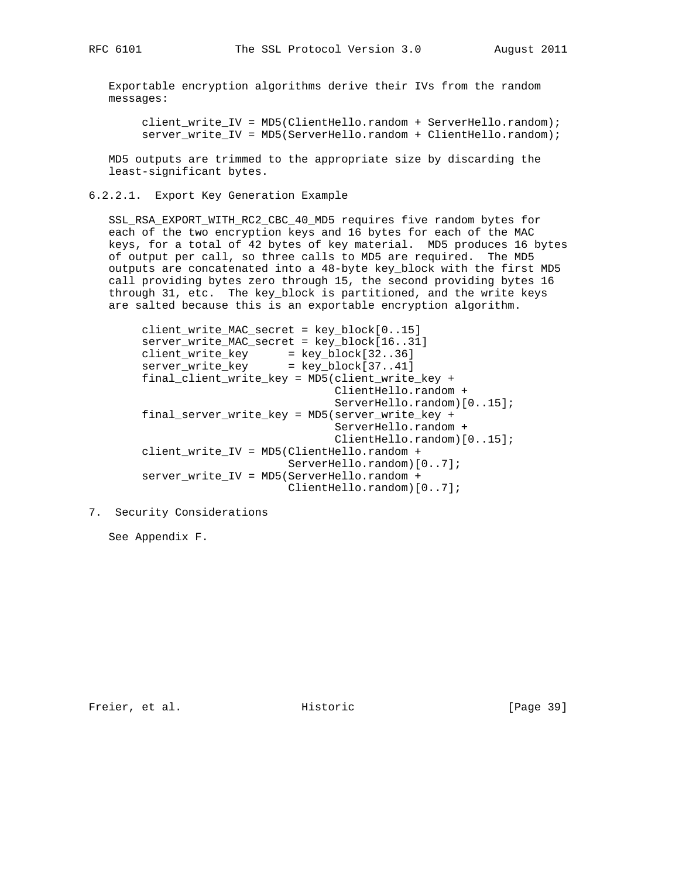Exportable encryption algorithms derive their IVs from the random messages:

 client\_write\_IV = MD5(ClientHello.random + ServerHello.random); server\_write\_IV = MD5(ServerHello.random + ClientHello.random);

 MD5 outputs are trimmed to the appropriate size by discarding the least-significant bytes.

6.2.2.1. Export Key Generation Example

 SSL\_RSA\_EXPORT\_WITH\_RC2\_CBC\_40\_MD5 requires five random bytes for each of the two encryption keys and 16 bytes for each of the MAC keys, for a total of 42 bytes of key material. MD5 produces 16 bytes of output per call, so three calls to MD5 are required. The MD5 outputs are concatenated into a 48-byte key\_block with the first MD5 call providing bytes zero through 15, the second providing bytes 16 through 31, etc. The key\_block is partitioned, and the write keys are salted because this is an exportable encryption algorithm.

```
 client_write_MAC_secret = key_block[0..15]
        server_write_MAC_secret = key_block[16..31]
 client_write_key = key_block[32..36]
 server_write_key = key_block[37..41]
        final_client_write_key = MD5(client_write_key +
                                     ClientHello.random +
                                     ServerHello.random)[0..15];
        final_server_write_key = MD5(server_write_key +
                                     ServerHello.random +
                                     ClientHello.random)[0..15];
        client_write_IV = MD5(ClientHello.random +
                              ServerHello.random)[0..7];
        server_write_IV = MD5(ServerHello.random +
                              ClientHello.random)[0..7];
```
7. Security Considerations

See Appendix F.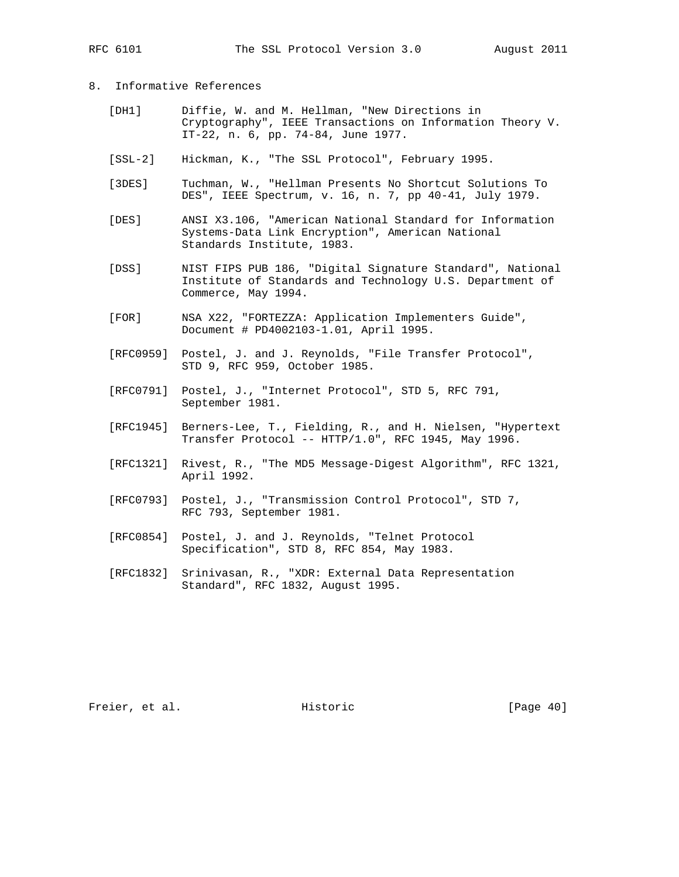## 8. Informative References

- [DH1] Diffie, W. and M. Hellman, "New Directions in Cryptography", IEEE Transactions on Information Theory V. IT-22, n. 6, pp. 74-84, June 1977.
- [SSL-2] Hickman, K., "The SSL Protocol", February 1995.
- [3DES] Tuchman, W., "Hellman Presents No Shortcut Solutions To DES", IEEE Spectrum, v. 16, n. 7, pp 40-41, July 1979.
- [DES] ANSI X3.106, "American National Standard for Information Systems-Data Link Encryption", American National Standards Institute, 1983.
- [DSS] NIST FIPS PUB 186, "Digital Signature Standard", National Institute of Standards and Technology U.S. Department of Commerce, May 1994.
- [FOR] NSA X22, "FORTEZZA: Application Implementers Guide", Document # PD4002103-1.01, April 1995.
- [RFC0959] Postel, J. and J. Reynolds, "File Transfer Protocol", STD 9, RFC 959, October 1985.
- [RFC0791] Postel, J., "Internet Protocol", STD 5, RFC 791, September 1981.
- [RFC1945] Berners-Lee, T., Fielding, R., and H. Nielsen, "Hypertext Transfer Protocol -- HTTP/1.0", RFC 1945, May 1996.
- [RFC1321] Rivest, R., "The MD5 Message-Digest Algorithm", RFC 1321, April 1992.
- [RFC0793] Postel, J., "Transmission Control Protocol", STD 7, RFC 793, September 1981.
- [RFC0854] Postel, J. and J. Reynolds, "Telnet Protocol Specification", STD 8, RFC 854, May 1983.
- [RFC1832] Srinivasan, R., "XDR: External Data Representation Standard", RFC 1832, August 1995.

Freier, et al. Historic [Page 40]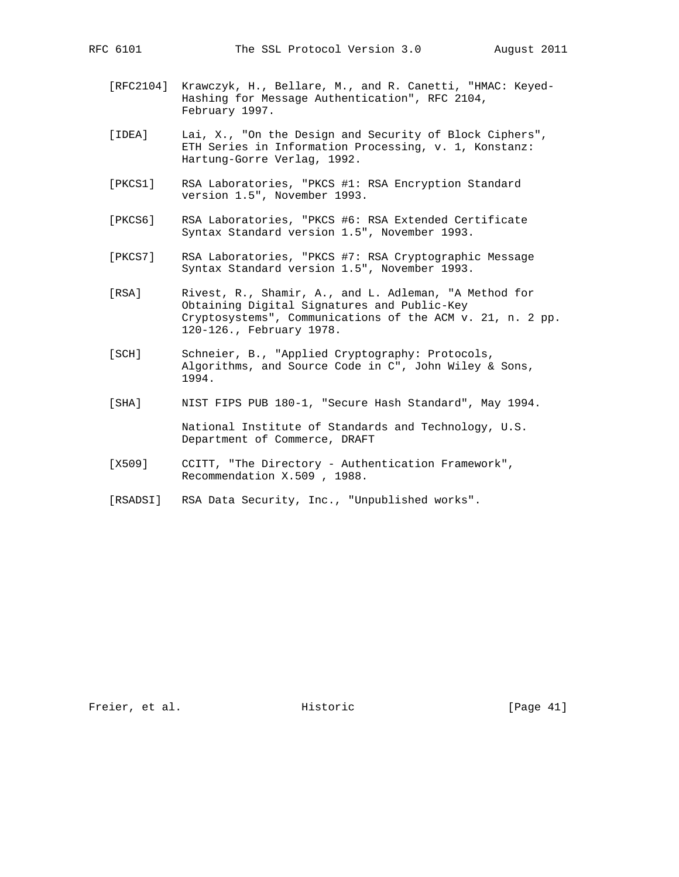- [RFC2104] Krawczyk, H., Bellare, M., and R. Canetti, "HMAC: Keyed- Hashing for Message Authentication", RFC 2104, February 1997.
- [IDEA] Lai, X., "On the Design and Security of Block Ciphers", ETH Series in Information Processing, v. 1, Konstanz: Hartung-Gorre Verlag, 1992.
- [PKCS1] RSA Laboratories, "PKCS #1: RSA Encryption Standard version 1.5", November 1993.
- [PKCS6] RSA Laboratories, "PKCS #6: RSA Extended Certificate Syntax Standard version 1.5", November 1993.
- [PKCS7] RSA Laboratories, "PKCS #7: RSA Cryptographic Message Syntax Standard version 1.5", November 1993.
- [RSA] Rivest, R., Shamir, A., and L. Adleman, "A Method for Obtaining Digital Signatures and Public-Key Cryptosystems", Communications of the ACM v. 21, n. 2 pp. 120-126., February 1978.
- [SCH] Schneier, B., "Applied Cryptography: Protocols, Algorithms, and Source Code in C", John Wiley & Sons, 1994.
- [SHA] NIST FIPS PUB 180-1, "Secure Hash Standard", May 1994.

 National Institute of Standards and Technology, U.S. Department of Commerce, DRAFT

- [X509] CCITT, "The Directory Authentication Framework", Recommendation X.509 , 1988.
- [RSADSI] RSA Data Security, Inc., "Unpublished works".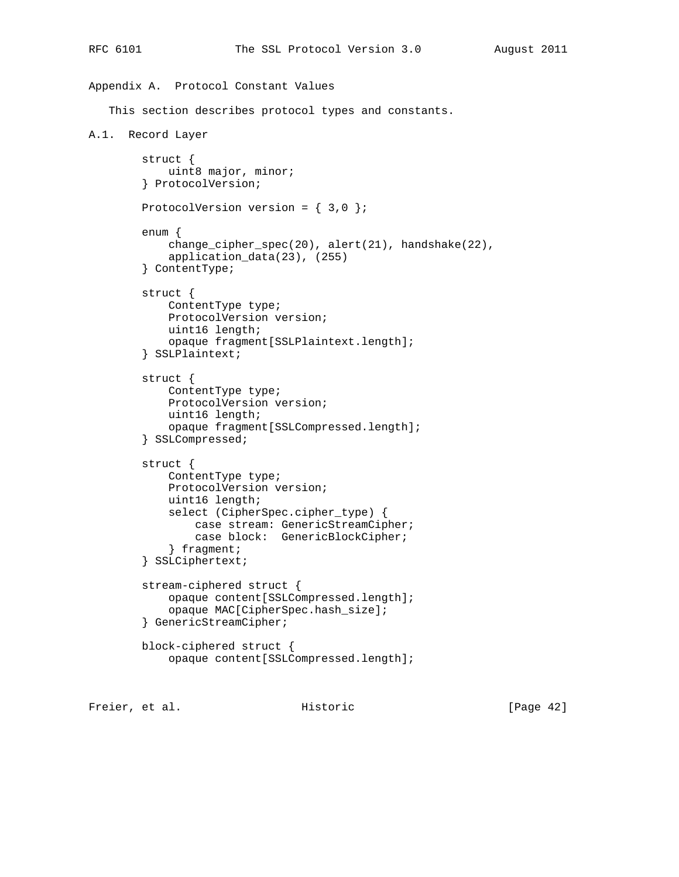```
Appendix A. Protocol Constant Values
    This section describes protocol types and constants.
A.1. Record Layer
         struct {
             uint8 major, minor;
         } ProtocolVersion;
        ProtocolVersion version = \{3,0\};
         enum {
             change_cipher_spec(20), alert(21), handshake(22),
             application_data(23), (255)
         } ContentType;
         struct {
             ContentType type;
             ProtocolVersion version;
             uint16 length;
             opaque fragment[SSLPlaintext.length];
         } SSLPlaintext;
         struct {
             ContentType type;
             ProtocolVersion version;
             uint16 length;
             opaque fragment[SSLCompressed.length];
         } SSLCompressed;
         struct {
             ContentType type;
             ProtocolVersion version;
             uint16 length;
             select (CipherSpec.cipher_type) {
                 case stream: GenericStreamCipher;
                 case block: GenericBlockCipher;
             } fragment;
         } SSLCiphertext;
         stream-ciphered struct {
             opaque content[SSLCompressed.length];
             opaque MAC[CipherSpec.hash_size];
         } GenericStreamCipher;
         block-ciphered struct {
             opaque content[SSLCompressed.length];
```
Freier, et al. Historic [Page 42]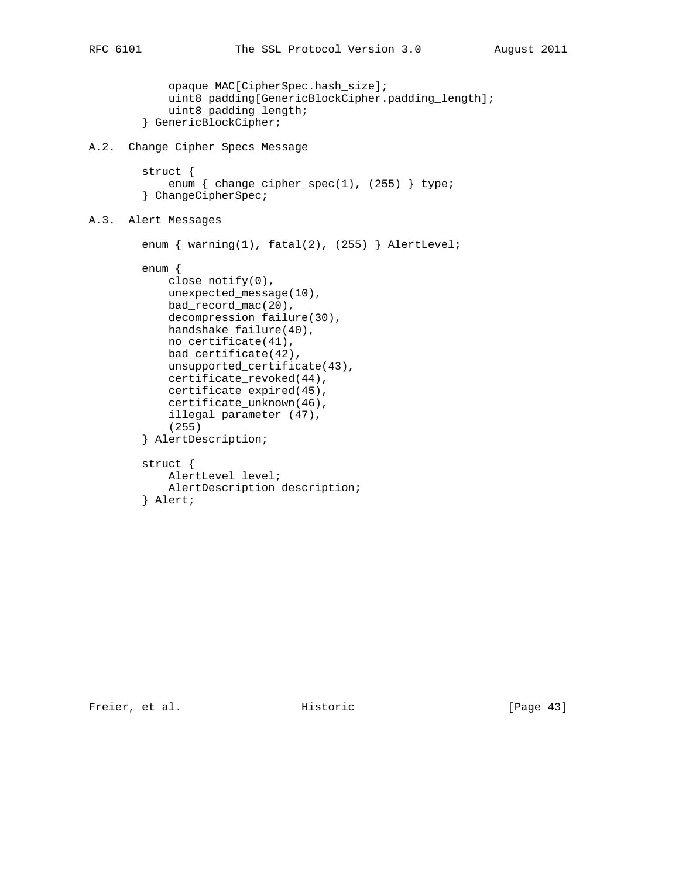```
 opaque MAC[CipherSpec.hash_size];
             uint8 padding[GenericBlockCipher.padding_length];
             uint8 padding_length;
         } GenericBlockCipher;
A.2. Change Cipher Specs Message
         struct {
            enum \{ change_cipher_spec(1), (255) \} type;
         } ChangeCipherSpec;
A.3. Alert Messages
        enum { warning(1), fatal(2), (255) } AlertLevel;
         enum {
             close_notify(0),
             unexpected_message(10),
             bad_record_mac(20),
             decompression_failure(30),
             handshake_failure(40),
             no_certificate(41),
             bad_certificate(42),
             unsupported_certificate(43),
             certificate_revoked(44),
             certificate_expired(45),
             certificate_unknown(46),
             illegal_parameter (47),
             (255)
         } AlertDescription;
         struct {
             AlertLevel level;
             AlertDescription description;
         } Alert;
```
Freier, et al. Historic [Page 43]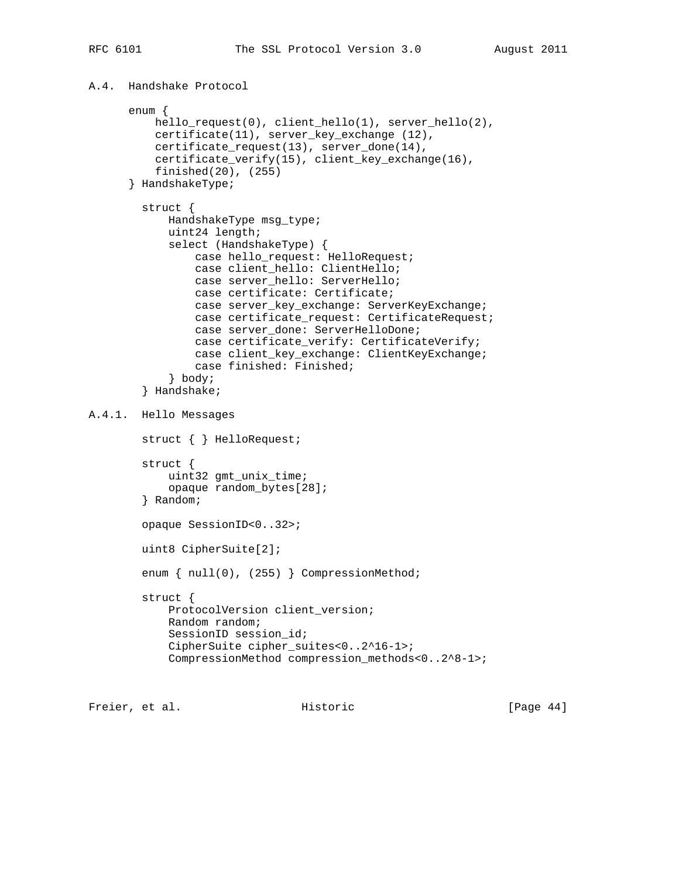A.4. Handshake Protocol

```
 enum {
           hello_request(0), client_hello(1), server_hello(2),
           certificate(11), server_key_exchange (12),
           certificate_request(13), server_done(14),
           certificate_verify(15), client_key_exchange(16),
           finished(20), (255)
       } HandshakeType;
         struct {
             HandshakeType msg_type;
             uint24 length;
             select (HandshakeType) {
                 case hello_request: HelloRequest;
                 case client_hello: ClientHello;
                 case server_hello: ServerHello;
                 case certificate: Certificate;
                 case server_key_exchange: ServerKeyExchange;
                 case certificate_request: CertificateRequest;
                 case server_done: ServerHelloDone;
                 case certificate_verify: CertificateVerify;
                 case client_key_exchange: ClientKeyExchange;
                 case finished: Finished;
             } body;
         } Handshake;
A.4.1. Hello Messages
         struct { } HelloRequest;
         struct {
             uint32 gmt_unix_time;
             opaque random_bytes[28];
         } Random;
         opaque SessionID<0..32>;
         uint8 CipherSuite[2];
        enum { null(0), (255) } CompressionMethod;
         struct {
             ProtocolVersion client_version;
             Random random;
             SessionID session_id;
             CipherSuite cipher_suites<0..2^16-1>;
             CompressionMethod compression_methods<0..2^8-1>;
```
Freier, et al. Historic [Page 44]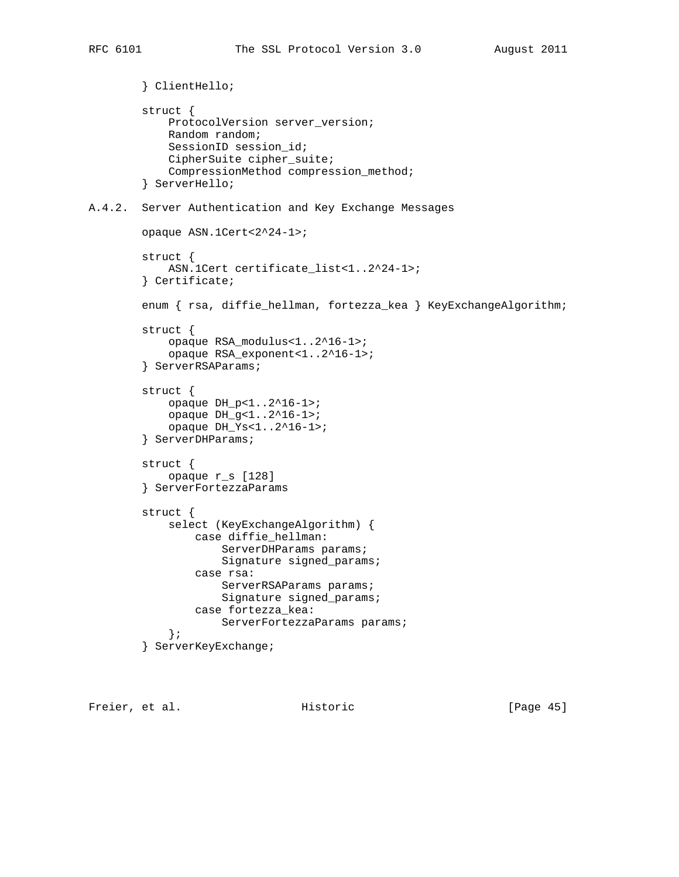```
 } ClientHello;
         struct {
             ProtocolVersion server_version;
             Random random;
             SessionID session_id;
             CipherSuite cipher_suite;
             CompressionMethod compression_method;
         } ServerHello;
A.4.2. Server Authentication and Key Exchange Messages
         opaque ASN.1Cert<2^24-1>;
         struct {
             ASN.1Cert certificate_list<1..2^24-1>;
         } Certificate;
         enum { rsa, diffie_hellman, fortezza_kea } KeyExchangeAlgorithm;
         struct {
             opaque RSA_modulus<1..2^16-1>;
             opaque RSA_exponent<1..2^16-1>;
         } ServerRSAParams;
         struct {
             opaque DH_p<1..2^16-1>;
             opaque DH_g<1..2^16-1>;
             opaque DH_Ys<1..2^16-1>;
         } ServerDHParams;
         struct {
             opaque r_s [128]
         } ServerFortezzaParams
         struct {
             select (KeyExchangeAlgorithm) {
                 case diffie_hellman:
                     ServerDHParams params;
                      Signature signed_params;
                  case rsa:
                    ServerRSAParams params;
                      Signature signed_params;
                  case fortezza_kea:
                      ServerFortezzaParams params;
              };
         } ServerKeyExchange;
```
Freier, et al. Historic [Page 45]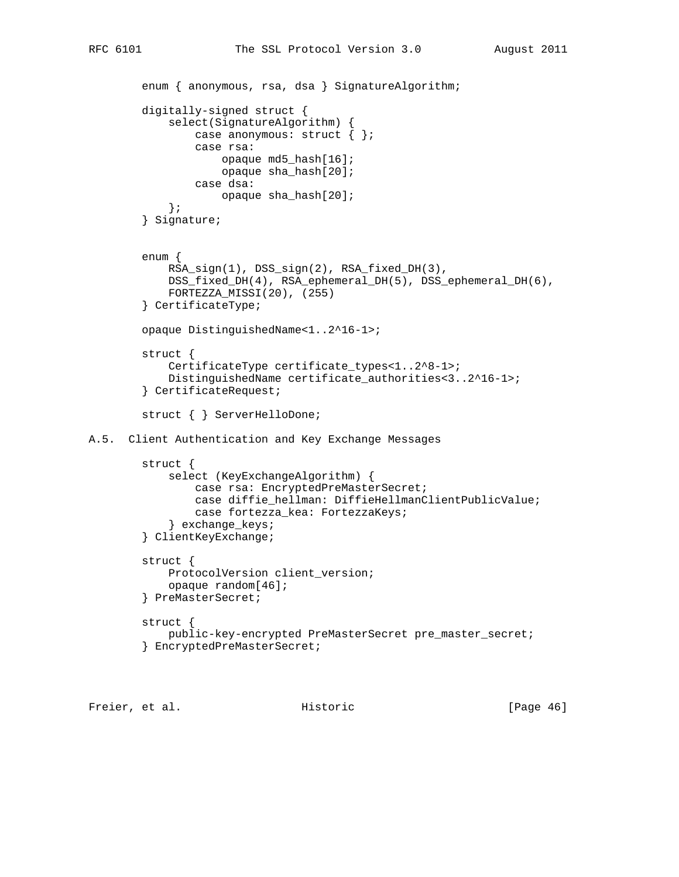```
enum { anonymous, rsa, dsa } SignatureAlgorithm;
         digitally-signed struct {
             select(SignatureAlgorithm) {
                 case anonymous: struct { };
                 case rsa:
                     opaque md5_hash[16];
                     opaque sha_hash[20];
                  case dsa:
                     opaque sha_hash[20];
             };
         } Signature;
         enum {
             RSA_sign(1), DSS_sign(2), RSA_fixed_DH(3),
             DSS_fixed_DH(4), RSA_ephemeral_DH(5), DSS_ephemeral_DH(6),
             FORTEZZA_MISSI(20), (255)
         } CertificateType;
         opaque DistinguishedName<1..2^16-1>;
         struct {
             CertificateType certificate_types<1..2^8-1>;
             DistinguishedName certificate_authorities<3..2^16-1>;
         } CertificateRequest;
         struct { } ServerHelloDone;
A.5. Client Authentication and Key Exchange Messages
         struct {
             select (KeyExchangeAlgorithm) {
                 case rsa: EncryptedPreMasterSecret;
                 case diffie_hellman: DiffieHellmanClientPublicValue;
                 case fortezza_kea: FortezzaKeys;
             } exchange_keys;
         } ClientKeyExchange;
         struct {
             ProtocolVersion client_version;
             opaque random[46];
         } PreMasterSecret;
         struct {
             public-key-encrypted PreMasterSecret pre_master_secret;
         } EncryptedPreMasterSecret;
```
Freier, et al. Historic [Page 46]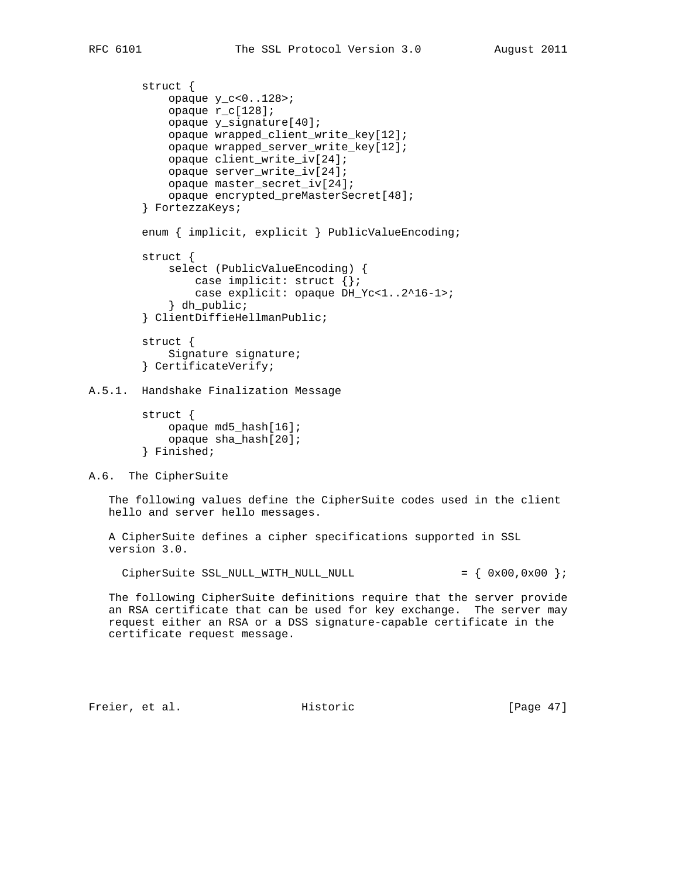```
 struct {
             opaque y_c<0..128>;
             opaque r_c[128];
             opaque y_signature[40];
             opaque wrapped_client_write_key[12];
             opaque wrapped_server_write_key[12];
             opaque client_write_iv[24];
             opaque server_write_iv[24];
             opaque master_secret_iv[24];
             opaque encrypted_preMasterSecret[48];
         } FortezzaKeys;
         enum { implicit, explicit } PublicValueEncoding;
         struct {
             select (PublicValueEncoding) {
                 case implicit: struct {};
                 case explicit: opaque DH_Yc<1..2^16-1>;
             } dh_public;
         } ClientDiffieHellmanPublic;
         struct {
             Signature signature;
         } CertificateVerify;
A.5.1. Handshake Finalization Message
```

```
 struct {
     opaque md5_hash[16];
     opaque sha_hash[20];
 } Finished;
```
A.6. The CipherSuite

 The following values define the CipherSuite codes used in the client hello and server hello messages.

 A CipherSuite defines a cipher specifications supported in SSL version 3.0.

CipherSuite SSL\_NULL\_WITH\_NULL\_NULL  $= \{ 0x00, 0x00 \}$ ;

 The following CipherSuite definitions require that the server provide an RSA certificate that can be used for key exchange. The server may request either an RSA or a DSS signature-capable certificate in the certificate request message.

Freier, et al. Historic [Page 47]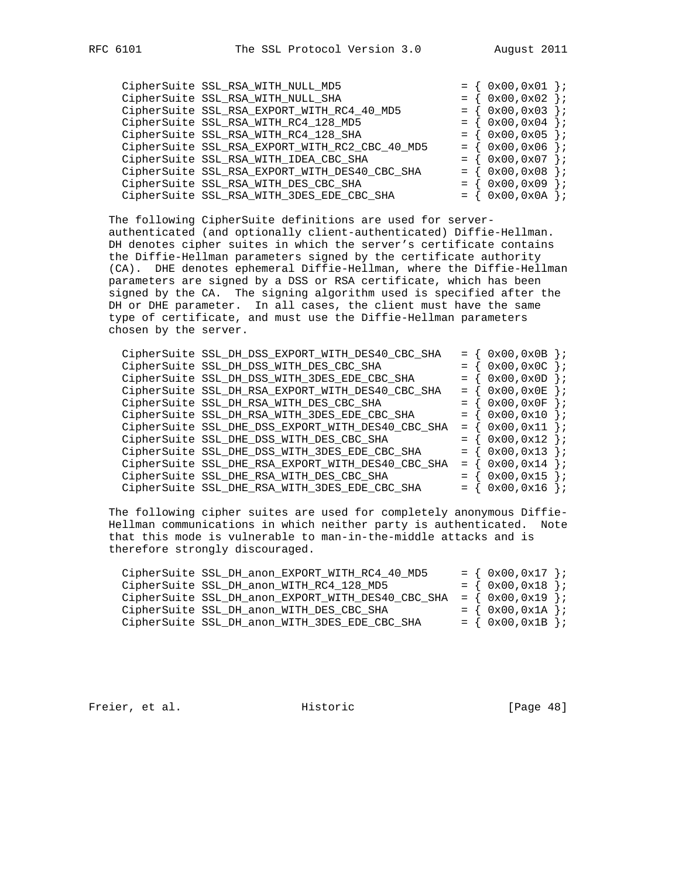|  | CipherSuite SSL_RSA_WITH_NULL_MD5              |                   | $0x00, 0x01$ } ; |                     |
|--|------------------------------------------------|-------------------|------------------|---------------------|
|  | CipherSuite SSL_RSA_WITH_NULL_SHA              | $=$               | $0x00, 0x02$ };  |                     |
|  | CipherSuite SSL_RSA_EXPORT_WITH_RC4_40_MD5     |                   | 0x00,0x03        | $\}$ ;              |
|  | CipherSuite SSL_RSA_WITH_RC4_128_MD5           | $=$ $\rightarrow$ | $0x00, 0x04$ };  |                     |
|  | CipherSuite SSL_RSA_WITH_RC4_128_SHA           | $=$               | $0x00, 0x05$ } ; |                     |
|  | CipherSuite SSL_RSA_EXPORT_WITH_RC2_CBC_40_MD5 | $=$ $\sqrt{ }$    | 0x00,0x06        | $\}$ ;              |
|  | CipherSuite SSL_RSA_WITH_IDEA_CBC_SHA          | $=$               | 0x00,0x07        | $\rightarrow$       |
|  | CipherSuite SSL_RSA_EXPORT_WITH_DES40_CBC_SHA  | $=$ $\frac{1}{2}$ | 0x00,0x08        | $\}$ ;              |
|  | CipherSuite SSL_RSA_WITH_DES_CBC_SHA           | $=$               | 0x00,0x09        | $\vert \cdot \vert$ |
|  | CipherSuite SSL_RSA_WITH_3DES_EDE_CBC_SHA      | $=$               | $0x00, 0x0A$ } ; |                     |

 The following CipherSuite definitions are used for server authenticated (and optionally client-authenticated) Diffie-Hellman. DH denotes cipher suites in which the server's certificate contains the Diffie-Hellman parameters signed by the certificate authority (CA). DHE denotes ephemeral Diffie-Hellman, where the Diffie-Hellman parameters are signed by a DSS or RSA certificate, which has been signed by the CA. The signing algorithm used is specified after the DH or DHE parameter. In all cases, the client must have the same type of certificate, and must use the Diffie-Hellman parameters chosen by the server.

|  | CipherSuite SSL_DH_DSS_EXPORT_WITH_DES40_CBC_SHA  | $=$ | 0x00,0x0B | $\vert \cdot \rangle$ |
|--|---------------------------------------------------|-----|-----------|-----------------------|
|  | CipherSuite SSL_DH_DSS_WITH_DES_CBC_SHA           |     | 0x00,0x0C | $\}$ ;                |
|  | CipherSuite SSL_DH_DSS_WITH_3DES_EDE_CBC_SHA      |     | 0x00,0x0D | $\}$ ;                |
|  | CipherSuite SSL_DH_RSA_EXPORT_WITH_DES40_CBC_SHA  | $=$ | 0x00,0x0E | $\vert \cdot \rangle$ |
|  | CipherSuite SSL_DH_RSA_WITH_DES_CBC_SHA           | $=$ | 0x00,0x0F | $\vert \cdot \rangle$ |
|  | CipherSuite SSL_DH_RSA_WITH_3DES_EDE_CBC_SHA      | $=$ | 0x00,0x10 | $\vert \cdot \rangle$ |
|  | CipherSuite SSL_DHE_DSS_EXPORT_WITH_DES40_CBC_SHA | $=$ | 0x00,0x11 | $\cdot$               |
|  | CipherSuite SSL_DHE_DSS_WITH_DES_CBC_SHA          | $=$ | 0x00,0x12 | $\}$ ;                |
|  | CipherSuite SSL_DHE_DSS_WITH_3DES_EDE_CBC_SHA     | $=$ | 0x00,0x13 | $\}$ ;                |
|  | CipherSuite SSL_DHE_RSA_EXPORT_WITH_DES40_CBC_SHA | $=$ | 0x00,0x14 | $\}$ ;                |
|  | CipherSuite SSL_DHE_RSA_WITH_DES_CBC_SHA          |     | 0x00,0x15 | $\vert \cdot \rangle$ |
|  | CipherSuite SSL_DHE_RSA_WITH_3DES_EDE_CBC_SHA     |     | 0x00,0x16 | $\mathcal{F}$         |

 The following cipher suites are used for completely anonymous Diffie- Hellman communications in which neither party is authenticated. Note that this mode is vulnerable to man-in-the-middle attacks and is therefore strongly discouraged.

| CipherSuite SSL_DH_anon_EXPORT_WITH_RC4_40_MD5                           | $= \{ 0x00, 0x17 \}$ |  |
|--------------------------------------------------------------------------|----------------------|--|
| CipherSuite SSL_DH_anon_WITH_RC4_128_MD5                                 | $= \{ 0x00, 0x18 \}$ |  |
| CipherSuite SSL_DH_anon_EXPORT_WITH_DES40_CBC_SHA = $\{ 0x00, 0x19 \}$ ; |                      |  |
| CipherSuite SSL_DH_anon_WITH_DES_CBC_SHA                                 | $= \{ 0x00, 0x1A \}$ |  |
| CipherSuite SSL_DH_anon_WITH_3DES_EDE_CBC_SHA                            | $= \{ 0x00, 0x1B \}$ |  |

Freier, et al. Historic [Page 48]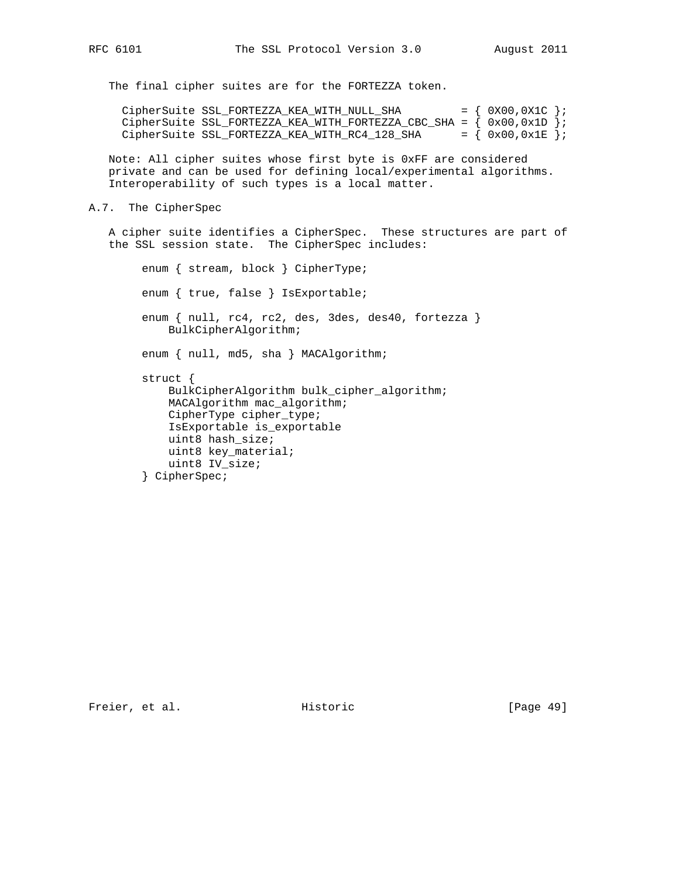The final cipher suites are for the FORTEZZA token.

CipherSuite SSL\_FORTEZZA\_KEA\_WITH\_NULL\_SHA =  $\{ 0x00, 0x1C \}$ ; CipherSuite SSL\_FORTEZZA\_KEA\_WITH\_FORTEZZA\_CBC\_SHA =  $(0x00, 0x1D)$ ; CipherSuite SSL\_FORTEZZA\_KEA\_WITH\_RC4\_128\_SHA =  $\{ 0x00, 0x1E \}$ ;

 Note: All cipher suites whose first byte is 0xFF are considered private and can be used for defining local/experimental algorithms. Interoperability of such types is a local matter.

A.7. The CipherSpec

 A cipher suite identifies a CipherSpec. These structures are part of the SSL session state. The CipherSpec includes:

```
 enum { stream, block } CipherType;
 enum { true, false } IsExportable;
enum { null, rc4, rc2, des, 3des, des40, fortezza }
     BulkCipherAlgorithm;
enum { null, md5, sha } MACAlgorithm;
 struct {
     BulkCipherAlgorithm bulk_cipher_algorithm;
     MACAlgorithm mac_algorithm;
     CipherType cipher_type;
     IsExportable is_exportable
     uint8 hash_size;
     uint8 key_material;
    uint8 IV_size;
 } CipherSpec;
```
Freier, et al. Historic [Page 49]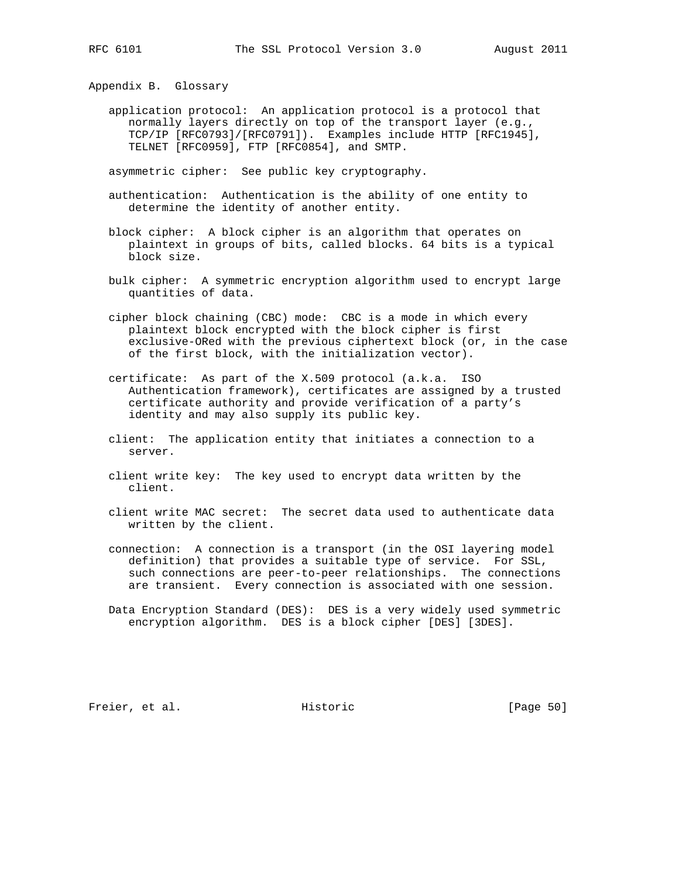Appendix B. Glossary

 application protocol: An application protocol is a protocol that normally layers directly on top of the transport layer (e.g., TCP/IP [RFC0793]/[RFC0791]). Examples include HTTP [RFC1945], TELNET [RFC0959], FTP [RFC0854], and SMTP.

asymmetric cipher: See public key cryptography.

- authentication: Authentication is the ability of one entity to determine the identity of another entity.
- block cipher: A block cipher is an algorithm that operates on plaintext in groups of bits, called blocks. 64 bits is a typical block size.
- bulk cipher: A symmetric encryption algorithm used to encrypt large quantities of data.
- cipher block chaining (CBC) mode: CBC is a mode in which every plaintext block encrypted with the block cipher is first exclusive-ORed with the previous ciphertext block (or, in the case of the first block, with the initialization vector).
- certificate: As part of the X.509 protocol (a.k.a. ISO Authentication framework), certificates are assigned by a trusted certificate authority and provide verification of a party's identity and may also supply its public key.
- client: The application entity that initiates a connection to a server.
- client write key: The key used to encrypt data written by the client.
- client write MAC secret: The secret data used to authenticate data written by the client.
- connection: A connection is a transport (in the OSI layering model definition) that provides a suitable type of service. For SSL, such connections are peer-to-peer relationships. The connections are transient. Every connection is associated with one session.
- Data Encryption Standard (DES): DES is a very widely used symmetric encryption algorithm. DES is a block cipher [DES] [3DES].

Freier, et al. Historic [Page 50]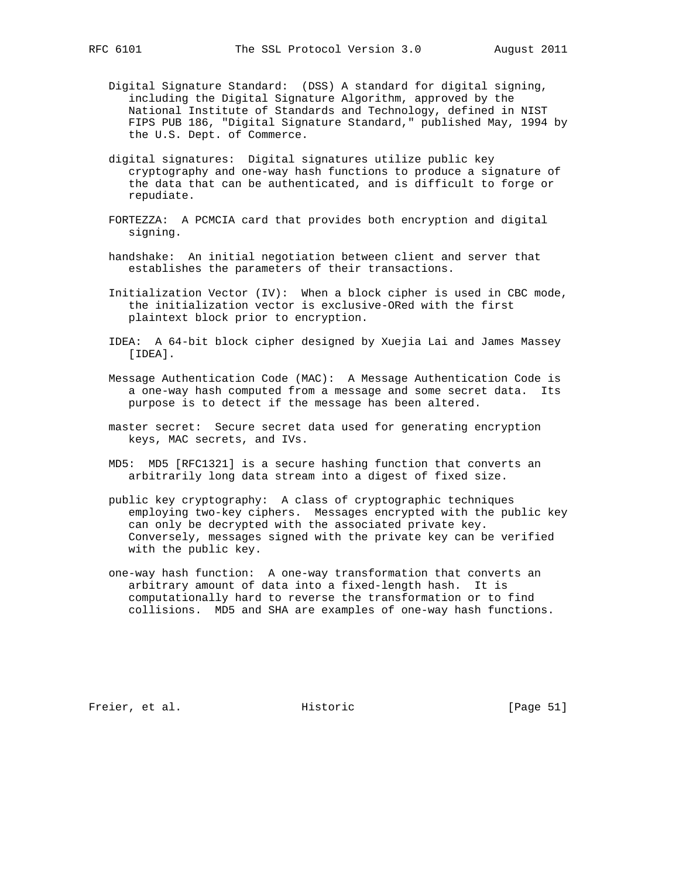- - Digital Signature Standard: (DSS) A standard for digital signing, including the Digital Signature Algorithm, approved by the National Institute of Standards and Technology, defined in NIST FIPS PUB 186, "Digital Signature Standard," published May, 1994 by the U.S. Dept. of Commerce.
	- digital signatures: Digital signatures utilize public key cryptography and one-way hash functions to produce a signature of the data that can be authenticated, and is difficult to forge or repudiate.
	- FORTEZZA: A PCMCIA card that provides both encryption and digital signing.
	- handshake: An initial negotiation between client and server that establishes the parameters of their transactions.
	- Initialization Vector (IV): When a block cipher is used in CBC mode, the initialization vector is exclusive-ORed with the first plaintext block prior to encryption.
	- IDEA: A 64-bit block cipher designed by Xuejia Lai and James Massey [IDEA].
	- Message Authentication Code (MAC): A Message Authentication Code is a one-way hash computed from a message and some secret data. Its purpose is to detect if the message has been altered.
	- master secret: Secure secret data used for generating encryption keys, MAC secrets, and IVs.
	- MD5: MD5 [RFC1321] is a secure hashing function that converts an arbitrarily long data stream into a digest of fixed size.
	- public key cryptography: A class of cryptographic techniques employing two-key ciphers. Messages encrypted with the public key can only be decrypted with the associated private key. Conversely, messages signed with the private key can be verified with the public key.
	- one-way hash function: A one-way transformation that converts an arbitrary amount of data into a fixed-length hash. It is computationally hard to reverse the transformation or to find collisions. MD5 and SHA are examples of one-way hash functions.

Freier, et al. Historic [Page 51]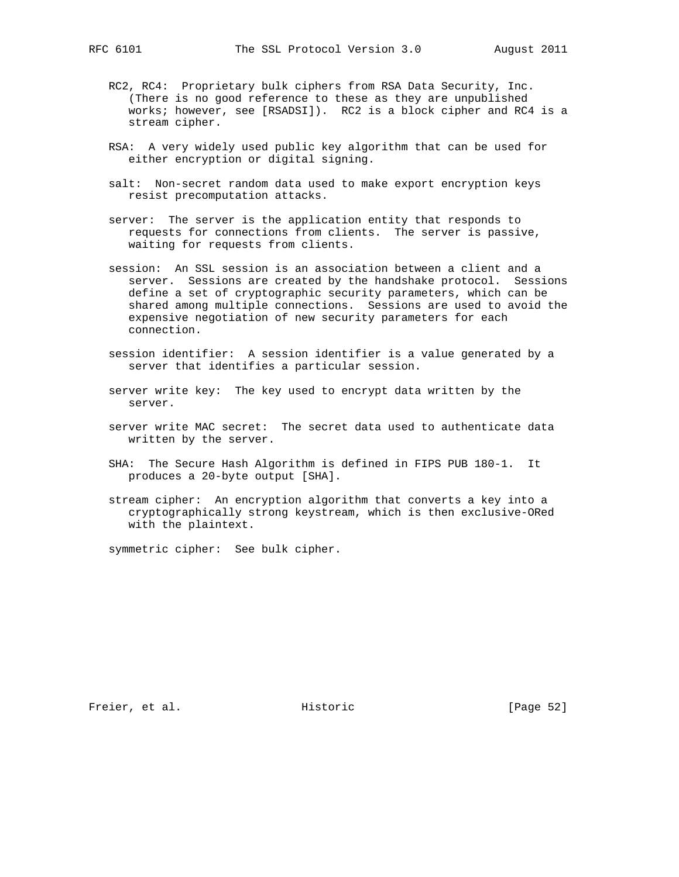- RC2, RC4: Proprietary bulk ciphers from RSA Data Security, Inc. (There is no good reference to these as they are unpublished works; however, see [RSADSI]). RC2 is a block cipher and RC4 is a stream cipher.
- RSA: A very widely used public key algorithm that can be used for either encryption or digital signing.
- salt: Non-secret random data used to make export encryption keys resist precomputation attacks.
- server: The server is the application entity that responds to requests for connections from clients. The server is passive, waiting for requests from clients.
- session: An SSL session is an association between a client and a server. Sessions are created by the handshake protocol. Sessions define a set of cryptographic security parameters, which can be shared among multiple connections. Sessions are used to avoid the expensive negotiation of new security parameters for each connection.
- session identifier: A session identifier is a value generated by a server that identifies a particular session.
- server write key: The key used to encrypt data written by the server.
- server write MAC secret: The secret data used to authenticate data written by the server.
- SHA: The Secure Hash Algorithm is defined in FIPS PUB 180-1. It produces a 20-byte output [SHA].
- stream cipher: An encryption algorithm that converts a key into a cryptographically strong keystream, which is then exclusive-ORed with the plaintext.

symmetric cipher: See bulk cipher.

Freier, et al. Historic [Page 52]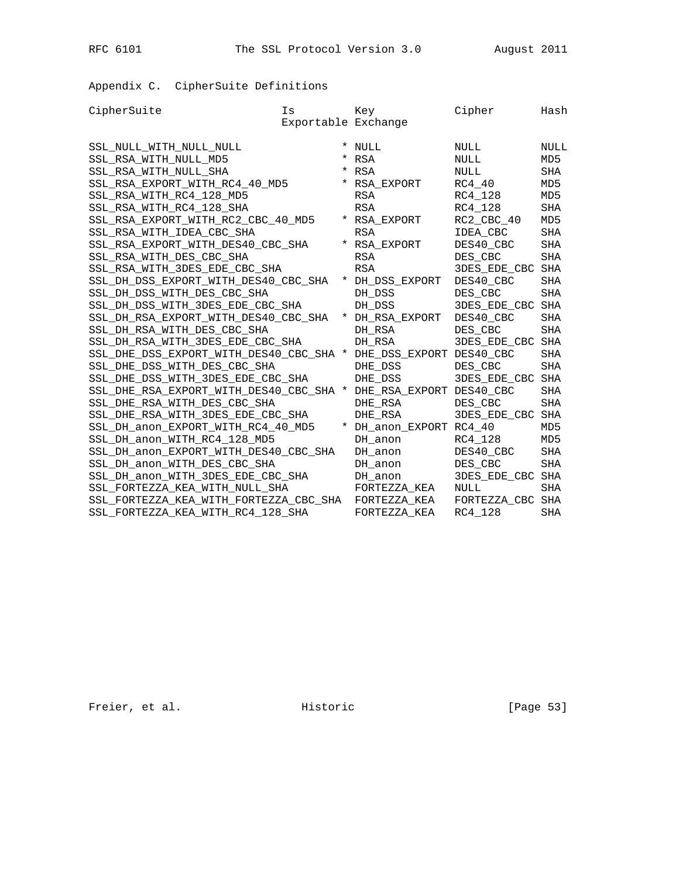RFC 6101 The SSL Protocol Version 3.0 August 2011

Appendix C. CipherSuite Definitions

| CipherSuite                            | Is                  | Key                      | Cipher              | Hash            |
|----------------------------------------|---------------------|--------------------------|---------------------|-----------------|
|                                        | Exportable Exchange |                          |                     |                 |
| SSL NULL WITH NULL NULL                |                     | * NULL                   | NULL                | <b>NULL</b>     |
| SSL RSA WITH NULL MD5                  | $\ast$              | RSA                      | NULL                | MD5             |
| SSL RSA WITH NULL SHA                  |                     | <b>RSA</b>               | <b>NULL</b>         | <b>SHA</b>      |
| SSL_RSA_EXPORT_WITH_RC4_40_MD5         |                     | RSA EXPORT               | RC4 40              | MD <sub>5</sub> |
| SSL_RSA_WITH_RC4_128_MD5               |                     | <b>RSA</b>               | RC4 128             | MD <sub>5</sub> |
| SSL_RSA_WITH_RC4_128_SHA               |                     | <b>RSA</b>               | RC4 128             | SHA             |
| SSL_RSA_EXPORT_WITH_RC2_CBC_40_MD5     |                     | * RSA EXPORT             | RC2_CBC_40          | MD <sub>5</sub> |
| SSL_RSA_WITH_IDEA_CBC_SHA              |                     | <b>RSA</b>               | IDEA CBC            | <b>SHA</b>      |
| SSL_RSA_EXPORT_WITH_DES40_CBC_SHA      |                     | * RSA EXPORT             | DES40_CBC           | SHA             |
| SSL RSA WITH DES CBC SHA               |                     | RSA                      | DES CBC             | <b>SHA</b>      |
| SSL RSA WITH 3DES EDE CBC SHA          |                     | <b>RSA</b>               | 3DES EDE CBC        | <b>SHA</b>      |
| SSL_DH_DSS_EXPORT_WITH_DES40_CBC_SHA   |                     | DH_DSS_EXPORT            | DES40 CBC           | <b>SHA</b>      |
| SSL_DH_DSS_WITH_DES_CBC_SHA            |                     | DH DSS                   | DES CBC             | <b>SHA</b>      |
| SSL DH DSS WITH 3DES EDE CBC SHA       |                     | DH DSS                   | 3DES EDE CBC        | SHA             |
| SSL DH RSA EXPORT WITH DES40 CBC SHA   |                     | * DH RSA EXPORT          | DES40 CBC           | <b>SHA</b>      |
| SSL_DH_RSA_WITH_DES_CBC_SHA            |                     | DH RSA                   | DES CBC             | <b>SHA</b>      |
| SSL DH RSA WITH 3DES EDE CBC SHA       |                     | DH RSA                   | <b>3DES EDE CBC</b> | SHA             |
| SSL DHE DSS EXPORT WITH DES40 CBC SHA  |                     | DHE DSS EXPORT DES40 CBC |                     | <b>SHA</b>      |
| SSL DHE DSS WITH DES CBC SHA           |                     | DHE DSS                  | DES CBC             | <b>SHA</b>      |
| SSL_DHE_DSS_WITH_3DES_EDE_CBC_SHA      |                     | DHE DSS                  | 3DES_EDE_CBC        | <b>SHA</b>      |
| SSL_DHE_RSA_EXPORT_WITH_DES40_CBC_SHA  | $\star$             | DHE_RSA_EXPORT DES40_CBC |                     | <b>SHA</b>      |
| SSL DHE RSA WITH DES CBC SHA           |                     | DHE RSA                  | DES CBC             | <b>SHA</b>      |
| SSL DHE RSA WITH 3DES EDE CBC SHA      |                     | DHE RSA                  | 3DES EDE CBC        | <b>SHA</b>      |
| SSL_DH_anon_EXPORT_WITH_RC4_40_MD5     |                     | DH_anon_EXPORT RC4_40    |                     | MD5             |
| SSL_DH_anon_WITH_RC4_128_MD5           |                     | DH anon                  | RC4_128             | MD <sub>5</sub> |
| SSL_DH_anon_EXPORT_WITH_DES40_CBC_SHA  |                     | DH anon                  | DES40_CBC           | SHA             |
| SSL_DH_anon_WITH_DES_CBC_SHA           |                     | DH anon                  | DES CBC             | SHA             |
| SSL_DH_anon_WITH_3DES_EDE_CBC_SHA      |                     | DH anon                  | 3DES EDE CBC        | <b>SHA</b>      |
| SSL FORTEZZA KEA WITH NULL SHA         |                     | FORTEZZA KEA             | NULL                | <b>SHA</b>      |
| SSL FORTEZZA KEA WITH FORTEZZA CBC SHA |                     | FORTEZZA KEA             | FORTEZZA CBC        | SHA             |
| SSL_FORTEZZA_KEA_WITH_RC4_128_SHA      |                     | FORTEZZA KEA             | RC4 128             | <b>SHA</b>      |
|                                        |                     |                          |                     |                 |

Freier, et al. Historic [Page 53]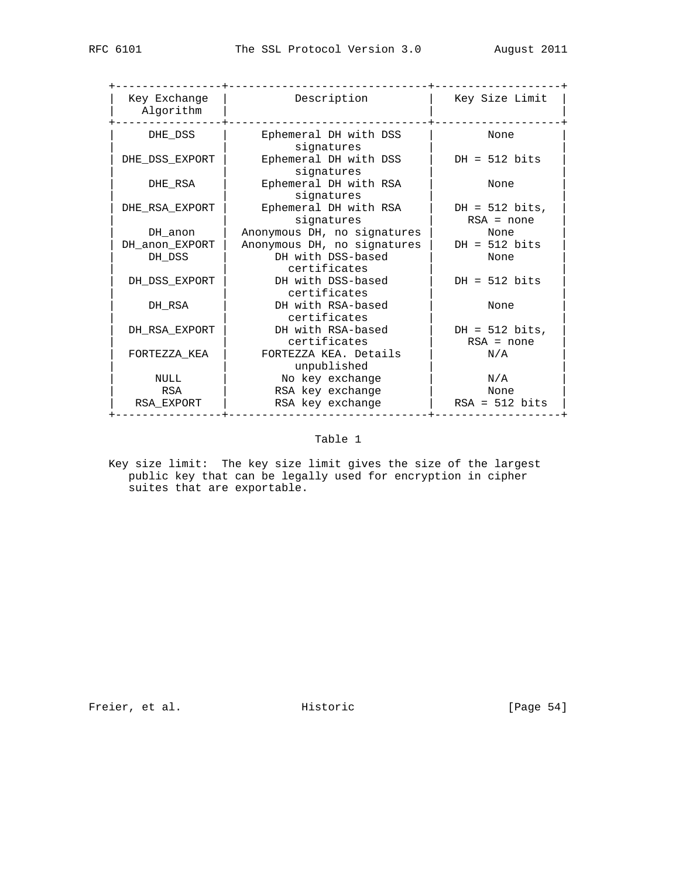| Key Exchange<br>Algorithm | Description                          | Key Size Limit                   |
|---------------------------|--------------------------------------|----------------------------------|
| DHE DSS                   | Ephemeral DH with DSS<br>signatures  | None                             |
| DHE DSS EXPORT            | Ephemeral DH with DSS<br>signatures  | $DH = 512$ bits                  |
| DHE RSA                   | Ephemeral DH with RSA<br>signatures  | None                             |
| DHE RSA EXPORT            | Ephemeral DH with RSA<br>signatures  | $DH = 512$ bits,<br>$RSA = none$ |
| DH anon                   | Anonymous DH, no signatures          | None                             |
| DH anon EXPORT            | Anonymous DH, no signatures          | $DH = 512$ bits                  |
| DH DSS                    | DH with DSS-based<br>certificates    | None                             |
| DH DSS EXPORT             | DH with DSS-based<br>certificates    | $DH = 512$ bits                  |
| DH RSA                    | DH with RSA-based<br>certificates    | None                             |
| DH RSA EXPORT             | DH with RSA-based<br>certificates    | DH = $512$ bits,<br>$RSA = none$ |
| FORTEZZA KEA              | FORTEZZA KEA. Details<br>unpublished | N/A                              |
| NULL                      | No key exchange                      | $\rm N/A$                        |
| RSA                       | RSA key exchange                     | None                             |
| RSA EXPORT                | RSA key exchange                     | $RSA = 512 bits$                 |
|                           |                                      |                                  |

## Table 1

 Key size limit: The key size limit gives the size of the largest public key that can be legally used for encryption in cipher suites that are exportable.

Freier, et al. Historic [Page 54]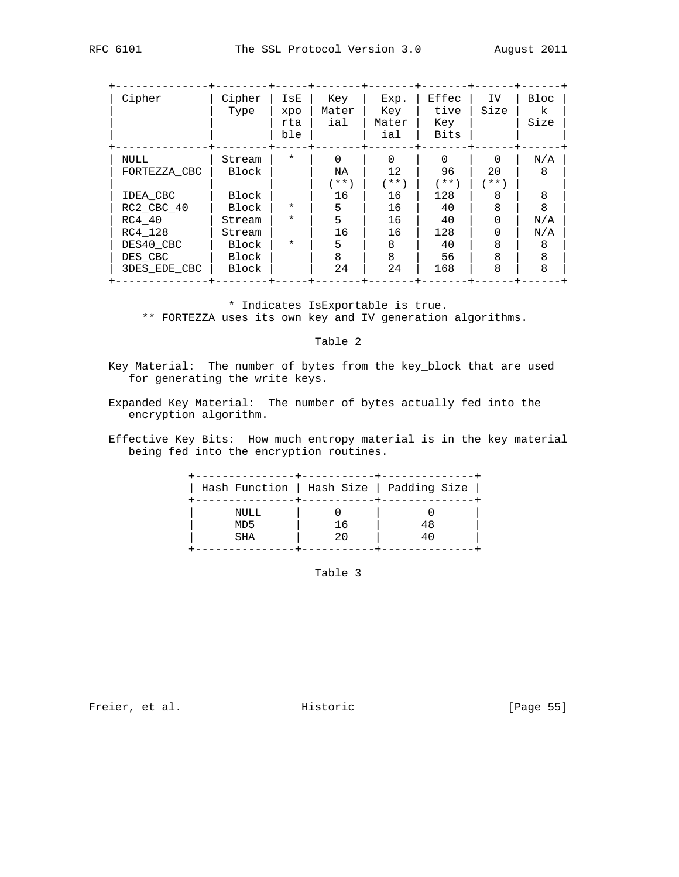| Cipher       | Cipher<br>Type | IsE<br>xpo<br>rta<br>ble | Key<br>Mater<br>ial | Exp.<br>Key<br>Mater<br>ial | Effec<br>tive<br>Key<br>Bits | IV.<br>Size | Bloc<br>k<br>Size |
|--------------|----------------|--------------------------|---------------------|-----------------------------|------------------------------|-------------|-------------------|
| NULL         | Stream         | $\star$                  | $\Omega$            | $\Omega$                    | $\Omega$                     | $\Omega$    | N/A               |
| FORTEZZA CBC | Block          |                          | NA                  | $12 \overline{ }$           | 96                           | 20          | 8                 |
|              |                |                          | $'$ **)             | $***$                       | $'$ * * $'$                  | $***$       |                   |
| IDEA CBC     | Block          |                          | 16                  | 16                          | 128                          | 8           | 8                 |
| RC2 CBC 40   | Block          | $\star$                  | 5                   | 16                          | 40                           | 8           | 8                 |
| RC4 40       | Stream         | $\star$                  | 5                   | 16                          | 40                           | U           | N/A               |
| RC4 128      | Stream         |                          | 16                  | 16                          | 128                          | U           | N/A               |
| DES40 CBC    | Block          | $\star$                  | 5                   | 8                           | 40                           | 8           | 8                 |
| DES CBC      | Block          |                          | 8                   | 8                           | 56                           | 8           | 8                 |
| 3DES EDE CBC | Block          |                          | 24                  | 24                          | 168                          | 8           | 8                 |

\* Indicates IsExportable is true.

\*\* FORTEZZA uses its own key and IV generation algorithms.

## Table 2

 Key Material: The number of bytes from the key\_block that are used for generating the write keys.

- Expanded Key Material: The number of bytes actually fed into the encryption algorithm.
- Effective Key Bits: How much entropy material is in the key material being fed into the encryption routines.

|                                       |          | Hash Function   Hash Size   Padding Size |
|---------------------------------------|----------|------------------------------------------|
| NULL<br>MD <sub>5</sub><br><b>SHA</b> | 16<br>20 | 48<br>40                                 |

Table 3

Freier, et al. Historic [Page 55]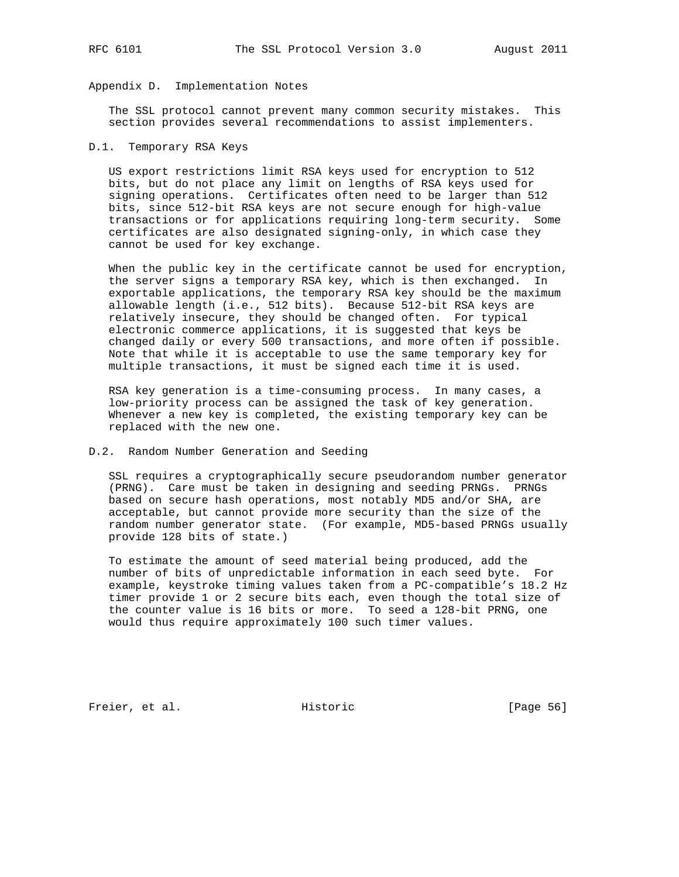## Appendix D. Implementation Notes

 The SSL protocol cannot prevent many common security mistakes. This section provides several recommendations to assist implementers.

#### D.1. Temporary RSA Keys

 US export restrictions limit RSA keys used for encryption to 512 bits, but do not place any limit on lengths of RSA keys used for signing operations. Certificates often need to be larger than 512 bits, since 512-bit RSA keys are not secure enough for high-value transactions or for applications requiring long-term security. Some certificates are also designated signing-only, in which case they cannot be used for key exchange.

 When the public key in the certificate cannot be used for encryption, the server signs a temporary RSA key, which is then exchanged. In exportable applications, the temporary RSA key should be the maximum allowable length (i.e., 512 bits). Because 512-bit RSA keys are relatively insecure, they should be changed often. For typical electronic commerce applications, it is suggested that keys be changed daily or every 500 transactions, and more often if possible. Note that while it is acceptable to use the same temporary key for multiple transactions, it must be signed each time it is used.

 RSA key generation is a time-consuming process. In many cases, a low-priority process can be assigned the task of key generation. Whenever a new key is completed, the existing temporary key can be replaced with the new one.

#### D.2. Random Number Generation and Seeding

 SSL requires a cryptographically secure pseudorandom number generator (PRNG). Care must be taken in designing and seeding PRNGs. PRNGs based on secure hash operations, most notably MD5 and/or SHA, are acceptable, but cannot provide more security than the size of the random number generator state. (For example, MD5-based PRNGs usually provide 128 bits of state.)

 To estimate the amount of seed material being produced, add the number of bits of unpredictable information in each seed byte. For example, keystroke timing values taken from a PC-compatible's 18.2 Hz timer provide 1 or 2 secure bits each, even though the total size of the counter value is 16 bits or more. To seed a 128-bit PRNG, one would thus require approximately 100 such timer values.

Freier, et al. Historic [Page 56]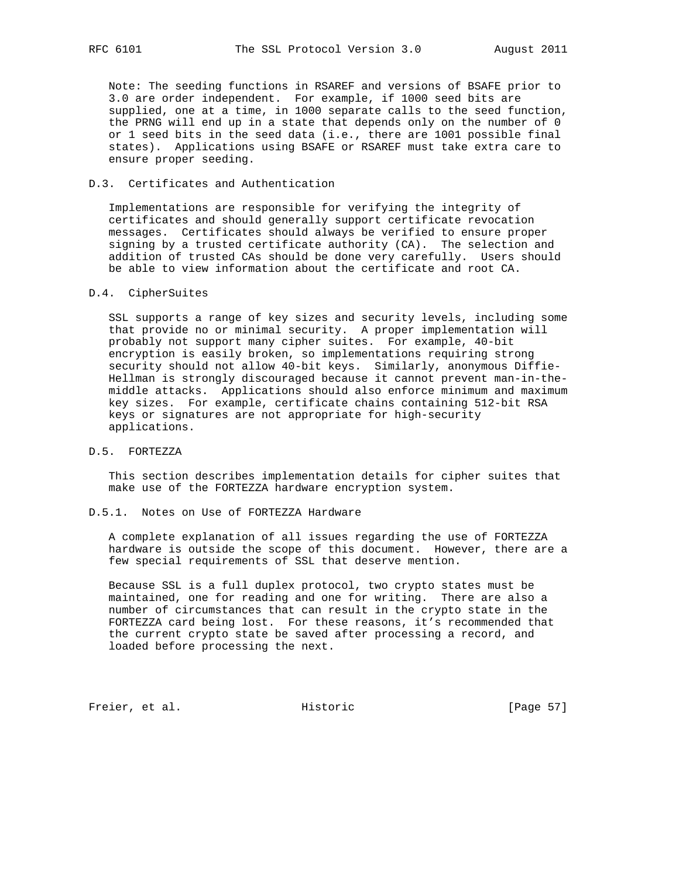Note: The seeding functions in RSAREF and versions of BSAFE prior to 3.0 are order independent. For example, if 1000 seed bits are supplied, one at a time, in 1000 separate calls to the seed function, the PRNG will end up in a state that depends only on the number of 0 or 1 seed bits in the seed data (i.e., there are 1001 possible final states). Applications using BSAFE or RSAREF must take extra care to ensure proper seeding.

#### D.3. Certificates and Authentication

 Implementations are responsible for verifying the integrity of certificates and should generally support certificate revocation messages. Certificates should always be verified to ensure proper signing by a trusted certificate authority (CA). The selection and addition of trusted CAs should be done very carefully. Users should be able to view information about the certificate and root CA.

#### D.4. CipherSuites

 SSL supports a range of key sizes and security levels, including some that provide no or minimal security. A proper implementation will probably not support many cipher suites. For example, 40-bit encryption is easily broken, so implementations requiring strong security should not allow 40-bit keys. Similarly, anonymous Diffie- Hellman is strongly discouraged because it cannot prevent man-in-the middle attacks. Applications should also enforce minimum and maximum key sizes. For example, certificate chains containing 512-bit RSA keys or signatures are not appropriate for high-security applications.

## D.5. FORTEZZA

 This section describes implementation details for cipher suites that make use of the FORTEZZA hardware encryption system.

## D.5.1. Notes on Use of FORTEZZA Hardware

 A complete explanation of all issues regarding the use of FORTEZZA hardware is outside the scope of this document. However, there are a few special requirements of SSL that deserve mention.

 Because SSL is a full duplex protocol, two crypto states must be maintained, one for reading and one for writing. There are also a number of circumstances that can result in the crypto state in the FORTEZZA card being lost. For these reasons, it's recommended that the current crypto state be saved after processing a record, and loaded before processing the next.

Freier, et al. Historic [Page 57]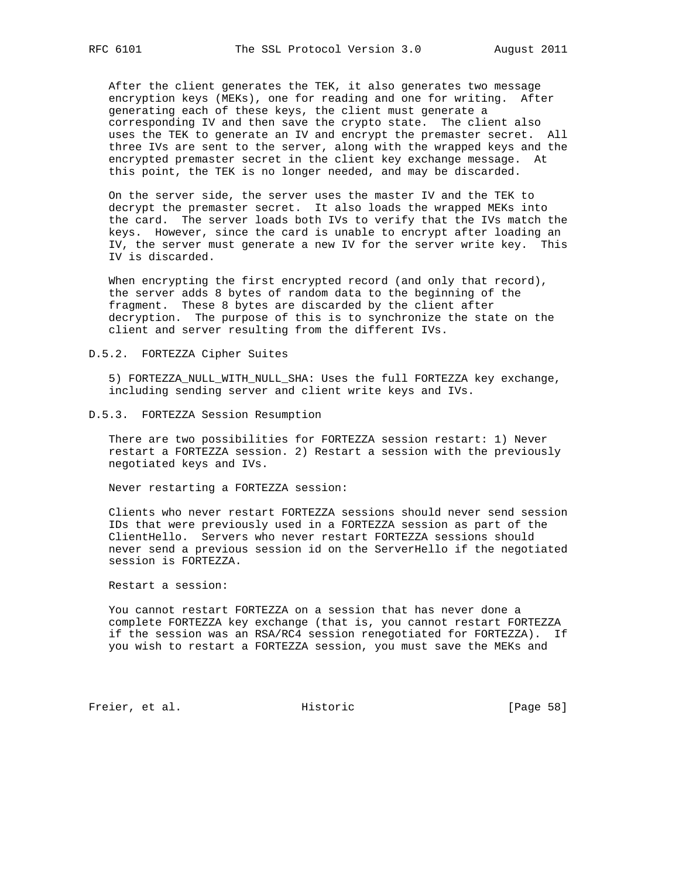After the client generates the TEK, it also generates two message encryption keys (MEKs), one for reading and one for writing. After generating each of these keys, the client must generate a corresponding IV and then save the crypto state. The client also uses the TEK to generate an IV and encrypt the premaster secret. All three IVs are sent to the server, along with the wrapped keys and the encrypted premaster secret in the client key exchange message. At this point, the TEK is no longer needed, and may be discarded.

 On the server side, the server uses the master IV and the TEK to decrypt the premaster secret. It also loads the wrapped MEKs into the card. The server loads both IVs to verify that the IVs match the keys. However, since the card is unable to encrypt after loading an IV, the server must generate a new IV for the server write key. This IV is discarded.

 When encrypting the first encrypted record (and only that record), the server adds 8 bytes of random data to the beginning of the fragment. These 8 bytes are discarded by the client after decryption. The purpose of this is to synchronize the state on the client and server resulting from the different IVs.

D.5.2. FORTEZZA Cipher Suites

 5) FORTEZZA\_NULL\_WITH\_NULL\_SHA: Uses the full FORTEZZA key exchange, including sending server and client write keys and IVs.

D.5.3. FORTEZZA Session Resumption

 There are two possibilities for FORTEZZA session restart: 1) Never restart a FORTEZZA session. 2) Restart a session with the previously negotiated keys and IVs.

Never restarting a FORTEZZA session:

 Clients who never restart FORTEZZA sessions should never send session IDs that were previously used in a FORTEZZA session as part of the ClientHello. Servers who never restart FORTEZZA sessions should never send a previous session id on the ServerHello if the negotiated session is FORTEZZA.

Restart a session:

 You cannot restart FORTEZZA on a session that has never done a complete FORTEZZA key exchange (that is, you cannot restart FORTEZZA if the session was an RSA/RC4 session renegotiated for FORTEZZA). If you wish to restart a FORTEZZA session, you must save the MEKs and

Freier, et al. Historic [Page 58]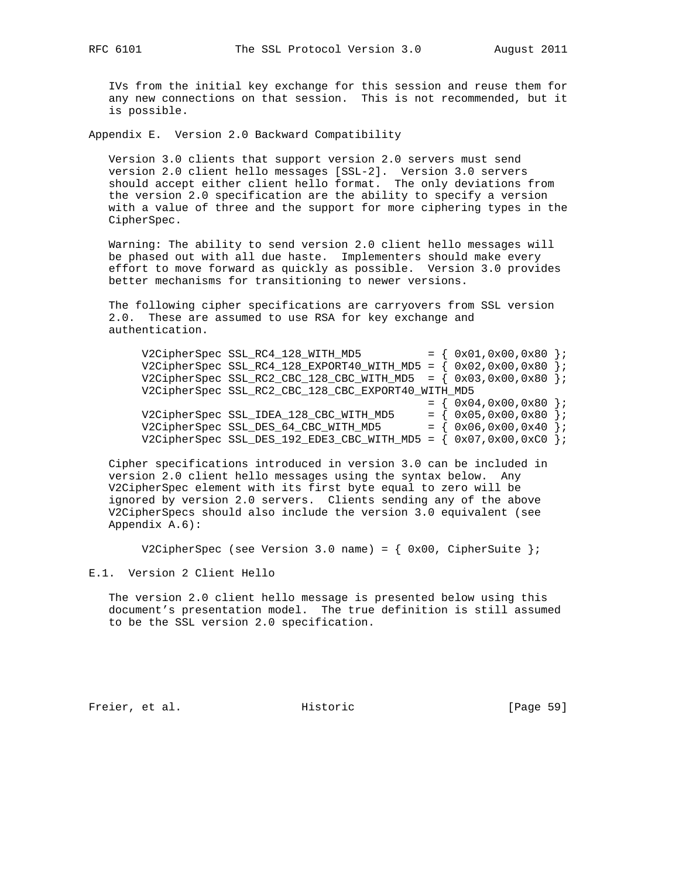IVs from the initial key exchange for this session and reuse them for any new connections on that session. This is not recommended, but it is possible.

Appendix E. Version 2.0 Backward Compatibility

 Version 3.0 clients that support version 2.0 servers must send version 2.0 client hello messages [SSL-2]. Version 3.0 servers should accept either client hello format. The only deviations from the version 2.0 specification are the ability to specify a version with a value of three and the support for more ciphering types in the CipherSpec.

 Warning: The ability to send version 2.0 client hello messages will be phased out with all due haste. Implementers should make every effort to move forward as quickly as possible. Version 3.0 provides better mechanisms for transitioning to newer versions.

 The following cipher specifications are carryovers from SSL version 2.0. These are assumed to use RSA for key exchange and authentication.

|  | V2CipherSpec SSL_RC4_128_WITH_MD5                                     | $= \{ 0x01, 0x00, 0x80 \}$ |  |
|--|-----------------------------------------------------------------------|----------------------------|--|
|  | V2CipherSpec SSL_RC4_128_EXPORT40_WITH_MD5 = $\{ 0x02, 0x00, 0x80 \}$ |                            |  |
|  | V2CipherSpec SSL_RC2_CBC_128_CBC_WITH_MD5 = $\{ 0x03, 0x00, 0x80 \}$  |                            |  |
|  | V2CipherSpec SSL_RC2_CBC_128_CBC_EXPORT40_WITH_MD5                    |                            |  |
|  |                                                                       | $= \{ 0x04, 0x00, 0x80 \}$ |  |
|  | V2CipherSpec SSL IDEA 128 CBC WITH MD5                                | $= \{ 0x05, 0x00, 0x80 \}$ |  |
|  | V2CipherSpec SSL_DES_64_CBC_WITH_MD5                                  | $= \{ 0x06, 0x00, 0x40 \}$ |  |
|  | V2CipherSpec SSL_DES_192_EDE3_CBC_WITH_MD5 = $\{ 0x07, 0x00, 0xC0 \}$ |                            |  |
|  |                                                                       |                            |  |

 Cipher specifications introduced in version 3.0 can be included in version 2.0 client hello messages using the syntax below. Any V2CipherSpec element with its first byte equal to zero will be ignored by version 2.0 servers. Clients sending any of the above V2CipherSpecs should also include the version 3.0 equivalent (see Appendix A.6):

V2CipherSpec (see Version 3.0 name) = {  $0x00$ , CipherSuite };

E.1. Version 2 Client Hello

 The version 2.0 client hello message is presented below using this document's presentation model. The true definition is still assumed to be the SSL version 2.0 specification.

Freier, et al. Historic [Page 59]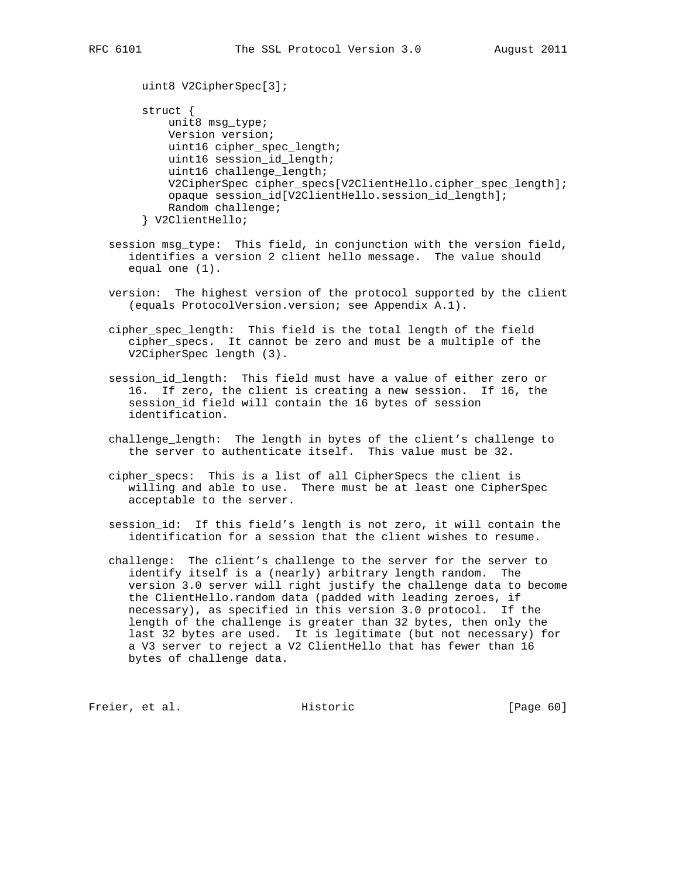```
 uint8 V2CipherSpec[3];
 struct {
    unit8 msg_type;
     Version version;
     uint16 cipher_spec_length;
     uint16 session_id_length;
     uint16 challenge_length;
     V2CipherSpec cipher_specs[V2ClientHello.cipher_spec_length];
     opaque session_id[V2ClientHello.session_id_length];
     Random challenge;
 } V2ClientHello;
```
- session msg\_type: This field, in conjunction with the version field, identifies a version 2 client hello message. The value should equal one (1).
- version: The highest version of the protocol supported by the client (equals ProtocolVersion.version; see Appendix A.1).
- cipher\_spec\_length: This field is the total length of the field cipher\_specs. It cannot be zero and must be a multiple of the V2CipherSpec length (3).
- session\_id\_length: This field must have a value of either zero or 16. If zero, the client is creating a new session. If 16, the session\_id field will contain the 16 bytes of session identification.
- challenge\_length: The length in bytes of the client's challenge to the server to authenticate itself. This value must be 32.
- cipher\_specs: This is a list of all CipherSpecs the client is willing and able to use. There must be at least one CipherSpec acceptable to the server.
- session\_id: If this field's length is not zero, it will contain the identification for a session that the client wishes to resume.
- challenge: The client's challenge to the server for the server to identify itself is a (nearly) arbitrary length random. The version 3.0 server will right justify the challenge data to become the ClientHello.random data (padded with leading zeroes, if necessary), as specified in this version 3.0 protocol. If the length of the challenge is greater than 32 bytes, then only the last 32 bytes are used. It is legitimate (but not necessary) for a V3 server to reject a V2 ClientHello that has fewer than 16 bytes of challenge data.

Freier, et al. Historic [Page 60]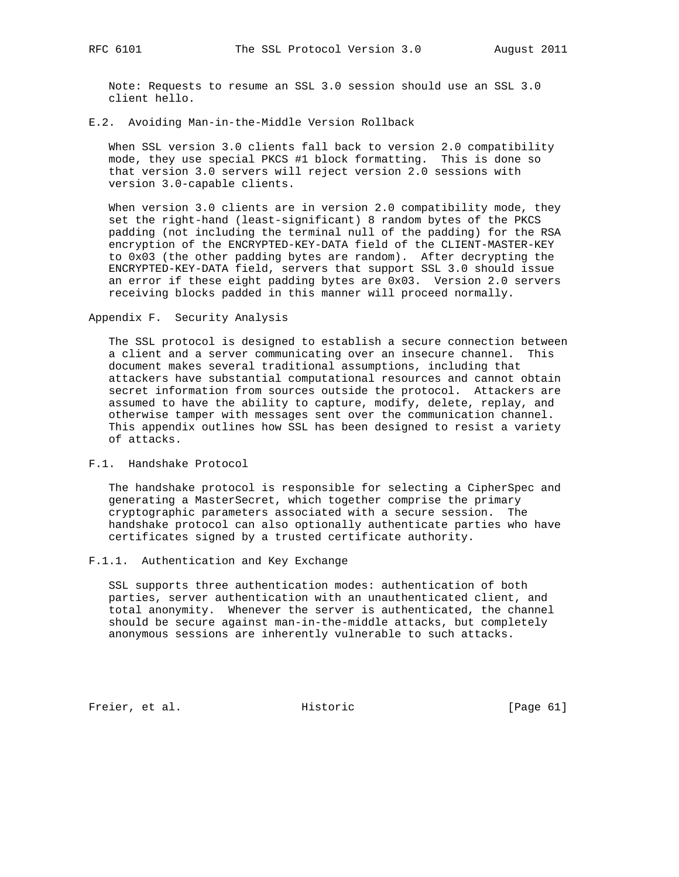Note: Requests to resume an SSL 3.0 session should use an SSL 3.0 client hello.

#### E.2. Avoiding Man-in-the-Middle Version Rollback

 When SSL version 3.0 clients fall back to version 2.0 compatibility mode, they use special PKCS #1 block formatting. This is done so that version 3.0 servers will reject version 2.0 sessions with version 3.0-capable clients.

When version 3.0 clients are in version 2.0 compatibility mode, they set the right-hand (least-significant) 8 random bytes of the PKCS padding (not including the terminal null of the padding) for the RSA encryption of the ENCRYPTED-KEY-DATA field of the CLIENT-MASTER-KEY to 0x03 (the other padding bytes are random). After decrypting the ENCRYPTED-KEY-DATA field, servers that support SSL 3.0 should issue an error if these eight padding bytes are 0x03. Version 2.0 servers receiving blocks padded in this manner will proceed normally.

Appendix F. Security Analysis

 The SSL protocol is designed to establish a secure connection between a client and a server communicating over an insecure channel. This document makes several traditional assumptions, including that attackers have substantial computational resources and cannot obtain secret information from sources outside the protocol. Attackers are assumed to have the ability to capture, modify, delete, replay, and otherwise tamper with messages sent over the communication channel. This appendix outlines how SSL has been designed to resist a variety of attacks.

#### F.1. Handshake Protocol

 The handshake protocol is responsible for selecting a CipherSpec and generating a MasterSecret, which together comprise the primary cryptographic parameters associated with a secure session. The handshake protocol can also optionally authenticate parties who have certificates signed by a trusted certificate authority.

#### F.1.1. Authentication and Key Exchange

 SSL supports three authentication modes: authentication of both parties, server authentication with an unauthenticated client, and total anonymity. Whenever the server is authenticated, the channel should be secure against man-in-the-middle attacks, but completely anonymous sessions are inherently vulnerable to such attacks.

Freier, et al. Historic [Page 61]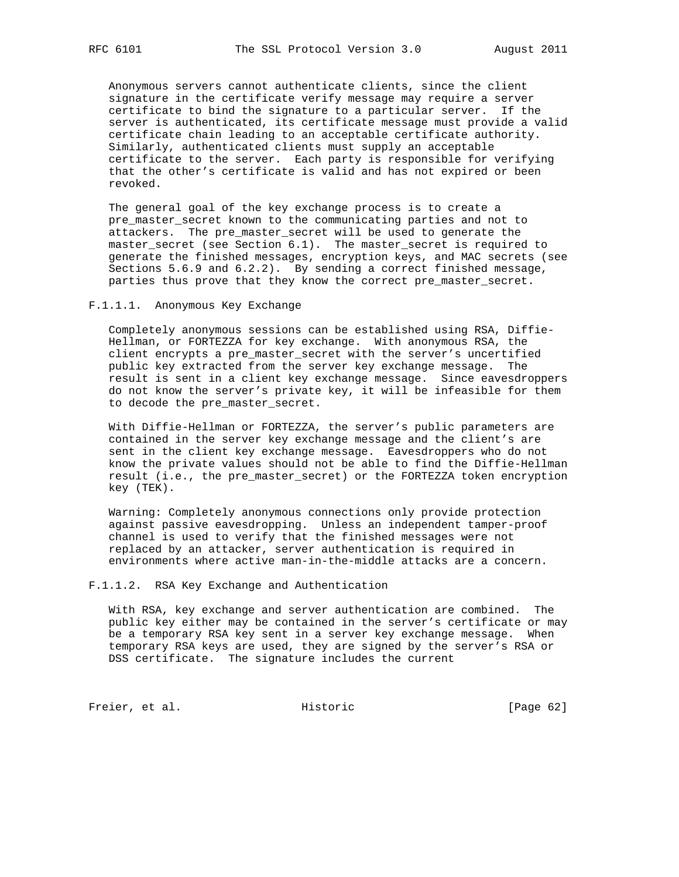Anonymous servers cannot authenticate clients, since the client signature in the certificate verify message may require a server certificate to bind the signature to a particular server. If the server is authenticated, its certificate message must provide a valid certificate chain leading to an acceptable certificate authority. Similarly, authenticated clients must supply an acceptable certificate to the server. Each party is responsible for verifying that the other's certificate is valid and has not expired or been revoked.

 The general goal of the key exchange process is to create a pre\_master\_secret known to the communicating parties and not to attackers. The pre\_master\_secret will be used to generate the master\_secret (see Section 6.1). The master\_secret is required to generate the finished messages, encryption keys, and MAC secrets (see Sections 5.6.9 and 6.2.2). By sending a correct finished message, parties thus prove that they know the correct pre\_master\_secret.

#### F.1.1.1. Anonymous Key Exchange

 Completely anonymous sessions can be established using RSA, Diffie- Hellman, or FORTEZZA for key exchange. With anonymous RSA, the client encrypts a pre\_master\_secret with the server's uncertified public key extracted from the server key exchange message. The result is sent in a client key exchange message. Since eavesdroppers do not know the server's private key, it will be infeasible for them to decode the pre\_master\_secret.

 With Diffie-Hellman or FORTEZZA, the server's public parameters are contained in the server key exchange message and the client's are sent in the client key exchange message. Eavesdroppers who do not know the private values should not be able to find the Diffie-Hellman result (i.e., the pre\_master\_secret) or the FORTEZZA token encryption key (TEK).

 Warning: Completely anonymous connections only provide protection against passive eavesdropping. Unless an independent tamper-proof channel is used to verify that the finished messages were not replaced by an attacker, server authentication is required in environments where active man-in-the-middle attacks are a concern.

F.1.1.2. RSA Key Exchange and Authentication

 With RSA, key exchange and server authentication are combined. The public key either may be contained in the server's certificate or may be a temporary RSA key sent in a server key exchange message. When temporary RSA keys are used, they are signed by the server's RSA or DSS certificate. The signature includes the current

Freier, et al. Historic [Page 62]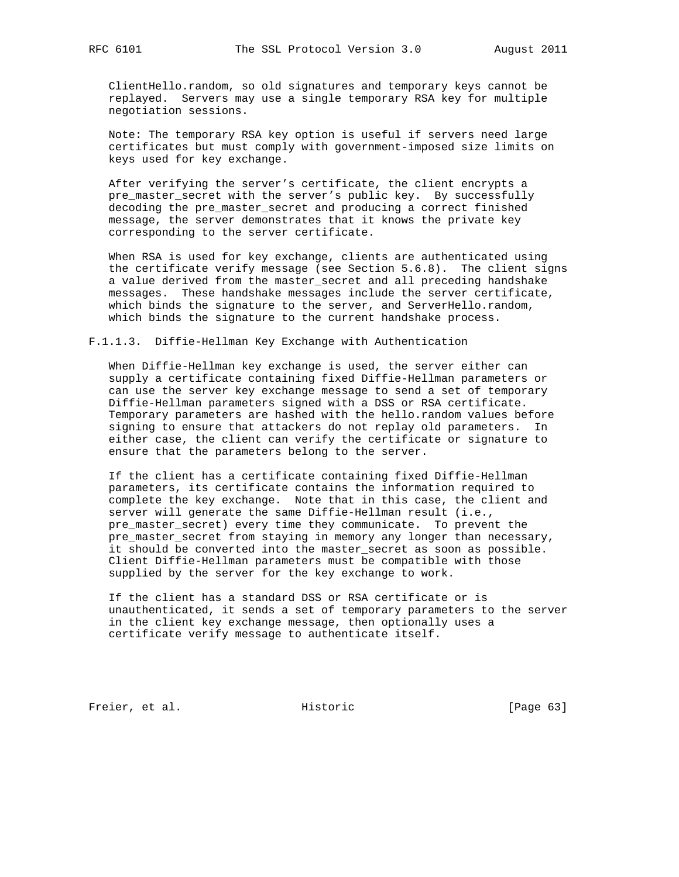ClientHello.random, so old signatures and temporary keys cannot be replayed. Servers may use a single temporary RSA key for multiple negotiation sessions.

 Note: The temporary RSA key option is useful if servers need large certificates but must comply with government-imposed size limits on keys used for key exchange.

 After verifying the server's certificate, the client encrypts a pre master secret with the server's public key. By successfully decoding the pre\_master\_secret and producing a correct finished message, the server demonstrates that it knows the private key corresponding to the server certificate.

 When RSA is used for key exchange, clients are authenticated using the certificate verify message (see Section 5.6.8). The client signs a value derived from the master\_secret and all preceding handshake messages. These handshake messages include the server certificate, which binds the signature to the server, and ServerHello.random, which binds the signature to the current handshake process.

F.1.1.3. Diffie-Hellman Key Exchange with Authentication

 When Diffie-Hellman key exchange is used, the server either can supply a certificate containing fixed Diffie-Hellman parameters or can use the server key exchange message to send a set of temporary Diffie-Hellman parameters signed with a DSS or RSA certificate. Temporary parameters are hashed with the hello.random values before signing to ensure that attackers do not replay old parameters. In either case, the client can verify the certificate or signature to ensure that the parameters belong to the server.

 If the client has a certificate containing fixed Diffie-Hellman parameters, its certificate contains the information required to complete the key exchange. Note that in this case, the client and server will generate the same Diffie-Hellman result (i.e., pre\_master\_secret) every time they communicate. To prevent the pre\_master\_secret from staying in memory any longer than necessary, it should be converted into the master\_secret as soon as possible. Client Diffie-Hellman parameters must be compatible with those supplied by the server for the key exchange to work.

 If the client has a standard DSS or RSA certificate or is unauthenticated, it sends a set of temporary parameters to the server in the client key exchange message, then optionally uses a certificate verify message to authenticate itself.

Freier, et al. Historic [Page 63]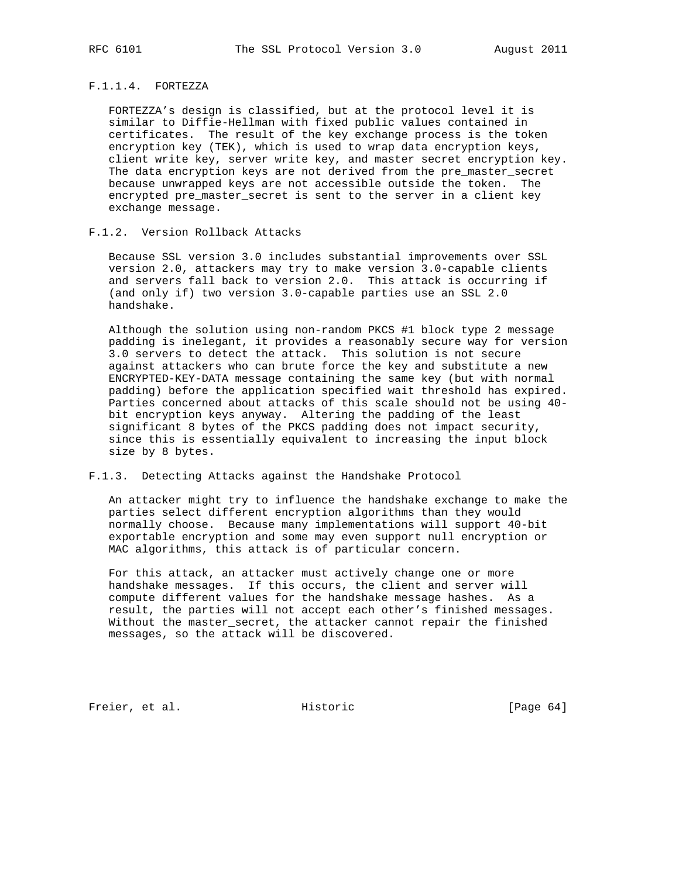## F.1.1.4. FORTEZZA

 FORTEZZA's design is classified, but at the protocol level it is similar to Diffie-Hellman with fixed public values contained in certificates. The result of the key exchange process is the token encryption key (TEK), which is used to wrap data encryption keys, client write key, server write key, and master secret encryption key. The data encryption keys are not derived from the pre\_master\_secret because unwrapped keys are not accessible outside the token. The encrypted pre\_master\_secret is sent to the server in a client key exchange message.

## F.1.2. Version Rollback Attacks

 Because SSL version 3.0 includes substantial improvements over SSL version 2.0, attackers may try to make version 3.0-capable clients and servers fall back to version 2.0. This attack is occurring if (and only if) two version 3.0-capable parties use an SSL 2.0 handshake.

 Although the solution using non-random PKCS #1 block type 2 message padding is inelegant, it provides a reasonably secure way for version 3.0 servers to detect the attack. This solution is not secure against attackers who can brute force the key and substitute a new ENCRYPTED-KEY-DATA message containing the same key (but with normal padding) before the application specified wait threshold has expired. Parties concerned about attacks of this scale should not be using 40 bit encryption keys anyway. Altering the padding of the least significant 8 bytes of the PKCS padding does not impact security, since this is essentially equivalent to increasing the input block size by 8 bytes.

#### F.1.3. Detecting Attacks against the Handshake Protocol

 An attacker might try to influence the handshake exchange to make the parties select different encryption algorithms than they would normally choose. Because many implementations will support 40-bit exportable encryption and some may even support null encryption or MAC algorithms, this attack is of particular concern.

 For this attack, an attacker must actively change one or more handshake messages. If this occurs, the client and server will compute different values for the handshake message hashes. As a result, the parties will not accept each other's finished messages. Without the master\_secret, the attacker cannot repair the finished messages, so the attack will be discovered.

Freier, et al. Historic [Page 64]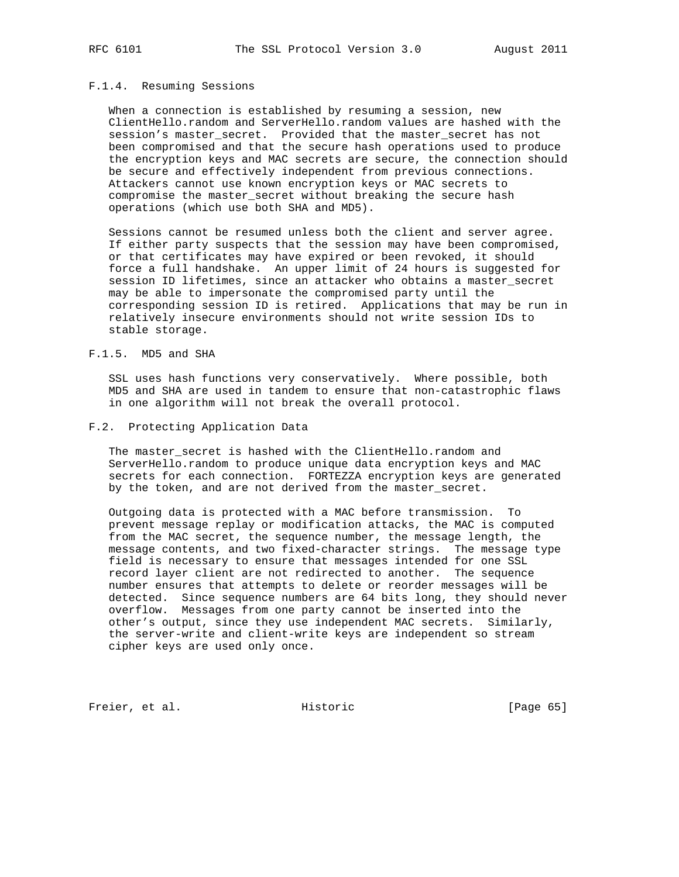## F.1.4. Resuming Sessions

 When a connection is established by resuming a session, new ClientHello.random and ServerHello.random values are hashed with the session's master\_secret. Provided that the master\_secret has not been compromised and that the secure hash operations used to produce the encryption keys and MAC secrets are secure, the connection should be secure and effectively independent from previous connections. Attackers cannot use known encryption keys or MAC secrets to compromise the master\_secret without breaking the secure hash operations (which use both SHA and MD5).

 Sessions cannot be resumed unless both the client and server agree. If either party suspects that the session may have been compromised, or that certificates may have expired or been revoked, it should force a full handshake. An upper limit of 24 hours is suggested for session ID lifetimes, since an attacker who obtains a master\_secret may be able to impersonate the compromised party until the corresponding session ID is retired. Applications that may be run in relatively insecure environments should not write session IDs to stable storage.

#### F.1.5. MD5 and SHA

 SSL uses hash functions very conservatively. Where possible, both MD5 and SHA are used in tandem to ensure that non-catastrophic flaws in one algorithm will not break the overall protocol.

#### F.2. Protecting Application Data

The master\_secret is hashed with the ClientHello.random and ServerHello.random to produce unique data encryption keys and MAC secrets for each connection. FORTEZZA encryption keys are generated by the token, and are not derived from the master\_secret.

 Outgoing data is protected with a MAC before transmission. To prevent message replay or modification attacks, the MAC is computed from the MAC secret, the sequence number, the message length, the message contents, and two fixed-character strings. The message type field is necessary to ensure that messages intended for one SSL record layer client are not redirected to another. The sequence number ensures that attempts to delete or reorder messages will be detected. Since sequence numbers are 64 bits long, they should never overflow. Messages from one party cannot be inserted into the other's output, since they use independent MAC secrets. Similarly, the server-write and client-write keys are independent so stream cipher keys are used only once.

Freier, et al. Historic [Page 65]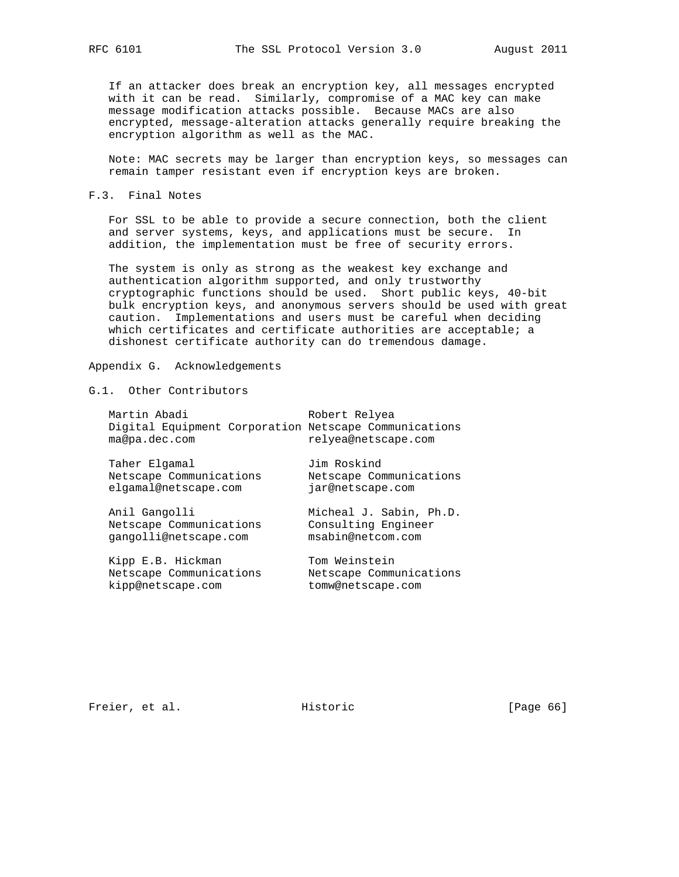If an attacker does break an encryption key, all messages encrypted with it can be read. Similarly, compromise of a MAC key can make message modification attacks possible. Because MACs are also encrypted, message-alteration attacks generally require breaking the encryption algorithm as well as the MAC.

 Note: MAC secrets may be larger than encryption keys, so messages can remain tamper resistant even if encryption keys are broken.

#### F.3. Final Notes

 For SSL to be able to provide a secure connection, both the client and server systems, keys, and applications must be secure. In addition, the implementation must be free of security errors.

 The system is only as strong as the weakest key exchange and authentication algorithm supported, and only trustworthy cryptographic functions should be used. Short public keys, 40-bit bulk encryption keys, and anonymous servers should be used with great caution. Implementations and users must be careful when deciding which certificates and certificate authorities are acceptable; a dishonest certificate authority can do tremendous damage.

### Appendix G. Acknowledgements

## G.1. Other Contributors

| Martin Abadi<br>Digital Equipment Corporation Netscape Communications<br>ma@pa.dec.com | Robert Relyea<br>relyea@netscape.com                                |
|----------------------------------------------------------------------------------------|---------------------------------------------------------------------|
| Taher Elgamal<br>Netscape Communications<br>elgamal@netscape.com                       | Jim Roskind<br>Netscape Communications<br>jar@netscape.com          |
| Anil Gangolli<br>Netscape Communications<br>gangolli@netscape.com                      | Micheal J. Sabin, Ph.D.<br>Consulting Engineer<br>msabin@netcom.com |
| Kipp E.B. Hickman                                                                      | Tom Weinstein                                                       |

Netscape Communications Netscape Communications

kipp@netscape.com tomw@netscape.com